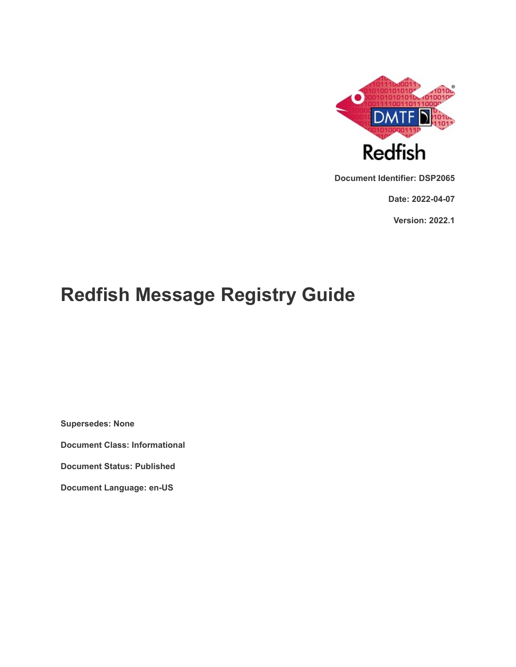

**Document Identifier: DSP2065**

**Date: 2022-04-07**

**Version: 2022.1**

# **Redfish Message Registry Guide**

**Supersedes: None**

**Document Class: Informational**

**Document Status: Published**

**Document Language: en-US**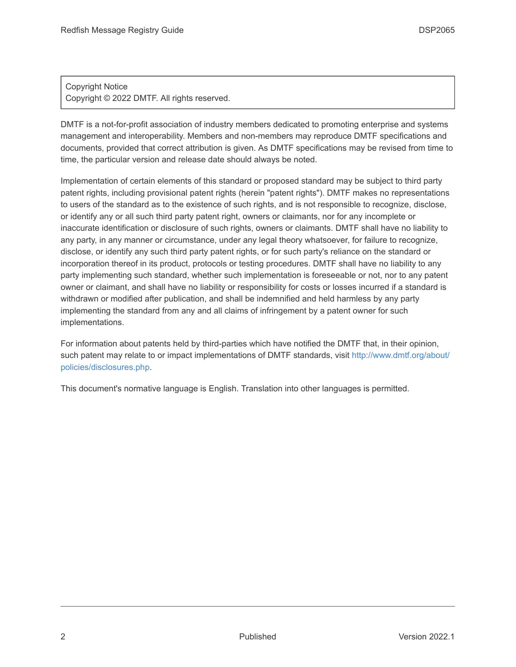# Copyright Notice

Copyright © 2022 DMTF. All rights reserved.

DMTF is a not-for-profit association of industry members dedicated to promoting enterprise and systems management and interoperability. Members and non-members may reproduce DMTF specifications and documents, provided that correct attribution is given. As DMTF specifications may be revised from time to time, the particular version and release date should always be noted.

Implementation of certain elements of this standard or proposed standard may be subject to third party patent rights, including provisional patent rights (herein "patent rights"). DMTF makes no representations to users of the standard as to the existence of such rights, and is not responsible to recognize, disclose, or identify any or all such third party patent right, owners or claimants, nor for any incomplete or inaccurate identification or disclosure of such rights, owners or claimants. DMTF shall have no liability to any party, in any manner or circumstance, under any legal theory whatsoever, for failure to recognize, disclose, or identify any such third party patent rights, or for such party's reliance on the standard or incorporation thereof in its product, protocols or testing procedures. DMTF shall have no liability to any party implementing such standard, whether such implementation is foreseeable or not, nor to any patent owner or claimant, and shall have no liability or responsibility for costs or losses incurred if a standard is withdrawn or modified after publication, and shall be indemnified and held harmless by any party implementing the standard from any and all claims of infringement by a patent owner for such implementations.

For information about patents held by third-parties which have notified the DMTF that, in their opinion, such patent may relate to or impact implementations of DMTF standards, visit [http://www.dmtf.org/about/](http://www.dmtf.org/about/policies/disclosures.php) [policies/disclosures.php.](http://www.dmtf.org/about/policies/disclosures.php)

This document's normative language is English. Translation into other languages is permitted.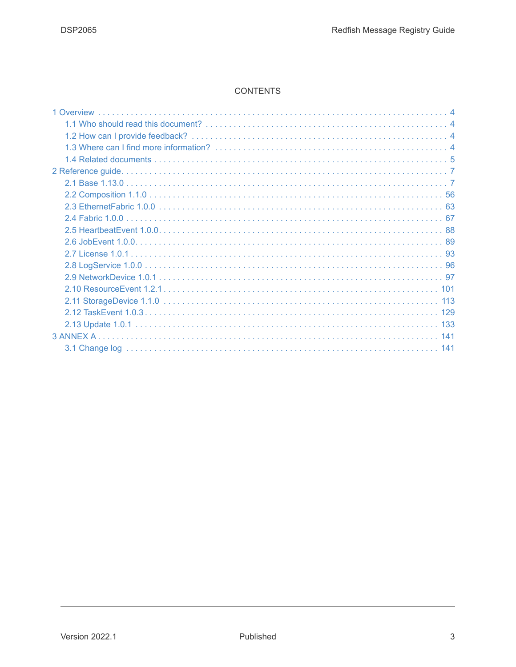# **CONTENTS**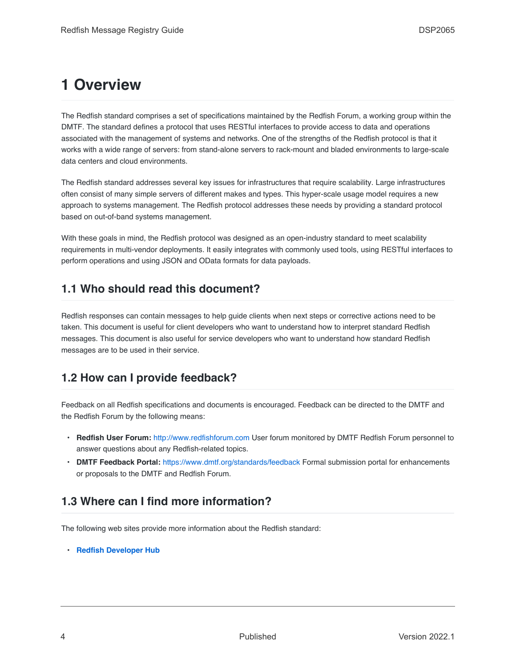# <span id="page-3-0"></span>**1 Overview**

The Redfish standard comprises a set of specifications maintained by the Redfish Forum, a working group within the DMTF. The standard defines a protocol that uses RESTful interfaces to provide access to data and operations associated with the management of systems and networks. One of the strengths of the Redfish protocol is that it works with a wide range of servers: from stand-alone servers to rack-mount and bladed environments to large-scale data centers and cloud environments.

The Redfish standard addresses several key issues for infrastructures that require scalability. Large infrastructures often consist of many simple servers of different makes and types. This hyper-scale usage model requires a new approach to systems management. The Redfish protocol addresses these needs by providing a standard protocol based on out-of-band systems management.

With these goals in mind, the Redfish protocol was designed as an open-industry standard to meet scalability requirements in multi-vendor deployments. It easily integrates with commonly used tools, using RESTful interfaces to perform operations and using JSON and OData formats for data payloads.

# <span id="page-3-1"></span>**1.1 Who should read this document?**

Redfish responses can contain messages to help guide clients when next steps or corrective actions need to be taken. This document is useful for client developers who want to understand how to interpret standard Redfish messages. This document is also useful for service developers who want to understand how standard Redfish messages are to be used in their service.

# <span id="page-3-2"></span>**1.2 How can I provide feedback?**

Feedback on all Redfish specifications and documents is encouraged. Feedback can be directed to the DMTF and the Redfish Forum by the following means:

- **Redfish User Forum:** [http://www.redfishforum.com](http://www.redfishforum.com/) User forum monitored by DMTF Redfish Forum personnel to answer questions about any Redfish-related topics.
- **DMTF Feedback Portal:** <https://www.dmtf.org/standards/feedback> Formal submission portal for enhancements or proposals to the DMTF and Redfish Forum.

# <span id="page-3-3"></span>**1.3 Where can I find more information?**

The following web sites provide more information about the Redfish standard:

• **[Redfish Developer Hub](https://redfish.dmtf.org/)**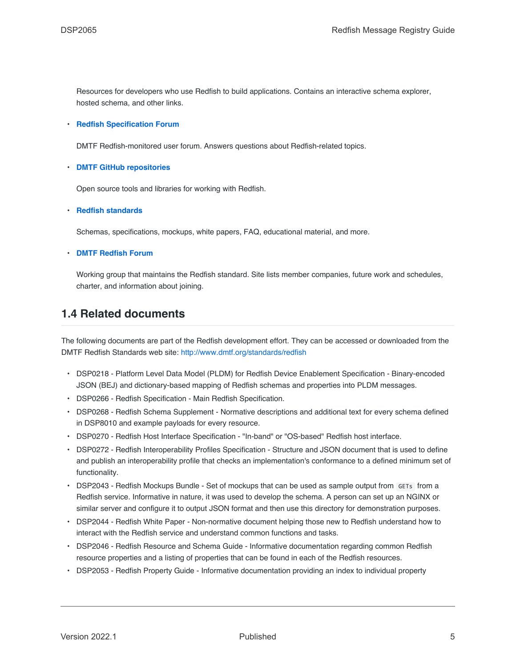Resources for developers who use Redfish to build applications. Contains an interactive schema explorer, hosted schema, and other links.

#### • **[Redfish Specification Forum](https://redfishforum.com/)**

DMTF Redfish-monitored user forum. Answers questions about Redfish-related topics.

• **[DMTF GitHub repositories](https://www.github.com/DMTF)**

Open source tools and libraries for working with Redfish.

• **[Redfish standards](https://www.dmtf.org/standards/redfish)**

Schemas, specifications, mockups, white papers, FAQ, educational material, and more.

• **[DMTF Redfish Forum](https://www.dmtf.org/standards/spmf)**

Working group that maintains the Redfish standard. Site lists member companies, future work and schedules, charter, and information about joining.

# <span id="page-4-0"></span>**1.4 Related documents**

The following documents are part of the Redfish development effort. They can be accessed or downloaded from the DMTF Redfish Standards web site: <http://www.dmtf.org/standards/redfish>

- DSP0218 Platform Level Data Model (PLDM) for Redfish Device Enablement Specification Binary‑encoded JSON (BEJ) and dictionary-based mapping of Redfish schemas and properties into PLDM messages.
- DSP0266 Redfish Specification Main Redfish Specification.
- DSP0268 Redfish Schema Supplement Normative descriptions and additional text for every schema defined in DSP8010 and example payloads for every resource.
- DSP0270 Redfish Host Interface Specification "In-band" or "OS-based" Redfish host interface.
- DSP0272 Redfish Interoperability Profiles Specification Structure and JSON document that is used to define and publish an interoperability profile that checks an implementation's conformance to a defined minimum set of functionality.
- DSP2043 Redfish Mockups Bundle Set of mockups that can be used as sample output from GETs from a Redfish service. Informative in nature, it was used to develop the schema. A person can set up an NGINX or similar server and configure it to output JSON format and then use this directory for demonstration purposes.
- DSP2044 Redfish White Paper Non-normative document helping those new to Redfish understand how to interact with the Redfish service and understand common functions and tasks.
- DSP2046 Redfish Resource and Schema Guide Informative documentation regarding common Redfish resource properties and a listing of properties that can be found in each of the Redfish resources.
- DSP2053 Redfish Property Guide Informative documentation providing an index to individual property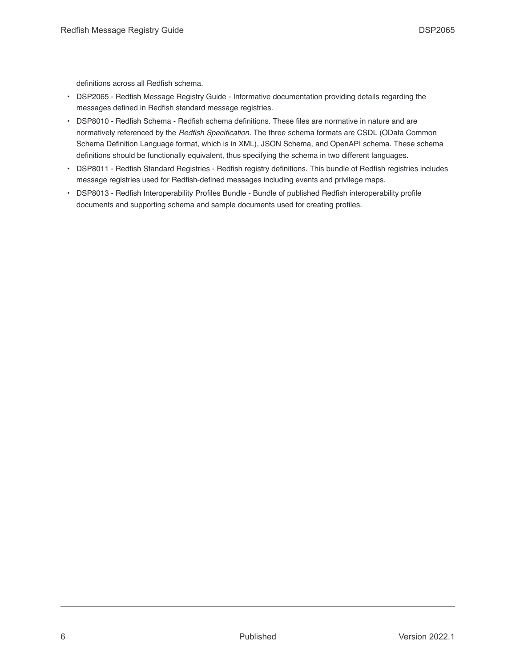definitions across all Redfish schema.

- DSP2065 Redfish Message Registry Guide Informative documentation providing details regarding the messages defined in Redfish standard message registries.
- DSP8010 Redfish Schema Redfish schema definitions. These files are normative in nature and are normatively referenced by the *Redfish Specification*. The three schema formats are CSDL (OData Common Schema Definition Language format, which is in XML), JSON Schema, and OpenAPI schema. These schema definitions should be functionally equivalent, thus specifying the schema in two different languages.
- DSP8011 Redfish Standard Registries Redfish registry definitions. This bundle of Redfish registries includes message registries used for Redfish-defined messages including events and privilege maps.
- DSP8013 Redfish Interoperability Profiles Bundle Bundle of published Redfish interoperability profile documents and supporting schema and sample documents used for creating profiles.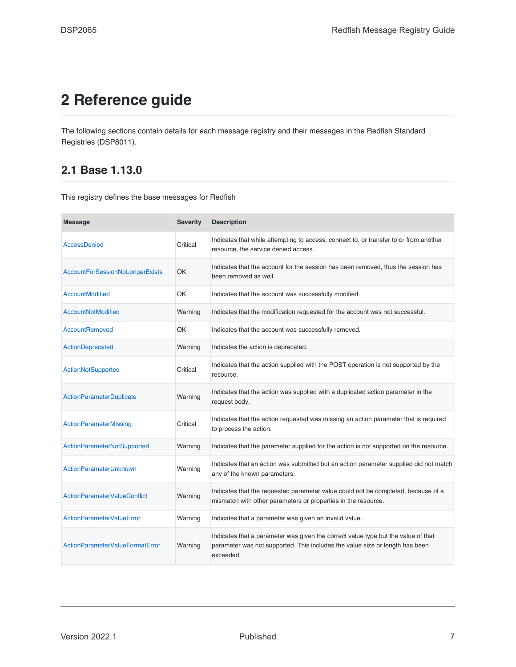# <span id="page-6-0"></span>**2 Reference guide**

The following sections contain details for each message registry and their messages in the Redfish Standard Registries (DSP8011).

# <span id="page-6-1"></span>**2.1 Base 1.13.0**

This registry defines the base messages for Redfish

| <b>Message</b>                   | <b>Severity</b> | <b>Description</b>                                                                                                                                                             |
|----------------------------------|-----------------|--------------------------------------------------------------------------------------------------------------------------------------------------------------------------------|
| <b>AccessDenied</b>              | Critical        | Indicates that while attempting to access, connect to, or transfer to or from another<br>resource, the service denied access.                                                  |
| AccountForSessionNoLongerExists  | OK              | Indicates that the account for the session has been removed, thus the session has<br>been removed as well.                                                                     |
| <b>AccountModified</b>           | OK              | Indicates that the account was successfully modified.                                                                                                                          |
| <b>AccountNotModified</b>        | Warning         | Indicates that the modification requested for the account was not successful.                                                                                                  |
| <b>AccountRemoved</b>            | OK              | Indicates that the account was successfully removed.                                                                                                                           |
| ActionDeprecated                 | Warning         | Indicates the action is deprecated.                                                                                                                                            |
| ActionNotSupported               | Critical        | Indicates that the action supplied with the POST operation is not supported by the<br>resource.                                                                                |
| <b>ActionParameterDuplicate</b>  | Warning         | Indicates that the action was supplied with a duplicated action parameter in the<br>request body.                                                                              |
| <b>ActionParameterMissing</b>    | Critical        | Indicates that the action requested was missing an action parameter that is required<br>to process the action.                                                                 |
| ActionParameterNotSupported      | Warning         | Indicates that the parameter supplied for the action is not supported on the resource.                                                                                         |
| ActionParameterUnknown           | Warning         | Indicates that an action was submitted but an action parameter supplied did not match<br>any of the known parameters.                                                          |
| ActionParameterValueConflict     | Warning         | Indicates that the requested parameter value could not be completed, because of a<br>mismatch with other parameters or properties in the resource.                             |
| <b>ActionParameterValueError</b> | Warning         | Indicates that a parameter was given an invalid value.                                                                                                                         |
| ActionParameterValueFormatError  | Warning         | Indicates that a parameter was given the correct value type but the value of that<br>parameter was not supported. This includes the value size or length has been<br>exceeded. |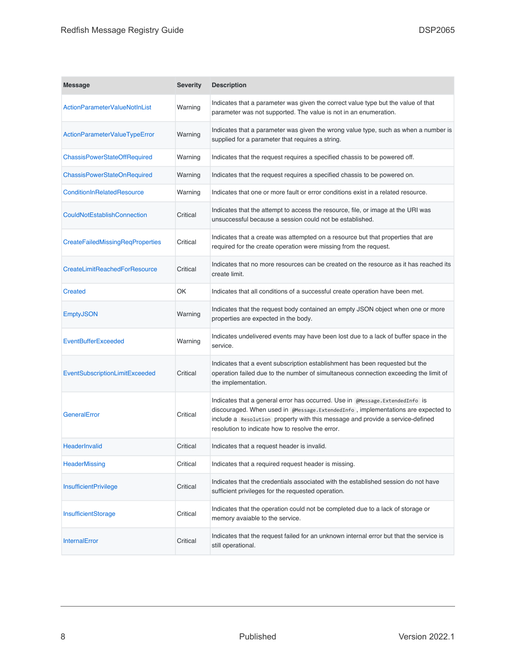| <b>Message</b>                          | <b>Severity</b> | <b>Description</b>                                                                                                                                                                                                                                                                                      |
|-----------------------------------------|-----------------|---------------------------------------------------------------------------------------------------------------------------------------------------------------------------------------------------------------------------------------------------------------------------------------------------------|
| <b>ActionParameterValueNotInList</b>    | Warning         | Indicates that a parameter was given the correct value type but the value of that<br>parameter was not supported. The value is not in an enumeration.                                                                                                                                                   |
| ActionParameterValueTypeError           | Warning         | Indicates that a parameter was given the wrong value type, such as when a number is<br>supplied for a parameter that requires a string.                                                                                                                                                                 |
| ChassisPowerStateOffRequired            | Warning         | Indicates that the request requires a specified chassis to be powered off.                                                                                                                                                                                                                              |
| <b>ChassisPowerStateOnRequired</b>      | Warning         | Indicates that the request requires a specified chassis to be powered on.                                                                                                                                                                                                                               |
| ConditionInRelatedResource              | Warning         | Indicates that one or more fault or error conditions exist in a related resource.                                                                                                                                                                                                                       |
| CouldNotEstablishConnection             | Critical        | Indicates that the attempt to access the resource, file, or image at the URI was<br>unsuccessful because a session could not be established.                                                                                                                                                            |
| <b>CreateFailedMissingReqProperties</b> | Critical        | Indicates that a create was attempted on a resource but that properties that are<br>required for the create operation were missing from the request.                                                                                                                                                    |
| <b>CreateLimitReachedForResource</b>    | Critical        | Indicates that no more resources can be created on the resource as it has reached its<br>create limit.                                                                                                                                                                                                  |
| <b>Created</b>                          | OK              | Indicates that all conditions of a successful create operation have been met.                                                                                                                                                                                                                           |
| <b>EmptyJSON</b>                        | Warning         | Indicates that the request body contained an empty JSON object when one or more<br>properties are expected in the body.                                                                                                                                                                                 |
| <b>EventBufferExceeded</b>              | Warning         | Indicates undelivered events may have been lost due to a lack of buffer space in the<br>service.                                                                                                                                                                                                        |
| <b>EventSubscriptionLimitExceeded</b>   | Critical        | Indicates that a event subscription establishment has been requested but the<br>operation failed due to the number of simultaneous connection exceeding the limit of<br>the implementation.                                                                                                             |
| <b>GeneralError</b>                     | Critical        | Indicates that a general error has occurred. Use in @Message. Extended Info is<br>discouraged. When used in @Message.ExtendedInfo, implementations are expected to<br>include a Resolution property with this message and provide a service-defined<br>resolution to indicate how to resolve the error. |
| <b>HeaderInvalid</b>                    | Critical        | Indicates that a request header is invalid.                                                                                                                                                                                                                                                             |
| <b>HeaderMissing</b>                    | Critical        | Indicates that a required request header is missing.                                                                                                                                                                                                                                                    |
| InsufficientPrivilege                   | Critical        | Indicates that the credentials associated with the established session do not have<br>sufficient privileges for the requested operation.                                                                                                                                                                |
| InsufficientStorage                     | Critical        | Indicates that the operation could not be completed due to a lack of storage or<br>memory avaiable to the service.                                                                                                                                                                                      |
| <b>InternalError</b>                    | Critical        | Indicates that the request failed for an unknown internal error but that the service is<br>still operational.                                                                                                                                                                                           |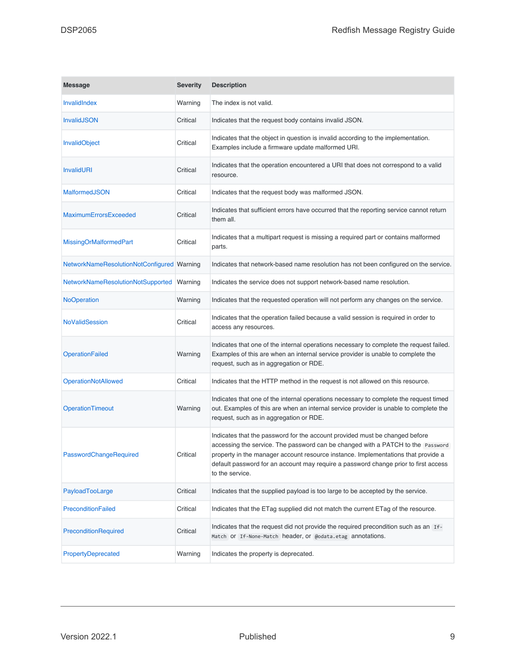| <b>Message</b>                             | <b>Severity</b> | <b>Description</b>                                                                                                                                                                                                                                                                                                                                            |
|--------------------------------------------|-----------------|---------------------------------------------------------------------------------------------------------------------------------------------------------------------------------------------------------------------------------------------------------------------------------------------------------------------------------------------------------------|
| <b>InvalidIndex</b>                        | Warning         | The index is not valid.                                                                                                                                                                                                                                                                                                                                       |
| <b>InvalidJSON</b>                         | Critical        | Indicates that the request body contains invalid JSON.                                                                                                                                                                                                                                                                                                        |
| <b>InvalidObject</b>                       | Critical        | Indicates that the object in question is invalid according to the implementation.<br>Examples include a firmware update malformed URI.                                                                                                                                                                                                                        |
| <b>InvalidURI</b>                          | Critical        | Indicates that the operation encountered a URI that does not correspond to a valid<br>resource.                                                                                                                                                                                                                                                               |
| <b>MalformedJSON</b>                       | Critical        | Indicates that the request body was malformed JSON.                                                                                                                                                                                                                                                                                                           |
| MaximumErrorsExceeded                      | Critical        | Indicates that sufficient errors have occurred that the reporting service cannot return<br>them all.                                                                                                                                                                                                                                                          |
| MissingOrMalformedPart                     | Critical        | Indicates that a multipart request is missing a required part or contains malformed<br>parts.                                                                                                                                                                                                                                                                 |
| NetworkNameResolutionNotConfigured Warning |                 | Indicates that network-based name resolution has not been configured on the service.                                                                                                                                                                                                                                                                          |
| NetworkNameResolutionNotSupported          | Warning         | Indicates the service does not support network-based name resolution.                                                                                                                                                                                                                                                                                         |
| NoOperation                                | Warning         | Indicates that the requested operation will not perform any changes on the service.                                                                                                                                                                                                                                                                           |
| <b>NoValidSession</b>                      | Critical        | Indicates that the operation failed because a valid session is required in order to<br>access any resources.                                                                                                                                                                                                                                                  |
| <b>OperationFailed</b>                     | Warning         | Indicates that one of the internal operations necessary to complete the request failed.<br>Examples of this are when an internal service provider is unable to complete the<br>request, such as in aggregation or RDE.                                                                                                                                        |
| <b>OperationNotAllowed</b>                 | Critical        | Indicates that the HTTP method in the request is not allowed on this resource.                                                                                                                                                                                                                                                                                |
| <b>OperationTimeout</b>                    | Warning         | Indicates that one of the internal operations necessary to complete the request timed<br>out. Examples of this are when an internal service provider is unable to complete the<br>request, such as in aggregation or RDE.                                                                                                                                     |
| PasswordChangeRequired                     | Critical        | Indicates that the password for the account provided must be changed before<br>accessing the service. The password can be changed with a PATCH to the Password<br>property in the manager account resource instance. Implementations that provide a<br>default password for an account may require a password change prior to first access<br>to the service. |
| PayloadTooLarge                            | Critical        | Indicates that the supplied payload is too large to be accepted by the service.                                                                                                                                                                                                                                                                               |
| <b>PreconditionFailed</b>                  | Critical        | Indicates that the ETag supplied did not match the current ETag of the resource.                                                                                                                                                                                                                                                                              |
| PreconditionRequired                       | Critical        | Indicates that the request did not provide the required precondition such as an If-<br>Match Or If-None-Match header, or @odata.etag annotations.                                                                                                                                                                                                             |
| PropertyDeprecated                         | Warning         | Indicates the property is deprecated.                                                                                                                                                                                                                                                                                                                         |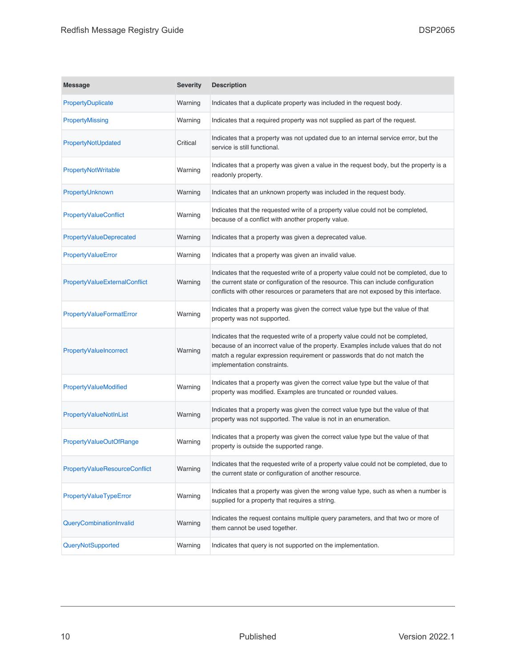| <b>Message</b>                       | <b>Severity</b> | <b>Description</b>                                                                                                                                                                                                                                                               |
|--------------------------------------|-----------------|----------------------------------------------------------------------------------------------------------------------------------------------------------------------------------------------------------------------------------------------------------------------------------|
| PropertyDuplicate                    | Warning         | Indicates that a duplicate property was included in the request body.                                                                                                                                                                                                            |
| PropertyMissing                      | Warning         | Indicates that a required property was not supplied as part of the request.                                                                                                                                                                                                      |
| PropertyNotUpdated                   | Critical        | Indicates that a property was not updated due to an internal service error, but the<br>service is still functional.                                                                                                                                                              |
| PropertyNotWritable                  | Warning         | Indicates that a property was given a value in the request body, but the property is a<br>readonly property.                                                                                                                                                                     |
| PropertyUnknown                      | Warning         | Indicates that an unknown property was included in the request body.                                                                                                                                                                                                             |
| <b>PropertyValueConflict</b>         | Warning         | Indicates that the requested write of a property value could not be completed,<br>because of a conflict with another property value.                                                                                                                                             |
| PropertyValueDeprecated              | Warning         | Indicates that a property was given a deprecated value.                                                                                                                                                                                                                          |
| <b>PropertyValueError</b>            | Warning         | Indicates that a property was given an invalid value.                                                                                                                                                                                                                            |
| PropertyValueExternalConflict        | Warning         | Indicates that the requested write of a property value could not be completed, due to<br>the current state or configuration of the resource. This can include configuration<br>conflicts with other resources or parameters that are not exposed by this interface.              |
| PropertyValueFormatError             | Warning         | Indicates that a property was given the correct value type but the value of that<br>property was not supported.                                                                                                                                                                  |
| PropertyValueIncorrect               | Warning         | Indicates that the requested write of a property value could not be completed,<br>because of an incorrect value of the property. Examples include values that do not<br>match a regular expression requirement or passwords that do not match the<br>implementation constraints. |
| <b>PropertyValueModified</b>         | Warning         | Indicates that a property was given the correct value type but the value of that<br>property was modified. Examples are truncated or rounded values.                                                                                                                             |
| <b>PropertyValueNotInList</b>        | Warning         | Indicates that a property was given the correct value type but the value of that<br>property was not supported. The value is not in an enumeration.                                                                                                                              |
| <b>PropertyValueOutOfRange</b>       | Warning         | Indicates that a property was given the correct value type but the value of that<br>property is outside the supported range.                                                                                                                                                     |
| <b>PropertyValueResourceConflict</b> | Warning         | Indicates that the requested write of a property value could not be completed, due to<br>the current state or configuration of another resource.                                                                                                                                 |
| PropertyValueTypeError               | Warning         | Indicates that a property was given the wrong value type, such as when a number is<br>supplied for a property that requires a string.                                                                                                                                            |
| QueryCombinationInvalid              | Warning         | Indicates the request contains multiple query parameters, and that two or more of<br>them cannot be used together.                                                                                                                                                               |
| QueryNotSupported                    | Warning         | Indicates that query is not supported on the implementation.                                                                                                                                                                                                                     |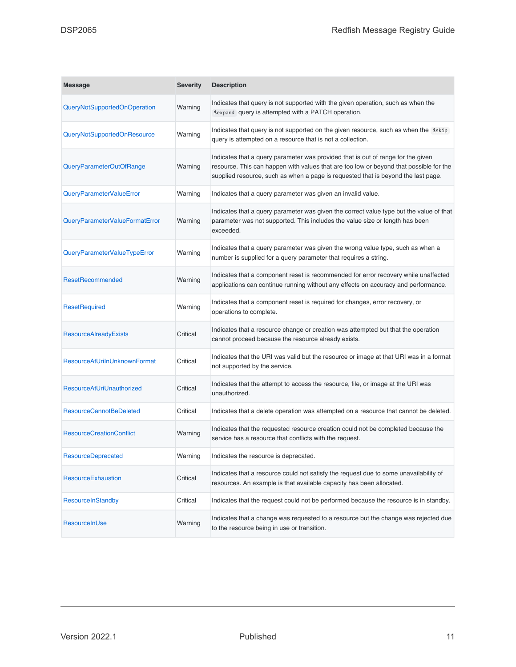| Message                             | <b>Severity</b> | <b>Description</b>                                                                                                                                                                                                                                              |
|-------------------------------------|-----------------|-----------------------------------------------------------------------------------------------------------------------------------------------------------------------------------------------------------------------------------------------------------------|
| <b>QueryNotSupportedOnOperation</b> | Warning         | Indicates that query is not supported with the given operation, such as when the<br>\$expand query is attempted with a PATCH operation.                                                                                                                         |
| QueryNotSupportedOnResource         | Warning         | Indicates that query is not supported on the given resource, such as when the \$skip<br>query is attempted on a resource that is not a collection.                                                                                                              |
| QueryParameterOutOfRange            | Warning         | Indicates that a query parameter was provided that is out of range for the given<br>resource. This can happen with values that are too low or beyond that possible for the<br>supplied resource, such as when a page is requested that is beyond the last page. |
| QueryParameterValueError            | Warning         | Indicates that a query parameter was given an invalid value.                                                                                                                                                                                                    |
| QueryParameterValueFormatError      | Warning         | Indicates that a query parameter was given the correct value type but the value of that<br>parameter was not supported. This includes the value size or length has been<br>exceeded.                                                                            |
| QueryParameterValueTypeError        | Warning         | Indicates that a query parameter was given the wrong value type, such as when a<br>number is supplied for a query parameter that requires a string.                                                                                                             |
| <b>ResetRecommended</b>             | Warning         | Indicates that a component reset is recommended for error recovery while unaffected<br>applications can continue running without any effects on accuracy and performance.                                                                                       |
| <b>ResetRequired</b>                | Warning         | Indicates that a component reset is required for changes, error recovery, or<br>operations to complete.                                                                                                                                                         |
| ResourceAlreadyExists               | Critical        | Indicates that a resource change or creation was attempted but that the operation<br>cannot proceed because the resource already exists.                                                                                                                        |
| <b>ResourceAtUriInUnknownFormat</b> | Critical        | Indicates that the URI was valid but the resource or image at that URI was in a format<br>not supported by the service.                                                                                                                                         |
| ResourceAtUriUnauthorized           | Critical        | Indicates that the attempt to access the resource, file, or image at the URI was<br>unauthorized.                                                                                                                                                               |
| <b>ResourceCannotBeDeleted</b>      | Critical        | Indicates that a delete operation was attempted on a resource that cannot be deleted.                                                                                                                                                                           |
| <b>ResourceCreationConflict</b>     | Warning         | Indicates that the requested resource creation could not be completed because the<br>service has a resource that conflicts with the request.                                                                                                                    |
| <b>ResourceDeprecated</b>           | Warning         | Indicates the resource is deprecated.                                                                                                                                                                                                                           |
| <b>ResourceExhaustion</b>           | Critical        | Indicates that a resource could not satisfy the request due to some unavailability of<br>resources. An example is that available capacity has been allocated.                                                                                                   |
| ResourceInStandby                   | Critical        | Indicates that the request could not be performed because the resource is in standby.                                                                                                                                                                           |
| <b>ResourceInUse</b>                | Warning         | Indicates that a change was requested to a resource but the change was rejected due<br>to the resource being in use or transition.                                                                                                                              |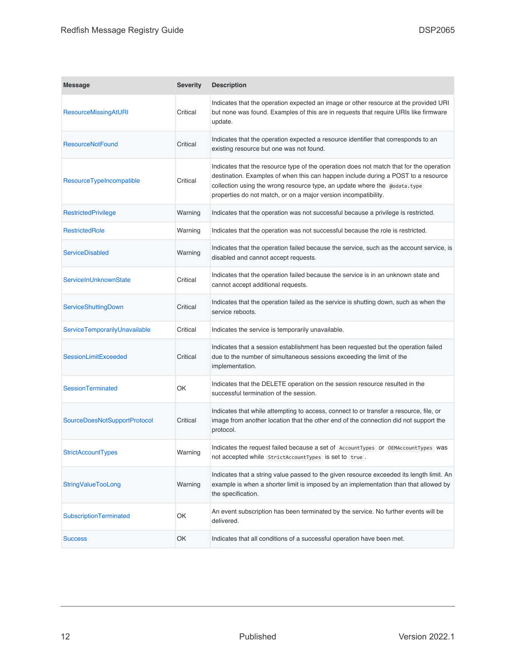| <b>Message</b>                | <b>Severity</b> | <b>Description</b>                                                                                                                                                                                                                                                                                                           |
|-------------------------------|-----------------|------------------------------------------------------------------------------------------------------------------------------------------------------------------------------------------------------------------------------------------------------------------------------------------------------------------------------|
| <b>ResourceMissingAtURI</b>   | Critical        | Indicates that the operation expected an image or other resource at the provided URI<br>but none was found. Examples of this are in requests that require URIs like firmware<br>update.                                                                                                                                      |
| <b>ResourceNotFound</b>       | Critical        | Indicates that the operation expected a resource identifier that corresponds to an<br>existing resource but one was not found.                                                                                                                                                                                               |
| ResourceTypeIncompatible      | Critical        | Indicates that the resource type of the operation does not match that for the operation<br>destination. Examples of when this can happen include during a POST to a resource<br>collection using the wrong resource type, an update where the @odata.type<br>properties do not match, or on a major version incompatibility. |
| <b>RestrictedPrivilege</b>    | Warning         | Indicates that the operation was not successful because a privilege is restricted.                                                                                                                                                                                                                                           |
| <b>RestrictedRole</b>         | Warning         | Indicates that the operation was not successful because the role is restricted.                                                                                                                                                                                                                                              |
| ServiceDisabled               | Warning         | Indicates that the operation failed because the service, such as the account service, is<br>disabled and cannot accept requests.                                                                                                                                                                                             |
| ServiceInUnknownState         | Critical        | Indicates that the operation failed because the service is in an unknown state and<br>cannot accept additional requests.                                                                                                                                                                                                     |
| ServiceShuttingDown           | Critical        | Indicates that the operation failed as the service is shutting down, such as when the<br>service reboots.                                                                                                                                                                                                                    |
| ServiceTemporarilyUnavailable | Critical        | Indicates the service is temporarily unavailable.                                                                                                                                                                                                                                                                            |
| SessionLimitExceeded          | Critical        | Indicates that a session establishment has been requested but the operation failed<br>due to the number of simultaneous sessions exceeding the limit of the<br>implementation.                                                                                                                                               |
| SessionTerminated             | OK              | Indicates that the DELETE operation on the session resource resulted in the<br>successful termination of the session.                                                                                                                                                                                                        |
| SourceDoesNotSupportProtocol  | Critical        | Indicates that while attempting to access, connect to or transfer a resource, file, or<br>image from another location that the other end of the connection did not support the<br>protocol.                                                                                                                                  |
| <b>StrictAccountTypes</b>     | Warning         | Indicates the request failed because a set of AccountTypes Or OEMAccountTypes Was<br>not accepted while StrictAccountTypes is set to true                                                                                                                                                                                    |
| <b>StringValueTooLong</b>     | Warning         | Indicates that a string value passed to the given resource exceeded its length limit. An<br>example is when a shorter limit is imposed by an implementation than that allowed by<br>the specification.                                                                                                                       |
| SubscriptionTerminated        | OK              | An event subscription has been terminated by the service. No further events will be<br>delivered.                                                                                                                                                                                                                            |
| <b>Success</b>                | OK              | Indicates that all conditions of a successful operation have been met.                                                                                                                                                                                                                                                       |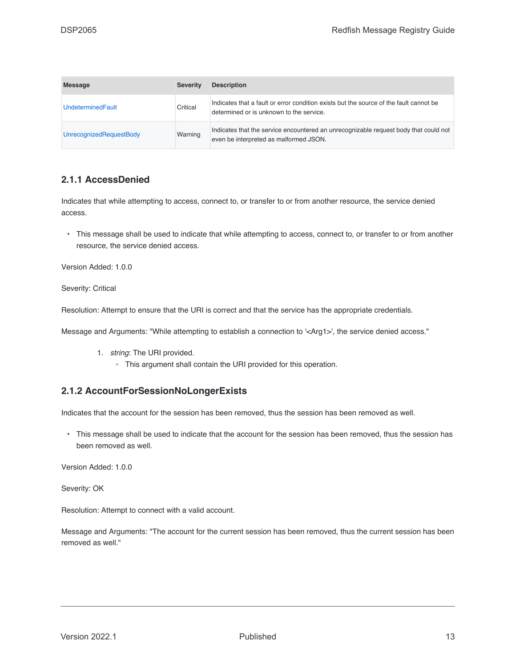| <b>Message</b>          | <b>Severity</b> | <b>Description</b>                                                                                                                 |
|-------------------------|-----------------|------------------------------------------------------------------------------------------------------------------------------------|
| UndeterminedFault       | Critical        | Indicates that a fault or error condition exists but the source of the fault cannot be<br>determined or is unknown to the service. |
| UnrecognizedRequestBody | Warning         | Indicates that the service encountered an unrecognizable request body that could not<br>even be interpreted as malformed JSON.     |

# <span id="page-12-0"></span>**2.1.1 AccessDenied**

Indicates that while attempting to access, connect to, or transfer to or from another resource, the service denied access.

• This message shall be used to indicate that while attempting to access, connect to, or transfer to or from another resource, the service denied access.

Version Added: 1.0.0

Severity: Critical

Resolution: Attempt to ensure that the URI is correct and that the service has the appropriate credentials.

Message and Arguments: "While attempting to establish a connection to '<Arg1>', the service denied access."

- 1. *string*: The URI provided.
	- This argument shall contain the URI provided for this operation.

# <span id="page-12-1"></span>**2.1.2 AccountForSessionNoLongerExists**

Indicates that the account for the session has been removed, thus the session has been removed as well.

• This message shall be used to indicate that the account for the session has been removed, thus the session has been removed as well.

Version Added: 1.0.0

Severity: OK

Resolution: Attempt to connect with a valid account.

Message and Arguments: "The account for the current session has been removed, thus the current session has been removed as well."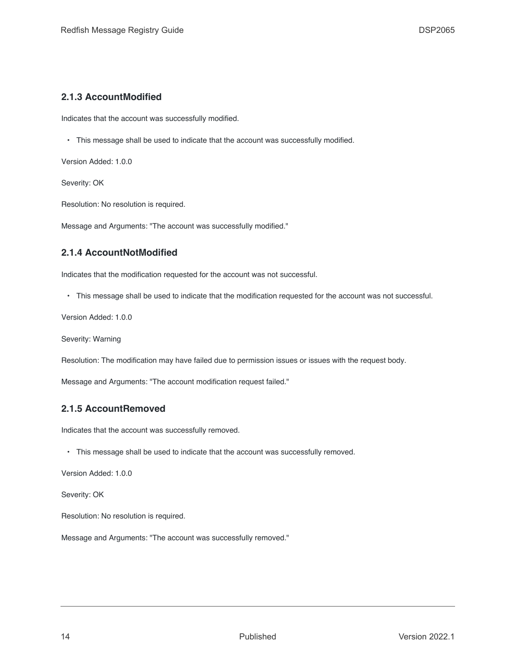# <span id="page-13-0"></span>**2.1.3 AccountModified**

Indicates that the account was successfully modified.

• This message shall be used to indicate that the account was successfully modified.

Version Added: 1.0.0

Severity: OK

Resolution: No resolution is required.

Message and Arguments: "The account was successfully modified."

# <span id="page-13-1"></span>**2.1.4 AccountNotModified**

Indicates that the modification requested for the account was not successful.

• This message shall be used to indicate that the modification requested for the account was not successful.

Version Added: 1.0.0

Severity: Warning

Resolution: The modification may have failed due to permission issues or issues with the request body.

Message and Arguments: "The account modification request failed."

# <span id="page-13-2"></span>**2.1.5 AccountRemoved**

Indicates that the account was successfully removed.

• This message shall be used to indicate that the account was successfully removed.

Version Added: 1.0.0

Severity: OK

Resolution: No resolution is required.

Message and Arguments: "The account was successfully removed."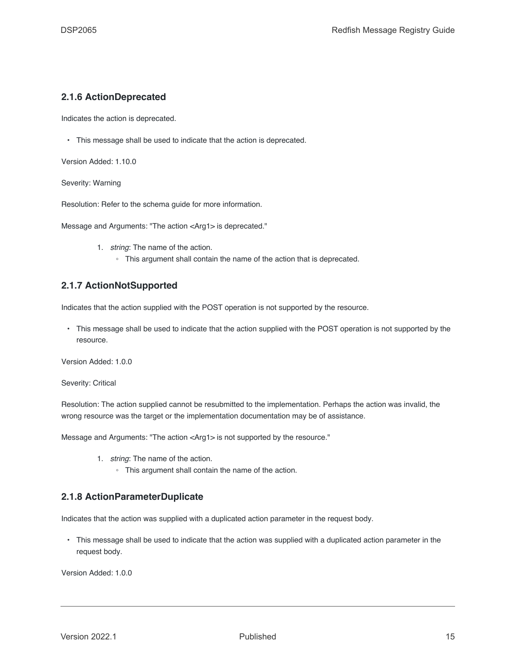# <span id="page-14-0"></span>**2.1.6 ActionDeprecated**

Indicates the action is deprecated.

• This message shall be used to indicate that the action is deprecated.

Version Added: 1.10.0

Severity: Warning

Resolution: Refer to the schema guide for more information.

Message and Arguments: "The action <Arg1> is deprecated."

- 1. *string*: The name of the action.
	- This argument shall contain the name of the action that is deprecated.

# <span id="page-14-1"></span>**2.1.7 ActionNotSupported**

Indicates that the action supplied with the POST operation is not supported by the resource.

• This message shall be used to indicate that the action supplied with the POST operation is not supported by the resource.

Version Added: 1.0.0

Severity: Critical

Resolution: The action supplied cannot be resubmitted to the implementation. Perhaps the action was invalid, the wrong resource was the target or the implementation documentation may be of assistance.

Message and Arguments: "The action <Arg1> is not supported by the resource."

- 1. *string*: The name of the action.
	- This argument shall contain the name of the action.

# <span id="page-14-2"></span>**2.1.8 ActionParameterDuplicate**

Indicates that the action was supplied with a duplicated action parameter in the request body.

• This message shall be used to indicate that the action was supplied with a duplicated action parameter in the request body.

Version Added: 1.0.0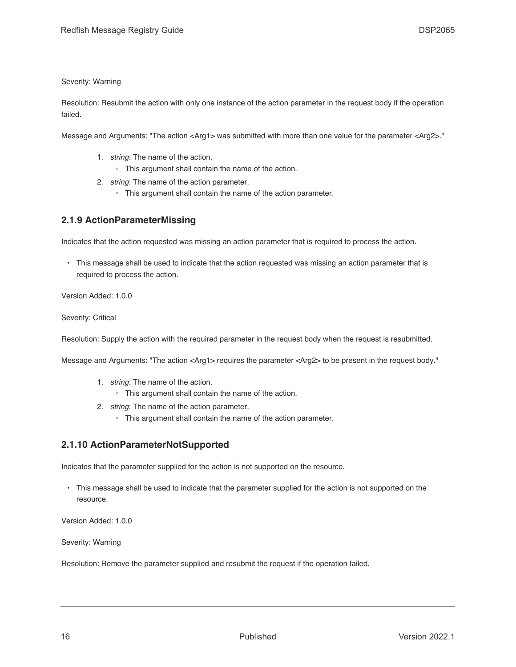#### Severity: Warning

Resolution: Resubmit the action with only one instance of the action parameter in the request body if the operation failed.

Message and Arguments: "The action <Arg1> was submitted with more than one value for the parameter <Arg2>."

- 1. *string*: The name of the action.
	- This argument shall contain the name of the action.
- 2. *string*: The name of the action parameter.
	- This argument shall contain the name of the action parameter.

#### <span id="page-15-0"></span>**2.1.9 ActionParameterMissing**

Indicates that the action requested was missing an action parameter that is required to process the action.

• This message shall be used to indicate that the action requested was missing an action parameter that is required to process the action.

Version Added: 1.0.0

Severity: Critical

Resolution: Supply the action with the required parameter in the request body when the request is resubmitted.

Message and Arguments: "The action <Arg1> requires the parameter <Arg2> to be present in the request body."

- 1. *string*: The name of the action.
	- This argument shall contain the name of the action.
- 2. *string*: The name of the action parameter.
	- This argument shall contain the name of the action parameter.

# <span id="page-15-1"></span>**2.1.10 ActionParameterNotSupported**

Indicates that the parameter supplied for the action is not supported on the resource.

• This message shall be used to indicate that the parameter supplied for the action is not supported on the resource.

Version Added: 1.0.0

Severity: Warning

Resolution: Remove the parameter supplied and resubmit the request if the operation failed.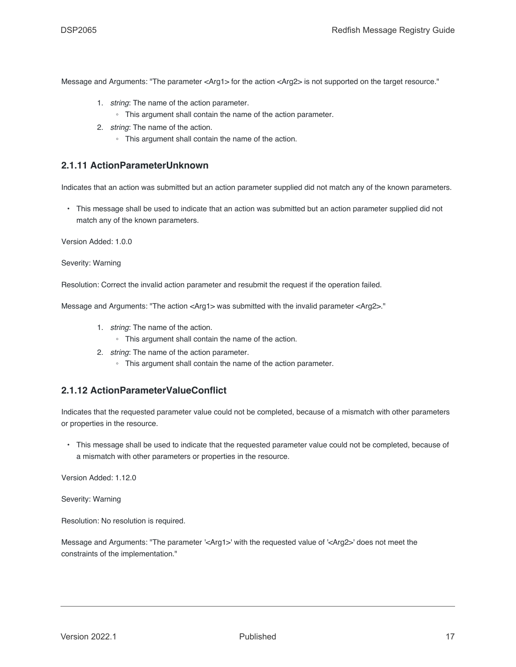Message and Arguments: "The parameter <Arg1> for the action <Arg2> is not supported on the target resource."

- 1. *string*: The name of the action parameter.
	- This argument shall contain the name of the action parameter.
- 2. *string*: The name of the action.
	- This argument shall contain the name of the action.

# <span id="page-16-0"></span>**2.1.11 ActionParameterUnknown**

Indicates that an action was submitted but an action parameter supplied did not match any of the known parameters.

• This message shall be used to indicate that an action was submitted but an action parameter supplied did not match any of the known parameters.

Version Added: 1.0.0

Severity: Warning

Resolution: Correct the invalid action parameter and resubmit the request if the operation failed.

Message and Arguments: "The action <Arg1> was submitted with the invalid parameter <Arg2>."

- 1. *string*: The name of the action.
	- This argument shall contain the name of the action.
- 2. *string*: The name of the action parameter.
	- This argument shall contain the name of the action parameter.

# <span id="page-16-1"></span>**2.1.12 ActionParameterValueConflict**

Indicates that the requested parameter value could not be completed, because of a mismatch with other parameters or properties in the resource.

• This message shall be used to indicate that the requested parameter value could not be completed, because of a mismatch with other parameters or properties in the resource.

Version Added: 1.12.0

Severity: Warning

Resolution: No resolution is required.

Message and Arguments: "The parameter '<Arg1>' with the requested value of '<Arg2>' does not meet the constraints of the implementation."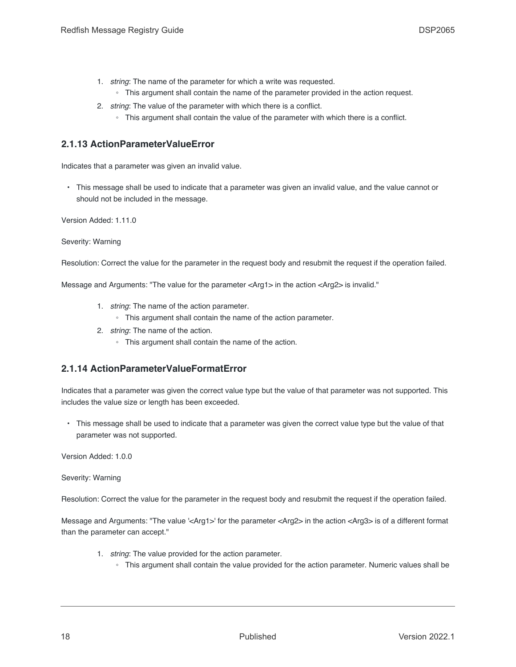- 1. *string*: The name of the parameter for which a write was requested.
	- This argument shall contain the name of the parameter provided in the action request.
- 2. *string*: The value of the parameter with which there is a conflict.
	- This argument shall contain the value of the parameter with which there is a conflict.

# <span id="page-17-0"></span>**2.1.13 ActionParameterValueError**

Indicates that a parameter was given an invalid value.

• This message shall be used to indicate that a parameter was given an invalid value, and the value cannot or should not be included in the message.

Version Added: 1.11.0

Severity: Warning

Resolution: Correct the value for the parameter in the request body and resubmit the request if the operation failed.

Message and Arguments: "The value for the parameter <Arg1> in the action <Arg2> is invalid."

- 1. *string*: The name of the action parameter.
	- This argument shall contain the name of the action parameter.
- 2. *string*: The name of the action.
	- This argument shall contain the name of the action.

# <span id="page-17-1"></span>**2.1.14 ActionParameterValueFormatError**

Indicates that a parameter was given the correct value type but the value of that parameter was not supported. This includes the value size or length has been exceeded.

• This message shall be used to indicate that a parameter was given the correct value type but the value of that parameter was not supported.

Version Added: 1.0.0

Severity: Warning

Resolution: Correct the value for the parameter in the request body and resubmit the request if the operation failed.

Message and Arguments: "The value '<Arg1>' for the parameter <Arg2> in the action <Arg3> is of a different format than the parameter can accept."

- 1. *string*: The value provided for the action parameter.
	- This argument shall contain the value provided for the action parameter. Numeric values shall be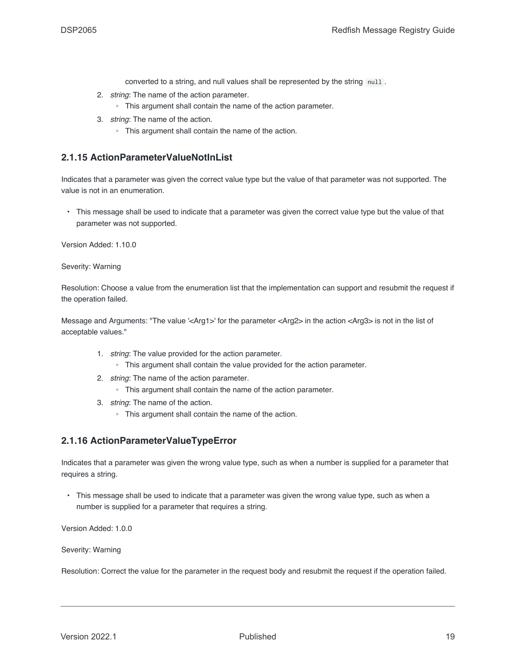converted to a string, and null values shall be represented by the string null.

- 2. *string*: The name of the action parameter.
	- This argument shall contain the name of the action parameter.
- 3. *string*: The name of the action.
	- This argument shall contain the name of the action.

#### <span id="page-18-0"></span>**2.1.15 ActionParameterValueNotInList**

Indicates that a parameter was given the correct value type but the value of that parameter was not supported. The value is not in an enumeration.

• This message shall be used to indicate that a parameter was given the correct value type but the value of that parameter was not supported.

Version Added: 1.10.0

Severity: Warning

Resolution: Choose a value from the enumeration list that the implementation can support and resubmit the request if the operation failed.

Message and Arguments: "The value '<Arg1>' for the parameter <Arg2> in the action <Arg3> is not in the list of acceptable values."

- 1. *string*: The value provided for the action parameter.
	- This argument shall contain the value provided for the action parameter.
- 2. *string*: The name of the action parameter.
	- This argument shall contain the name of the action parameter.
- 3. *string*: The name of the action.
	- This argument shall contain the name of the action.

# <span id="page-18-1"></span>**2.1.16 ActionParameterValueTypeError**

Indicates that a parameter was given the wrong value type, such as when a number is supplied for a parameter that requires a string.

• This message shall be used to indicate that a parameter was given the wrong value type, such as when a number is supplied for a parameter that requires a string.

Version Added: 1.0.0

Severity: Warning

Resolution: Correct the value for the parameter in the request body and resubmit the request if the operation failed.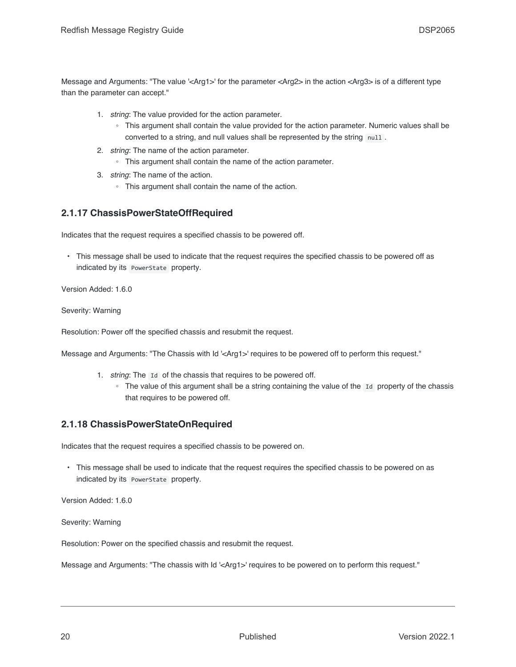Message and Arguments: "The value '<Arg1>' for the parameter <Arg2> in the action <Arg3> is of a different type than the parameter can accept."

- 1. *string*: The value provided for the action parameter.
	- This argument shall contain the value provided for the action parameter. Numeric values shall be converted to a string, and null values shall be represented by the string null.
- 2. *string*: The name of the action parameter.
	- This argument shall contain the name of the action parameter.
- 3. *string*: The name of the action.
	- This argument shall contain the name of the action.

# <span id="page-19-0"></span>**2.1.17 ChassisPowerStateOffRequired**

Indicates that the request requires a specified chassis to be powered off.

• This message shall be used to indicate that the request requires the specified chassis to be powered off as indicated by its PowerState property.

Version Added: 1.6.0

Severity: Warning

Resolution: Power off the specified chassis and resubmit the request.

Message and Arguments: "The Chassis with Id '<Arg1>' requires to be powered off to perform this request."

- 1. *string*: The Id of the chassis that requires to be powered off.
	- The value of this argument shall be a string containing the value of the Id property of the chassis that requires to be powered off.

# <span id="page-19-1"></span>**2.1.18 ChassisPowerStateOnRequired**

Indicates that the request requires a specified chassis to be powered on.

• This message shall be used to indicate that the request requires the specified chassis to be powered on as indicated by its PowerState property.

Version Added: 1.6.0

Severity: Warning

Resolution: Power on the specified chassis and resubmit the request.

Message and Arguments: "The chassis with Id '<Arg1>' requires to be powered on to perform this request."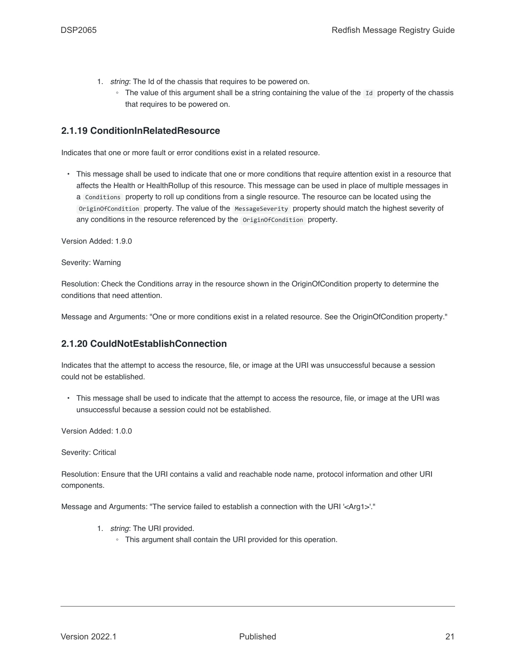- 1. *string*: The Id of the chassis that requires to be powered on.
	- The value of this argument shall be a string containing the value of the Id property of the chassis that requires to be powered on.

# <span id="page-20-0"></span>**2.1.19 ConditionInRelatedResource**

Indicates that one or more fault or error conditions exist in a related resource.

• This message shall be used to indicate that one or more conditions that require attention exist in a resource that affects the Health or HealthRollup of this resource. This message can be used in place of multiple messages in a Conditions property to roll up conditions from a single resource. The resource can be located using the OriginOfCondition property. The value of the MessageSeverity property should match the highest severity of any conditions in the resource referenced by the OriginOfCondition property.

Version Added: 1.9.0

Severity: Warning

Resolution: Check the Conditions array in the resource shown in the OriginOfCondition property to determine the conditions that need attention.

Message and Arguments: "One or more conditions exist in a related resource. See the OriginOfCondition property."

# <span id="page-20-1"></span>**2.1.20 CouldNotEstablishConnection**

Indicates that the attempt to access the resource, file, or image at the URI was unsuccessful because a session could not be established.

• This message shall be used to indicate that the attempt to access the resource, file, or image at the URI was unsuccessful because a session could not be established.

Version Added: 1.0.0

Severity: Critical

Resolution: Ensure that the URI contains a valid and reachable node name, protocol information and other URI components.

Message and Arguments: "The service failed to establish a connection with the URI '<Arg1>'."

- 1. *string*: The URI provided.
	- This argument shall contain the URI provided for this operation.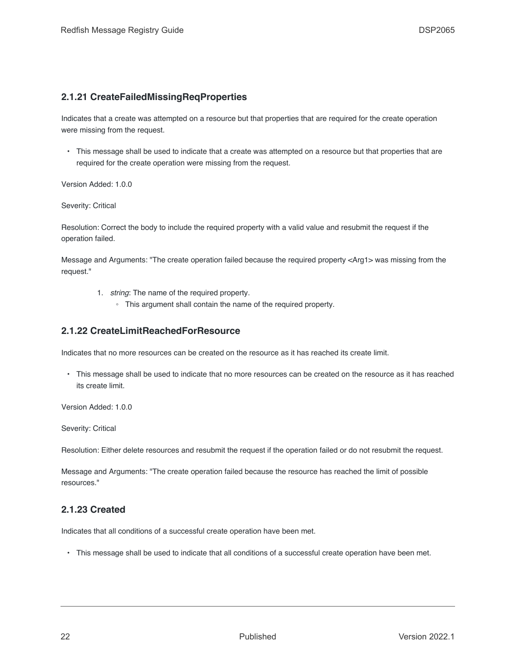# <span id="page-21-0"></span>**2.1.21 CreateFailedMissingReqProperties**

Indicates that a create was attempted on a resource but that properties that are required for the create operation were missing from the request.

• This message shall be used to indicate that a create was attempted on a resource but that properties that are required for the create operation were missing from the request.

Version Added: 1.0.0

Severity: Critical

Resolution: Correct the body to include the required property with a valid value and resubmit the request if the operation failed.

Message and Arguments: "The create operation failed because the required property <Arg1> was missing from the request."

- 1. *string*: The name of the required property.
	- This argument shall contain the name of the required property.

### <span id="page-21-1"></span>**2.1.22 CreateLimitReachedForResource**

Indicates that no more resources can be created on the resource as it has reached its create limit.

• This message shall be used to indicate that no more resources can be created on the resource as it has reached its create limit.

Version Added: 1.0.0

Severity: Critical

Resolution: Either delete resources and resubmit the request if the operation failed or do not resubmit the request.

Message and Arguments: "The create operation failed because the resource has reached the limit of possible resources."

# <span id="page-21-2"></span>**2.1.23 Created**

Indicates that all conditions of a successful create operation have been met.

• This message shall be used to indicate that all conditions of a successful create operation have been met.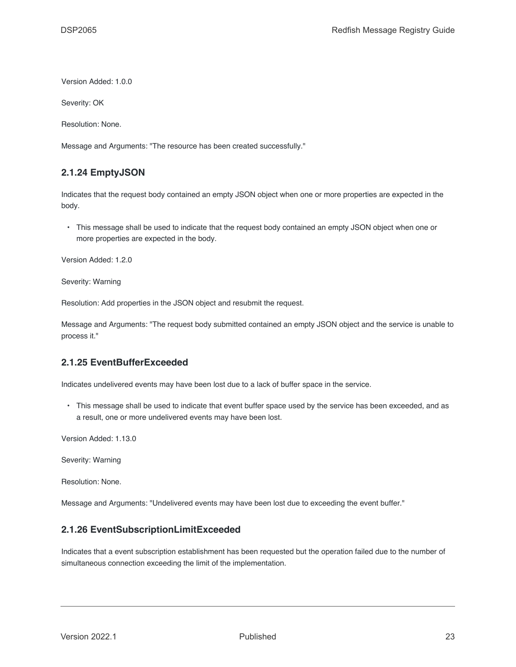Version Added: 1.0.0

Severity: OK

Resolution: None.

Message and Arguments: "The resource has been created successfully."

# <span id="page-22-0"></span>**2.1.24 EmptyJSON**

Indicates that the request body contained an empty JSON object when one or more properties are expected in the body.

• This message shall be used to indicate that the request body contained an empty JSON object when one or more properties are expected in the body.

Version Added: 1.2.0

Severity: Warning

Resolution: Add properties in the JSON object and resubmit the request.

Message and Arguments: "The request body submitted contained an empty JSON object and the service is unable to process it."

# <span id="page-22-1"></span>**2.1.25 EventBufferExceeded**

Indicates undelivered events may have been lost due to a lack of buffer space in the service.

• This message shall be used to indicate that event buffer space used by the service has been exceeded, and as a result, one or more undelivered events may have been lost.

Version Added: 1.13.0

Severity: Warning

Resolution: None.

Message and Arguments: "Undelivered events may have been lost due to exceeding the event buffer."

# <span id="page-22-2"></span>**2.1.26 EventSubscriptionLimitExceeded**

Indicates that a event subscription establishment has been requested but the operation failed due to the number of simultaneous connection exceeding the limit of the implementation.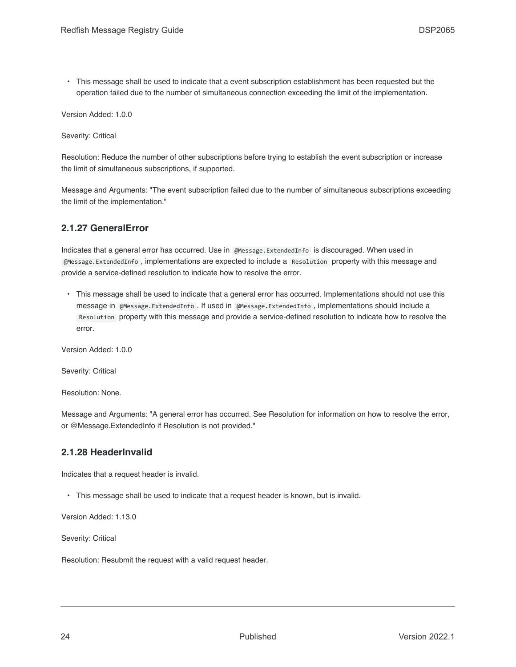• This message shall be used to indicate that a event subscription establishment has been requested but the operation failed due to the number of simultaneous connection exceeding the limit of the implementation.

Version Added: 1.0.0

Severity: Critical

Resolution: Reduce the number of other subscriptions before trying to establish the event subscription or increase the limit of simultaneous subscriptions, if supported.

Message and Arguments: "The event subscription failed due to the number of simultaneous subscriptions exceeding the limit of the implementation."

# <span id="page-23-0"></span>**2.1.27 GeneralError**

Indicates that a general error has occurred. Use in @Message.ExtendedInfo is discouraged. When used in @Message.ExtendedInfo , implementations are expected to include a Resolution property with this message and provide a service-defined resolution to indicate how to resolve the error.

• This message shall be used to indicate that a general error has occurred. Implementations should not use this message in @Message.ExtendedInfo . If used in @Message.ExtendedInfo , implementations should include a Resolution property with this message and provide a service-defined resolution to indicate how to resolve the error.

Version Added: 1.0.0

Severity: Critical

Resolution: None.

Message and Arguments: "A general error has occurred. See Resolution for information on how to resolve the error, or @Message.ExtendedInfo if Resolution is not provided."

#### <span id="page-23-1"></span>**2.1.28 HeaderInvalid**

Indicates that a request header is invalid.

• This message shall be used to indicate that a request header is known, but is invalid.

Version Added: 1.13.0

Severity: Critical

Resolution: Resubmit the request with a valid request header.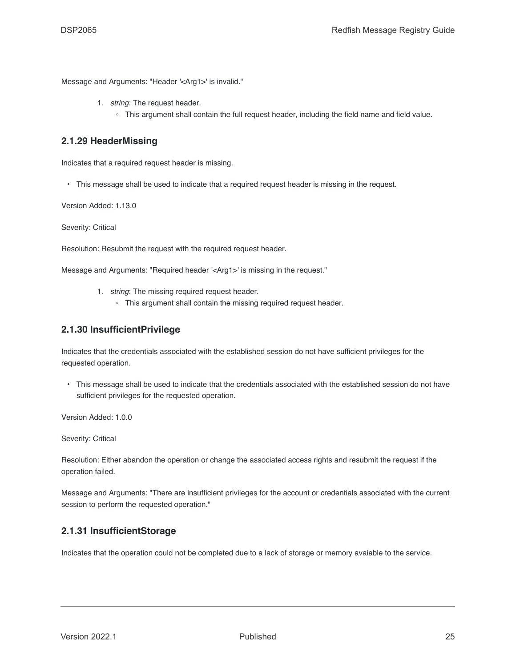Message and Arguments: "Header '<Arg1>' is invalid."

- 1. *string*: The request header.
	- This argument shall contain the full request header, including the field name and field value.

# <span id="page-24-0"></span>**2.1.29 HeaderMissing**

Indicates that a required request header is missing.

• This message shall be used to indicate that a required request header is missing in the request.

Version Added: 1.13.0

Severity: Critical

Resolution: Resubmit the request with the required request header.

Message and Arguments: "Required header '<Arg1>' is missing in the request."

- 1. *string*: The missing required request header.
	- This argument shall contain the missing required request header.

### <span id="page-24-1"></span>**2.1.30 InsufficientPrivilege**

Indicates that the credentials associated with the established session do not have sufficient privileges for the requested operation.

• This message shall be used to indicate that the credentials associated with the established session do not have sufficient privileges for the requested operation.

Version Added: 1.0.0

Severity: Critical

Resolution: Either abandon the operation or change the associated access rights and resubmit the request if the operation failed.

Message and Arguments: "There are insufficient privileges for the account or credentials associated with the current session to perform the requested operation."

# <span id="page-24-2"></span>**2.1.31 InsufficientStorage**

Indicates that the operation could not be completed due to a lack of storage or memory avaiable to the service.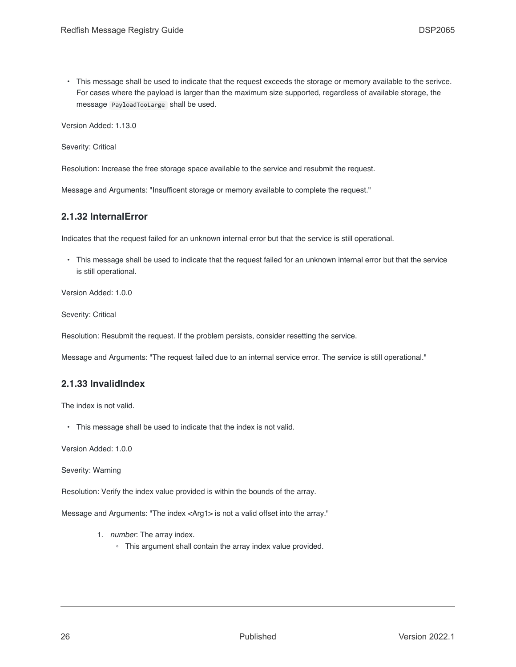• This message shall be used to indicate that the request exceeds the storage or memory available to the serivce. For cases where the payload is larger than the maximum size supported, regardless of available storage, the message PayloadTooLarge shall be used.

Version Added: 1.13.0

Severity: Critical

Resolution: Increase the free storage space available to the service and resubmit the request.

Message and Arguments: "Insufficent storage or memory available to complete the request."

#### <span id="page-25-0"></span>**2.1.32 InternalError**

Indicates that the request failed for an unknown internal error but that the service is still operational.

• This message shall be used to indicate that the request failed for an unknown internal error but that the service is still operational.

Version Added: 1.0.0

Severity: Critical

Resolution: Resubmit the request. If the problem persists, consider resetting the service.

Message and Arguments: "The request failed due to an internal service error. The service is still operational."

# <span id="page-25-1"></span>**2.1.33 InvalidIndex**

The index is not valid.

• This message shall be used to indicate that the index is not valid.

Version Added: 1.0.0

Severity: Warning

Resolution: Verify the index value provided is within the bounds of the array.

Message and Arguments: "The index <Arg1> is not a valid offset into the array."

- 1. *number*: The array index.
	- This argument shall contain the array index value provided.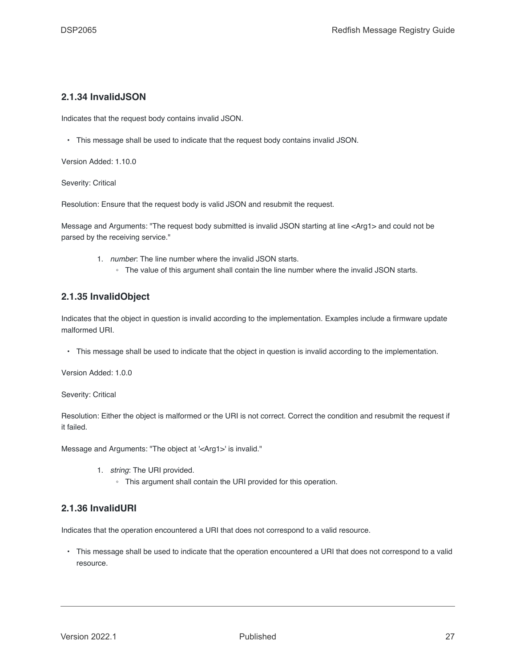# <span id="page-26-0"></span>**2.1.34 InvalidJSON**

Indicates that the request body contains invalid JSON.

• This message shall be used to indicate that the request body contains invalid JSON.

Version Added: 1.10.0

Severity: Critical

Resolution: Ensure that the request body is valid JSON and resubmit the request.

Message and Arguments: "The request body submitted is invalid JSON starting at line <Arg1> and could not be parsed by the receiving service."

- 1. *number*: The line number where the invalid JSON starts.
	- The value of this argument shall contain the line number where the invalid JSON starts.

# <span id="page-26-1"></span>**2.1.35 InvalidObject**

Indicates that the object in question is invalid according to the implementation. Examples include a firmware update malformed URI.

• This message shall be used to indicate that the object in question is invalid according to the implementation.

Version Added: 1.0.0

#### Severity: Critical

Resolution: Either the object is malformed or the URI is not correct. Correct the condition and resubmit the request if it failed.

Message and Arguments: "The object at '<Arg1>' is invalid."

- 1. *string*: The URI provided.
	- This argument shall contain the URI provided for this operation.

# <span id="page-26-2"></span>**2.1.36 InvalidURI**

Indicates that the operation encountered a URI that does not correspond to a valid resource.

• This message shall be used to indicate that the operation encountered a URI that does not correspond to a valid resource.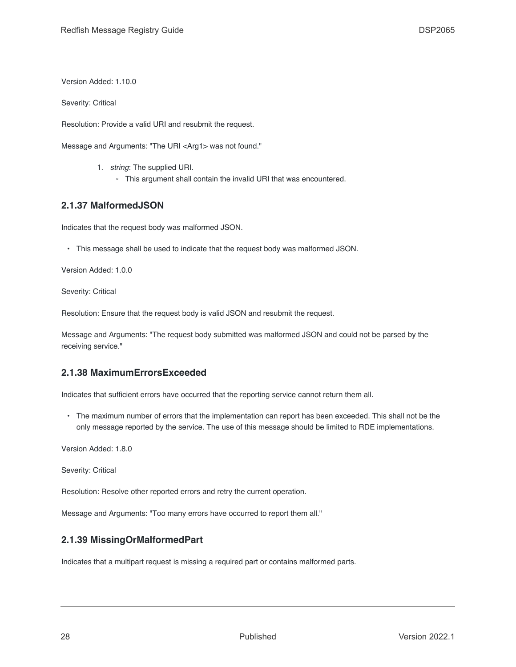Version Added: 1.10.0

Severity: Critical

Resolution: Provide a valid URI and resubmit the request.

Message and Arguments: "The URI <Arg1> was not found."

- 1. *string*: The supplied URI.
	- This argument shall contain the invalid URI that was encountered.

# <span id="page-27-0"></span>**2.1.37 MalformedJSON**

Indicates that the request body was malformed JSON.

• This message shall be used to indicate that the request body was malformed JSON.

Version Added: 1.0.0

Severity: Critical

Resolution: Ensure that the request body is valid JSON and resubmit the request.

Message and Arguments: "The request body submitted was malformed JSON and could not be parsed by the receiving service."

# <span id="page-27-1"></span>**2.1.38 MaximumErrorsExceeded**

Indicates that sufficient errors have occurred that the reporting service cannot return them all.

• The maximum number of errors that the implementation can report has been exceeded. This shall not be the only message reported by the service. The use of this message should be limited to RDE implementations.

Version Added: 1.8.0

Severity: Critical

Resolution: Resolve other reported errors and retry the current operation.

Message and Arguments: "Too many errors have occurred to report them all."

# <span id="page-27-2"></span>**2.1.39 MissingOrMalformedPart**

Indicates that a multipart request is missing a required part or contains malformed parts.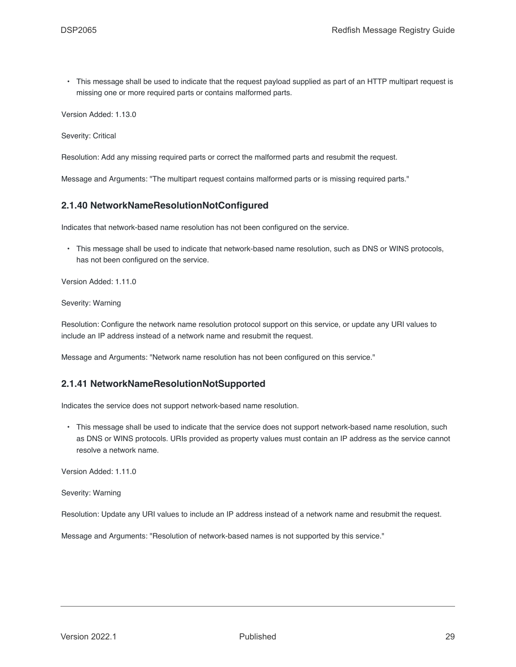• This message shall be used to indicate that the request payload supplied as part of an HTTP multipart request is missing one or more required parts or contains malformed parts.

Version Added: 1.13.0

Severity: Critical

Resolution: Add any missing required parts or correct the malformed parts and resubmit the request.

Message and Arguments: "The multipart request contains malformed parts or is missing required parts."

#### <span id="page-28-0"></span>**2.1.40 NetworkNameResolutionNotConfigured**

Indicates that network-based name resolution has not been configured on the service.

• This message shall be used to indicate that network-based name resolution, such as DNS or WINS protocols, has not been configured on the service.

Version Added: 1.11.0

Severity: Warning

Resolution: Configure the network name resolution protocol support on this service, or update any URI values to include an IP address instead of a network name and resubmit the request.

Message and Arguments: "Network name resolution has not been configured on this service."

#### <span id="page-28-1"></span>**2.1.41 NetworkNameResolutionNotSupported**

Indicates the service does not support network-based name resolution.

• This message shall be used to indicate that the service does not support network-based name resolution, such as DNS or WINS protocols. URIs provided as property values must contain an IP address as the service cannot resolve a network name.

Version Added: 1.11.0

Severity: Warning

Resolution: Update any URI values to include an IP address instead of a network name and resubmit the request.

Message and Arguments: "Resolution of network-based names is not supported by this service."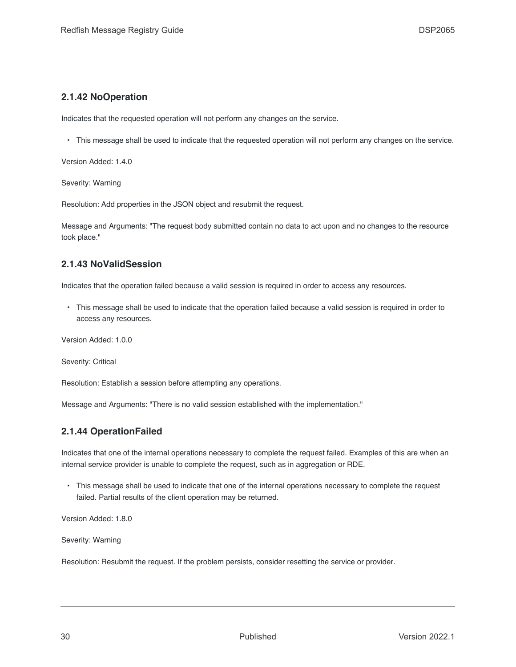# <span id="page-29-0"></span>**2.1.42 NoOperation**

Indicates that the requested operation will not perform any changes on the service.

• This message shall be used to indicate that the requested operation will not perform any changes on the service.

Version Added: 1.4.0

Severity: Warning

Resolution: Add properties in the JSON object and resubmit the request.

Message and Arguments: "The request body submitted contain no data to act upon and no changes to the resource took place."

# <span id="page-29-1"></span>**2.1.43 NoValidSession**

Indicates that the operation failed because a valid session is required in order to access any resources.

• This message shall be used to indicate that the operation failed because a valid session is required in order to access any resources.

Version Added: 1.0.0

Severity: Critical

Resolution: Establish a session before attempting any operations.

Message and Arguments: "There is no valid session established with the implementation."

# <span id="page-29-2"></span>**2.1.44 OperationFailed**

Indicates that one of the internal operations necessary to complete the request failed. Examples of this are when an internal service provider is unable to complete the request, such as in aggregation or RDE.

• This message shall be used to indicate that one of the internal operations necessary to complete the request failed. Partial results of the client operation may be returned.

Version Added: 1.8.0

Severity: Warning

Resolution: Resubmit the request. If the problem persists, consider resetting the service or provider.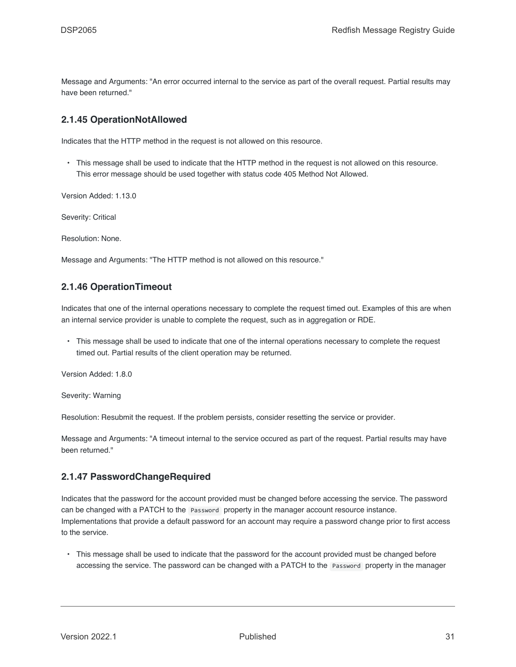Message and Arguments: "An error occurred internal to the service as part of the overall request. Partial results may have been returned."

# <span id="page-30-0"></span>**2.1.45 OperationNotAllowed**

Indicates that the HTTP method in the request is not allowed on this resource.

• This message shall be used to indicate that the HTTP method in the request is not allowed on this resource. This error message should be used together with status code 405 Method Not Allowed.

Version Added: 1.13.0

Severity: Critical

Resolution: None.

Message and Arguments: "The HTTP method is not allowed on this resource."

# <span id="page-30-1"></span>**2.1.46 OperationTimeout**

Indicates that one of the internal operations necessary to complete the request timed out. Examples of this are when an internal service provider is unable to complete the request, such as in aggregation or RDE.

• This message shall be used to indicate that one of the internal operations necessary to complete the request timed out. Partial results of the client operation may be returned.

Version Added: 1.8.0

Severity: Warning

Resolution: Resubmit the request. If the problem persists, consider resetting the service or provider.

Message and Arguments: "A timeout internal to the service occured as part of the request. Partial results may have been returned."

# <span id="page-30-2"></span>**2.1.47 PasswordChangeRequired**

Indicates that the password for the account provided must be changed before accessing the service. The password can be changed with a PATCH to the Password property in the manager account resource instance. Implementations that provide a default password for an account may require a password change prior to first access to the service.

• This message shall be used to indicate that the password for the account provided must be changed before accessing the service. The password can be changed with a PATCH to the Password property in the manager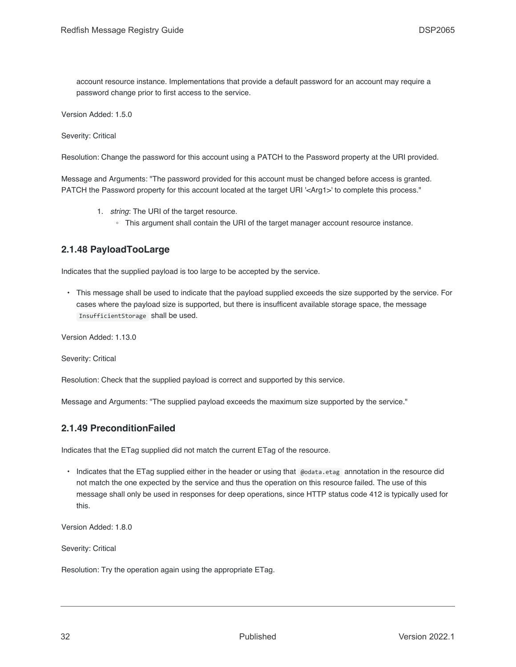account resource instance. Implementations that provide a default password for an account may require a password change prior to first access to the service.

Version Added: 1.5.0

Severity: Critical

Resolution: Change the password for this account using a PATCH to the Password property at the URI provided.

Message and Arguments: "The password provided for this account must be changed before access is granted. PATCH the Password property for this account located at the target URI '<Arg1>' to complete this process."

- 1. *string*: The URI of the target resource.
	- This argument shall contain the URI of the target manager account resource instance.

# <span id="page-31-0"></span>**2.1.48 PayloadTooLarge**

Indicates that the supplied payload is too large to be accepted by the service.

• This message shall be used to indicate that the payload supplied exceeds the size supported by the service. For cases where the payload size is supported, but there is insufficent available storage space, the message InsufficientStorage shall be used.

Version Added: 1.13.0

Severity: Critical

Resolution: Check that the supplied payload is correct and supported by this service.

Message and Arguments: "The supplied payload exceeds the maximum size supported by the service."

#### <span id="page-31-1"></span>**2.1.49 PreconditionFailed**

Indicates that the ETag supplied did not match the current ETag of the resource.

• Indicates that the ETag supplied either in the header or using that @odata.etag annotation in the resource did not match the one expected by the service and thus the operation on this resource failed. The use of this message shall only be used in responses for deep operations, since HTTP status code 412 is typically used for this.

Version Added: 1.8.0

Severity: Critical

Resolution: Try the operation again using the appropriate ETag.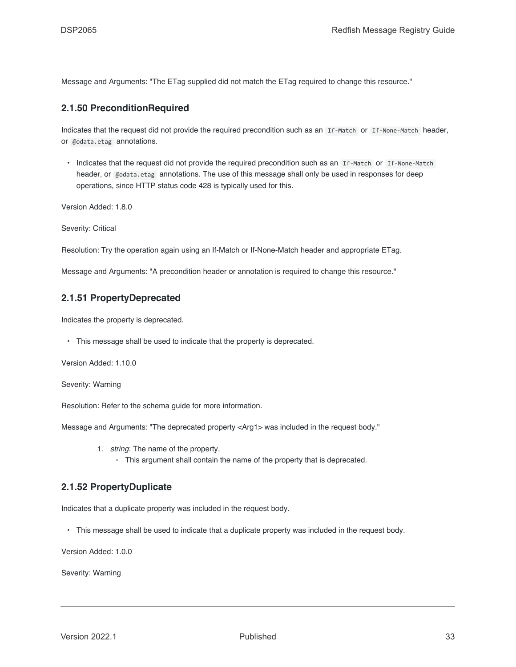Message and Arguments: "The ETag supplied did not match the ETag required to change this resource."

#### <span id="page-32-0"></span>**2.1.50 PreconditionRequired**

Indicates that the request did not provide the required precondition such as an If-Match or If-None-Match header, or @odata.etag annotations.

• Indicates that the request did not provide the required precondition such as an If-Match or If-None-Match header, or @odata.etag annotations. The use of this message shall only be used in responses for deep operations, since HTTP status code 428 is typically used for this.

Version Added: 1.8.0

Severity: Critical

Resolution: Try the operation again using an If-Match or If-None-Match header and appropriate ETag.

Message and Arguments: "A precondition header or annotation is required to change this resource."

#### <span id="page-32-1"></span>**2.1.51 PropertyDeprecated**

Indicates the property is deprecated.

• This message shall be used to indicate that the property is deprecated.

Version Added: 1.10.0

Severity: Warning

Resolution: Refer to the schema guide for more information.

Message and Arguments: "The deprecated property <Arg1> was included in the request body."

- 1. *string*: The name of the property.
	- This argument shall contain the name of the property that is deprecated.

#### <span id="page-32-2"></span>**2.1.52 PropertyDuplicate**

Indicates that a duplicate property was included in the request body.

• This message shall be used to indicate that a duplicate property was included in the request body.

Version Added: 1.0.0

Severity: Warning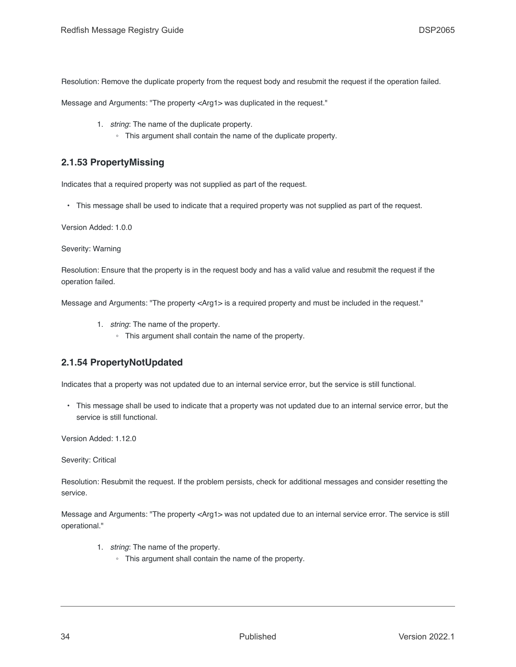Resolution: Remove the duplicate property from the request body and resubmit the request if the operation failed.

Message and Arguments: "The property <Arg1> was duplicated in the request."

- 1. *string*: The name of the duplicate property.
	- This argument shall contain the name of the duplicate property.

# <span id="page-33-0"></span>**2.1.53 PropertyMissing**

Indicates that a required property was not supplied as part of the request.

• This message shall be used to indicate that a required property was not supplied as part of the request.

Version Added: 1.0.0

Severity: Warning

Resolution: Ensure that the property is in the request body and has a valid value and resubmit the request if the operation failed.

Message and Arguments: "The property <Arg1> is a required property and must be included in the request."

- 1. *string*: The name of the property.
	- This argument shall contain the name of the property.

# <span id="page-33-1"></span>**2.1.54 PropertyNotUpdated**

Indicates that a property was not updated due to an internal service error, but the service is still functional.

• This message shall be used to indicate that a property was not updated due to an internal service error, but the service is still functional.

Version Added: 1.12.0

Severity: Critical

Resolution: Resubmit the request. If the problem persists, check for additional messages and consider resetting the service.

Message and Arguments: "The property <Arg1> was not updated due to an internal service error. The service is still operational."

- 1. *string*: The name of the property.
	- This argument shall contain the name of the property.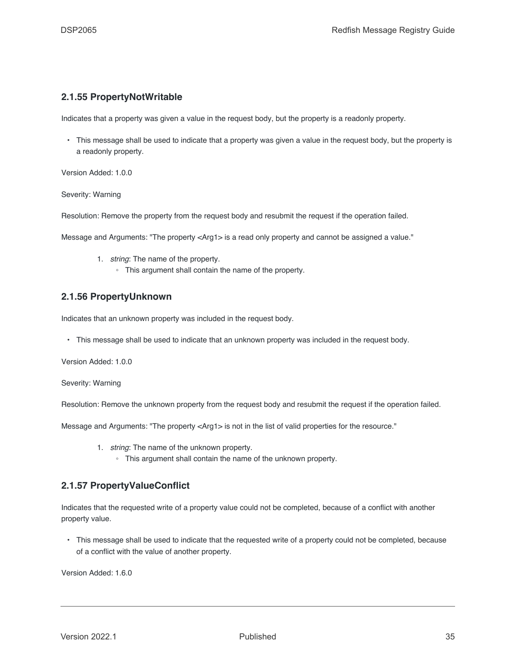# <span id="page-34-0"></span>**2.1.55 PropertyNotWritable**

Indicates that a property was given a value in the request body, but the property is a readonly property.

• This message shall be used to indicate that a property was given a value in the request body, but the property is a readonly property.

Version Added: 1.0.0

Severity: Warning

Resolution: Remove the property from the request body and resubmit the request if the operation failed.

Message and Arguments: "The property <Arg1> is a read only property and cannot be assigned a value."

- 1. *string*: The name of the property.
	- This argument shall contain the name of the property.

# <span id="page-34-1"></span>**2.1.56 PropertyUnknown**

Indicates that an unknown property was included in the request body.

• This message shall be used to indicate that an unknown property was included in the request body.

Version Added: 1.0.0

Severity: Warning

Resolution: Remove the unknown property from the request body and resubmit the request if the operation failed.

Message and Arguments: "The property <Arg1> is not in the list of valid properties for the resource."

- 1. *string*: The name of the unknown property.
	- This argument shall contain the name of the unknown property.

# <span id="page-34-2"></span>**2.1.57 PropertyValueConflict**

Indicates that the requested write of a property value could not be completed, because of a conflict with another property value.

• This message shall be used to indicate that the requested write of a property could not be completed, because of a conflict with the value of another property.

Version Added: 1.6.0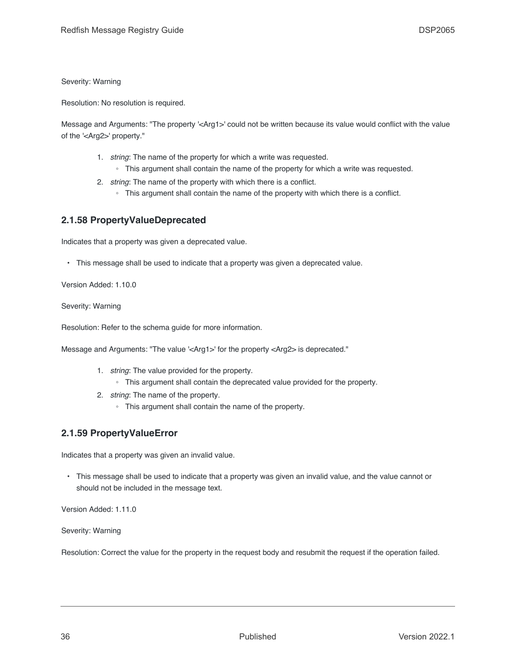Severity: Warning

Resolution: No resolution is required.

Message and Arguments: "The property '<Arg1>' could not be written because its value would conflict with the value of the '<Arg2>' property."

- 1. *string*: The name of the property for which a write was requested.
	- This argument shall contain the name of the property for which a write was requested.
- 2. *string*: The name of the property with which there is a conflict.
	- This argument shall contain the name of the property with which there is a conflict.

# <span id="page-35-0"></span>**2.1.58 PropertyValueDeprecated**

Indicates that a property was given a deprecated value.

• This message shall be used to indicate that a property was given a deprecated value.

Version Added: 1.10.0

Severity: Warning

Resolution: Refer to the schema guide for more information.

Message and Arguments: "The value '<Arg1>' for the property <Arg2> is deprecated."

- 1. *string*: The value provided for the property.
	- This argument shall contain the deprecated value provided for the property.
- 2. *string*: The name of the property.
	- This argument shall contain the name of the property.

# <span id="page-35-1"></span>**2.1.59 PropertyValueError**

Indicates that a property was given an invalid value.

• This message shall be used to indicate that a property was given an invalid value, and the value cannot or should not be included in the message text.

Version Added: 1.11.0

Severity: Warning

Resolution: Correct the value for the property in the request body and resubmit the request if the operation failed.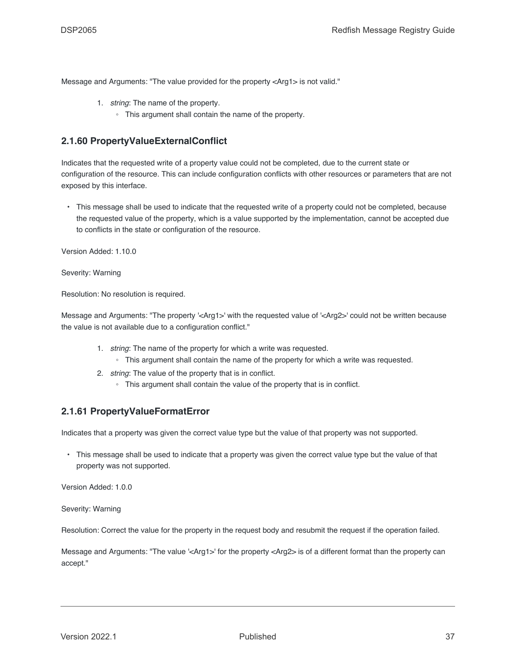Message and Arguments: "The value provided for the property <Arg1> is not valid."

- 1. *string*: The name of the property.
	- This argument shall contain the name of the property.

## **2.1.60 PropertyValueExternalConflict**

Indicates that the requested write of a property value could not be completed, due to the current state or configuration of the resource. This can include configuration conflicts with other resources or parameters that are not exposed by this interface.

• This message shall be used to indicate that the requested write of a property could not be completed, because the requested value of the property, which is a value supported by the implementation, cannot be accepted due to conflicts in the state or configuration of the resource.

Version Added: 1.10.0

Severity: Warning

Resolution: No resolution is required.

Message and Arguments: "The property '<Arg1>' with the requested value of '<Arg2>' could not be written because the value is not available due to a configuration conflict."

- 1. *string*: The name of the property for which a write was requested.
	- This argument shall contain the name of the property for which a write was requested.
- 2. *string*: The value of the property that is in conflict.
	- This argument shall contain the value of the property that is in conflict.

#### **2.1.61 PropertyValueFormatError**

Indicates that a property was given the correct value type but the value of that property was not supported.

• This message shall be used to indicate that a property was given the correct value type but the value of that property was not supported.

Version Added: 1.0.0

Severity: Warning

Resolution: Correct the value for the property in the request body and resubmit the request if the operation failed.

Message and Arguments: "The value '<Arg1>' for the property <Arg2> is of a different format than the property can accept."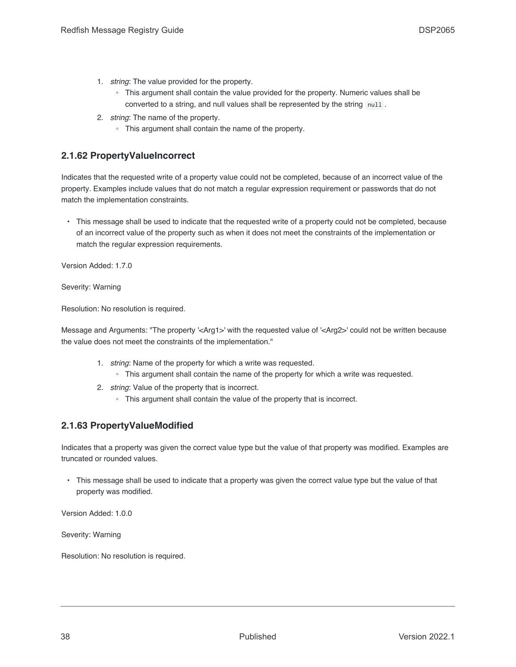- 1. *string*: The value provided for the property.
	- This argument shall contain the value provided for the property. Numeric values shall be converted to a string, and null values shall be represented by the string null.
- 2. *string*: The name of the property.
	- This argument shall contain the name of the property.

## **2.1.62 PropertyValueIncorrect**

Indicates that the requested write of a property value could not be completed, because of an incorrect value of the property. Examples include values that do not match a regular expression requirement or passwords that do not match the implementation constraints.

• This message shall be used to indicate that the requested write of a property could not be completed, because of an incorrect value of the property such as when it does not meet the constraints of the implementation or match the regular expression requirements.

Version Added: 1.7.0

Severity: Warning

Resolution: No resolution is required.

Message and Arguments: "The property '<Arg1>' with the requested value of '<Arg2>' could not be written because the value does not meet the constraints of the implementation."

- 1. *string*: Name of the property for which a write was requested.
	- This argument shall contain the name of the property for which a write was requested.
- 2. *string*: Value of the property that is incorrect.
	- This argument shall contain the value of the property that is incorrect.

## **2.1.63 PropertyValueModified**

Indicates that a property was given the correct value type but the value of that property was modified. Examples are truncated or rounded values.

• This message shall be used to indicate that a property was given the correct value type but the value of that property was modified.

Version Added: 1.0.0

Severity: Warning

Resolution: No resolution is required.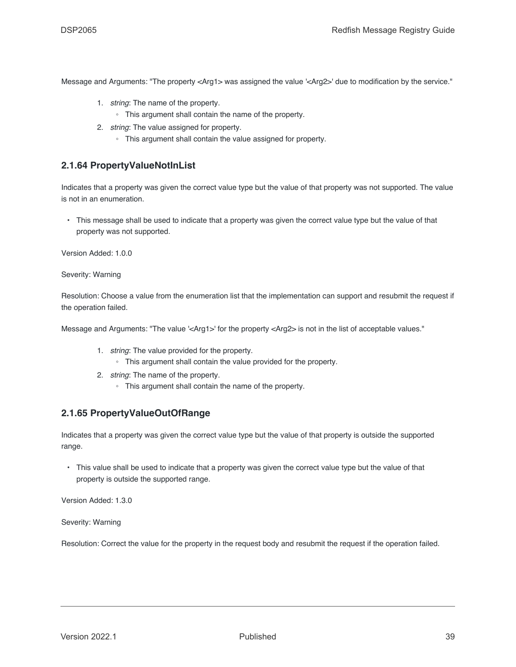Message and Arguments: "The property <Arg1> was assigned the value '<Arg2>' due to modification by the service."

- 1. *string*: The name of the property.
	- This argument shall contain the name of the property.
- 2. *string*: The value assigned for property.
	- This argument shall contain the value assigned for property.

## **2.1.64 PropertyValueNotInList**

Indicates that a property was given the correct value type but the value of that property was not supported. The value is not in an enumeration.

• This message shall be used to indicate that a property was given the correct value type but the value of that property was not supported.

Version Added: 1.0.0

Severity: Warning

Resolution: Choose a value from the enumeration list that the implementation can support and resubmit the request if the operation failed.

Message and Arguments: "The value '<Arg1>' for the property <Arg2> is not in the list of acceptable values."

- 1. *string*: The value provided for the property.
	- This argument shall contain the value provided for the property.
- 2. *string*: The name of the property.
	- This argument shall contain the name of the property.

## **2.1.65 PropertyValueOutOfRange**

Indicates that a property was given the correct value type but the value of that property is outside the supported range.

• This value shall be used to indicate that a property was given the correct value type but the value of that property is outside the supported range.

Version Added: 1.3.0

Severity: Warning

Resolution: Correct the value for the property in the request body and resubmit the request if the operation failed.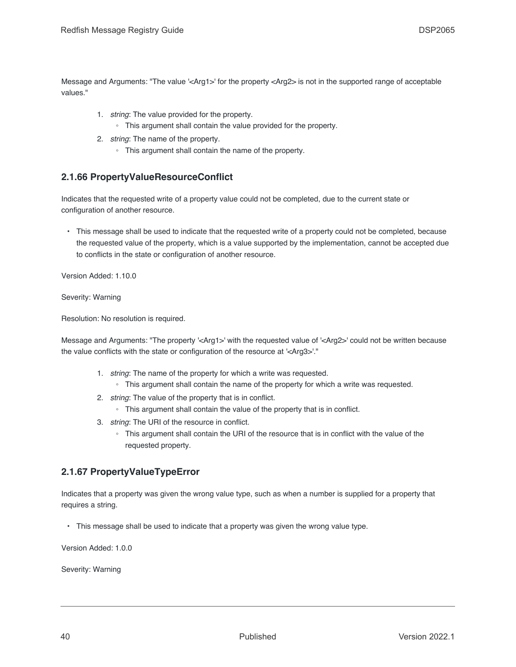Message and Arguments: "The value '<Arg1>' for the property <Arg2> is not in the supported range of acceptable values."

- 1. *string*: The value provided for the property.
	- This argument shall contain the value provided for the property.
- 2. *string*: The name of the property.
	- This argument shall contain the name of the property.

## **2.1.66 PropertyValueResourceConflict**

Indicates that the requested write of a property value could not be completed, due to the current state or configuration of another resource.

• This message shall be used to indicate that the requested write of a property could not be completed, because the requested value of the property, which is a value supported by the implementation, cannot be accepted due to conflicts in the state or configuration of another resource.

Version Added: 1.10.0

Severity: Warning

Resolution: No resolution is required.

Message and Arguments: "The property '<Arg1>' with the requested value of '<Arg2>' could not be written because the value conflicts with the state or configuration of the resource at '<Arg3>'."

- 1. *string*: The name of the property for which a write was requested.
	- This argument shall contain the name of the property for which a write was requested.
- 2. *string*: The value of the property that is in conflict.
	- This argument shall contain the value of the property that is in conflict.
- 3. *string*: The URI of the resource in conflict.
	- This argument shall contain the URI of the resource that is in conflict with the value of the requested property.

#### **2.1.67 PropertyValueTypeError**

Indicates that a property was given the wrong value type, such as when a number is supplied for a property that requires a string.

• This message shall be used to indicate that a property was given the wrong value type.

Version Added: 1.0.0

Severity: Warning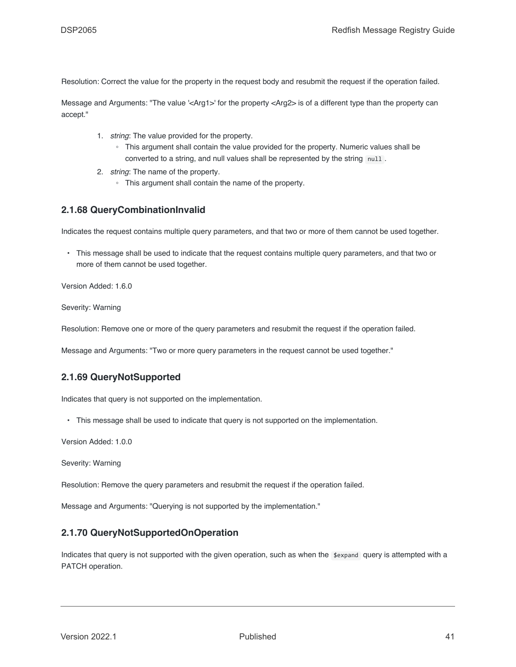Resolution: Correct the value for the property in the request body and resubmit the request if the operation failed.

Message and Arguments: "The value '<Arg1>' for the property <Arg2> is of a different type than the property can accept."

- 1. *string*: The value provided for the property.
	- This argument shall contain the value provided for the property. Numeric values shall be converted to a string, and null values shall be represented by the string null.
- 2. *string*: The name of the property.
	- This argument shall contain the name of the property.

#### **2.1.68 QueryCombinationInvalid**

Indicates the request contains multiple query parameters, and that two or more of them cannot be used together.

• This message shall be used to indicate that the request contains multiple query parameters, and that two or more of them cannot be used together.

Version Added: 1.6.0

Severity: Warning

Resolution: Remove one or more of the query parameters and resubmit the request if the operation failed.

Message and Arguments: "Two or more query parameters in the request cannot be used together."

#### **2.1.69 QueryNotSupported**

Indicates that query is not supported on the implementation.

• This message shall be used to indicate that query is not supported on the implementation.

Version Added: 1.0.0

Severity: Warning

Resolution: Remove the query parameters and resubmit the request if the operation failed.

Message and Arguments: "Querying is not supported by the implementation."

#### **2.1.70 QueryNotSupportedOnOperation**

Indicates that query is not supported with the given operation, such as when the \$expand query is attempted with a PATCH operation.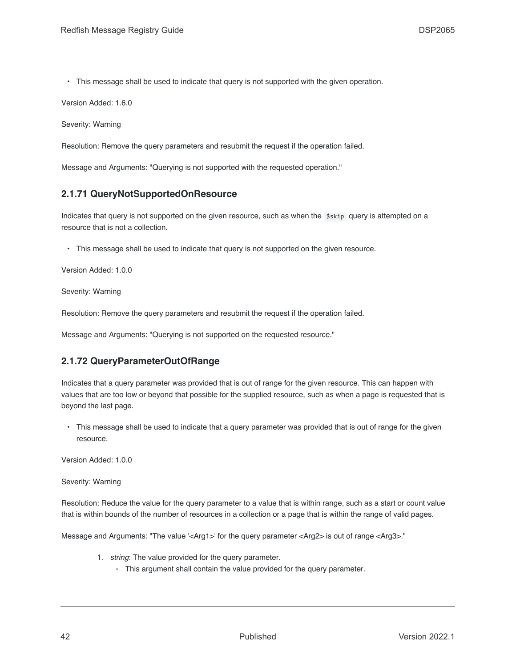• This message shall be used to indicate that query is not supported with the given operation.

Version Added: 1.6.0

Severity: Warning

Resolution: Remove the query parameters and resubmit the request if the operation failed.

Message and Arguments: "Querying is not supported with the requested operation."

## **2.1.71 QueryNotSupportedOnResource**

Indicates that query is not supported on the given resource, such as when the \$skip query is attempted on a resource that is not a collection.

• This message shall be used to indicate that query is not supported on the given resource.

Version Added: 1.0.0

Severity: Warning

Resolution: Remove the query parameters and resubmit the request if the operation failed.

Message and Arguments: "Querying is not supported on the requested resource."

## **2.1.72 QueryParameterOutOfRange**

Indicates that a query parameter was provided that is out of range for the given resource. This can happen with values that are too low or beyond that possible for the supplied resource, such as when a page is requested that is beyond the last page.

• This message shall be used to indicate that a query parameter was provided that is out of range for the given resource.

Version Added: 1.0.0

Severity: Warning

Resolution: Reduce the value for the query parameter to a value that is within range, such as a start or count value that is within bounds of the number of resources in a collection or a page that is within the range of valid pages.

Message and Arguments: "The value '<Arg1>' for the query parameter <Arg2> is out of range <Arg3>."

- 1. *string*: The value provided for the query parameter.
	- This argument shall contain the value provided for the query parameter.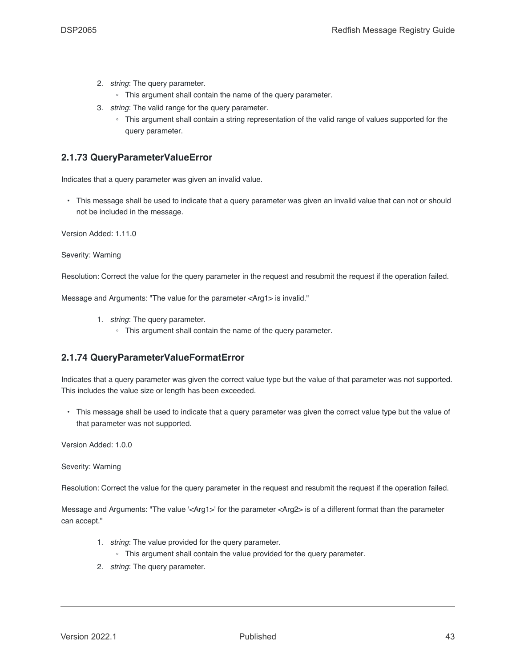- 2. *string*: The query parameter.
	- This argument shall contain the name of the query parameter.
- 3. *string*: The valid range for the query parameter.
	- This argument shall contain a string representation of the valid range of values supported for the query parameter.

#### **2.1.73 QueryParameterValueError**

Indicates that a query parameter was given an invalid value.

• This message shall be used to indicate that a query parameter was given an invalid value that can not or should not be included in the message.

Version Added: 1.11.0

Severity: Warning

Resolution: Correct the value for the query parameter in the request and resubmit the request if the operation failed.

Message and Arguments: "The value for the parameter <Arg1> is invalid."

- 1. *string*: The query parameter.
	- This argument shall contain the name of the query parameter.

#### **2.1.74 QueryParameterValueFormatError**

Indicates that a query parameter was given the correct value type but the value of that parameter was not supported. This includes the value size or length has been exceeded.

• This message shall be used to indicate that a query parameter was given the correct value type but the value of that parameter was not supported.

Version Added: 1.0.0

Severity: Warning

Resolution: Correct the value for the query parameter in the request and resubmit the request if the operation failed.

Message and Arguments: "The value '<Arg1>' for the parameter <Arg2> is of a different format than the parameter can accept."

- 1. *string*: The value provided for the query parameter.
	- This argument shall contain the value provided for the query parameter.
- 2. *string*: The query parameter.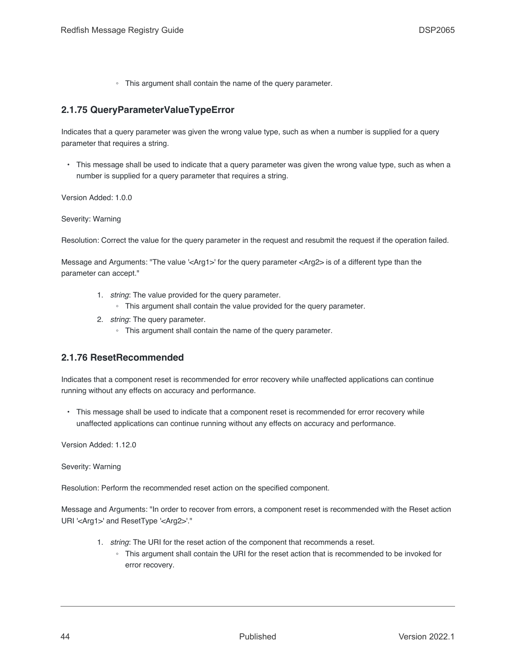◦ This argument shall contain the name of the query parameter.

## **2.1.75 QueryParameterValueTypeError**

Indicates that a query parameter was given the wrong value type, such as when a number is supplied for a query parameter that requires a string.

• This message shall be used to indicate that a query parameter was given the wrong value type, such as when a number is supplied for a query parameter that requires a string.

Version Added: 1.0.0

Severity: Warning

Resolution: Correct the value for the query parameter in the request and resubmit the request if the operation failed.

Message and Arguments: "The value '<Arg1>' for the query parameter <Arg2> is of a different type than the parameter can accept."

- 1. *string*: The value provided for the query parameter.
	- This argument shall contain the value provided for the query parameter.
- 2. *string*: The query parameter.
	- This argument shall contain the name of the query parameter.

#### **2.1.76 ResetRecommended**

Indicates that a component reset is recommended for error recovery while unaffected applications can continue running without any effects on accuracy and performance.

• This message shall be used to indicate that a component reset is recommended for error recovery while unaffected applications can continue running without any effects on accuracy and performance.

Version Added: 1.12.0

Severity: Warning

Resolution: Perform the recommended reset action on the specified component.

Message and Arguments: "In order to recover from errors, a component reset is recommended with the Reset action URI '<Arg1>' and ResetType '<Arg2>'."

- 1. *string*: The URI for the reset action of the component that recommends a reset.
	- This argument shall contain the URI for the reset action that is recommended to be invoked for error recovery.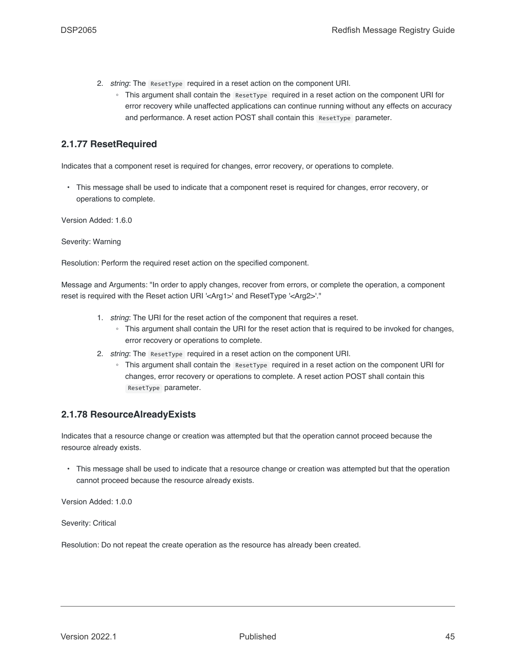- 2. *string*: The ResetType required in a reset action on the component URI.
	- This argument shall contain the ResetType required in a reset action on the component URI for error recovery while unaffected applications can continue running without any effects on accuracy and performance. A reset action POST shall contain this ResetType parameter.

## **2.1.77 ResetRequired**

Indicates that a component reset is required for changes, error recovery, or operations to complete.

• This message shall be used to indicate that a component reset is required for changes, error recovery, or operations to complete.

Version Added: 1.6.0

Severity: Warning

Resolution: Perform the required reset action on the specified component.

Message and Arguments: "In order to apply changes, recover from errors, or complete the operation, a component reset is required with the Reset action URI '<Arg1>' and ResetType '<Arg2>'."

- 1. *string*: The URI for the reset action of the component that requires a reset.
	- This argument shall contain the URI for the reset action that is required to be invoked for changes, error recovery or operations to complete.
- 2. *string*: The ResetType required in a reset action on the component URI.
	- This argument shall contain the ResetType required in a reset action on the component URI for changes, error recovery or operations to complete. A reset action POST shall contain this ResetType parameter.

#### **2.1.78 ResourceAlreadyExists**

Indicates that a resource change or creation was attempted but that the operation cannot proceed because the resource already exists.

• This message shall be used to indicate that a resource change or creation was attempted but that the operation cannot proceed because the resource already exists.

Version Added: 1.0.0

Severity: Critical

Resolution: Do not repeat the create operation as the resource has already been created.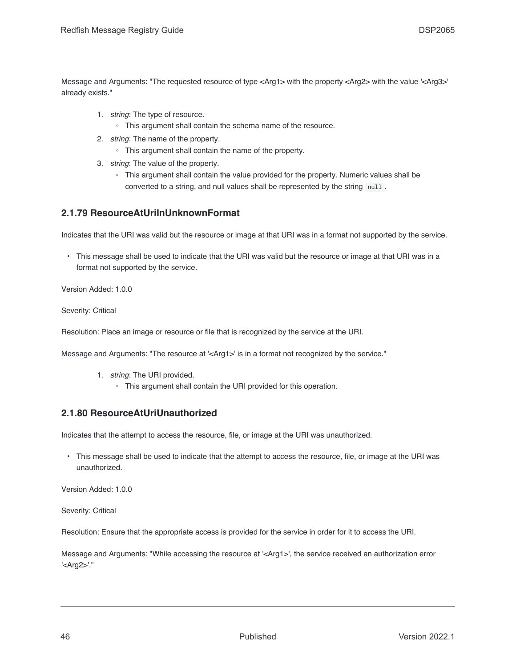Message and Arguments: "The requested resource of type <Arg1> with the property <Arg2> with the value '<Arg3>' already exists."

- 1. *string*: The type of resource.
	- This argument shall contain the schema name of the resource.
- 2. *string*: The name of the property.
	- This argument shall contain the name of the property.
- 3. *string*: The value of the property.
	- This argument shall contain the value provided for the property. Numeric values shall be converted to a string, and null values shall be represented by the string null.

## **2.1.79 ResourceAtUriInUnknownFormat**

Indicates that the URI was valid but the resource or image at that URI was in a format not supported by the service.

• This message shall be used to indicate that the URI was valid but the resource or image at that URI was in a format not supported by the service.

Version Added: 1.0.0

Severity: Critical

Resolution: Place an image or resource or file that is recognized by the service at the URI.

Message and Arguments: "The resource at '<Arg1>' is in a format not recognized by the service."

- 1. *string*: The URI provided.
	- This argument shall contain the URI provided for this operation.

## **2.1.80 ResourceAtUriUnauthorized**

Indicates that the attempt to access the resource, file, or image at the URI was unauthorized.

• This message shall be used to indicate that the attempt to access the resource, file, or image at the URI was unauthorized.

Version Added: 1.0.0

Severity: Critical

Resolution: Ensure that the appropriate access is provided for the service in order for it to access the URI.

Message and Arguments: "While accessing the resource at '<Arg1>', the service received an authorization error '<Arg2>'."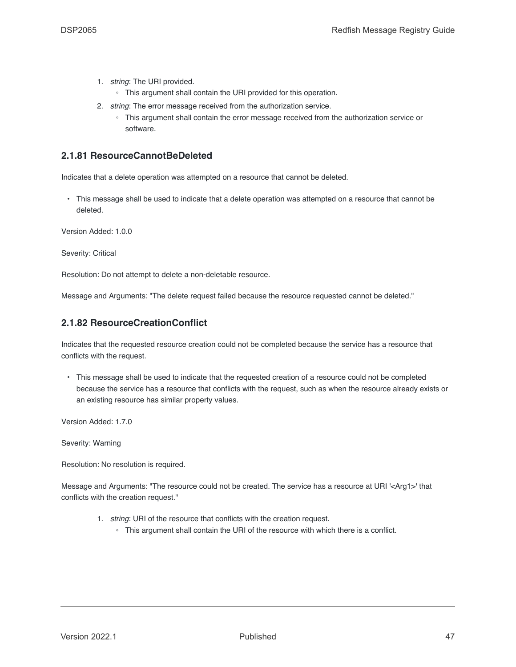- 1. *string*: The URI provided.
	- This argument shall contain the URI provided for this operation.
- 2. *string*: The error message received from the authorization service.
	- This argument shall contain the error message received from the authorization service or software.

## **2.1.81 ResourceCannotBeDeleted**

Indicates that a delete operation was attempted on a resource that cannot be deleted.

• This message shall be used to indicate that a delete operation was attempted on a resource that cannot be deleted.

Version Added: 1.0.0

Severity: Critical

Resolution: Do not attempt to delete a non-deletable resource.

Message and Arguments: "The delete request failed because the resource requested cannot be deleted."

#### **2.1.82 ResourceCreationConflict**

Indicates that the requested resource creation could not be completed because the service has a resource that conflicts with the request.

• This message shall be used to indicate that the requested creation of a resource could not be completed because the service has a resource that conflicts with the request, such as when the resource already exists or an existing resource has similar property values.

Version Added: 1.7.0

Severity: Warning

Resolution: No resolution is required.

Message and Arguments: "The resource could not be created. The service has a resource at URI '<Arg1>' that conflicts with the creation request."

- 1. *string*: URI of the resource that conflicts with the creation request.
	- This argument shall contain the URI of the resource with which there is a conflict.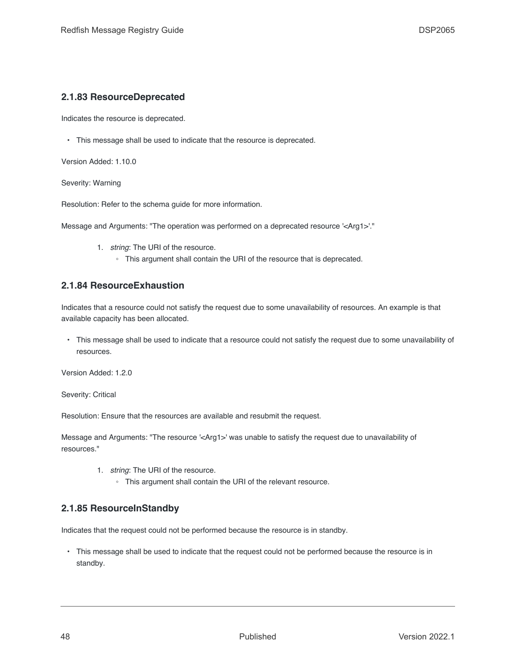## **2.1.83 ResourceDeprecated**

Indicates the resource is deprecated.

• This message shall be used to indicate that the resource is deprecated.

Version Added: 1.10.0

Severity: Warning

Resolution: Refer to the schema guide for more information.

Message and Arguments: "The operation was performed on a deprecated resource '<Arg1>'."

- 1. *string*: The URI of the resource.
	- This argument shall contain the URI of the resource that is deprecated.

## **2.1.84 ResourceExhaustion**

Indicates that a resource could not satisfy the request due to some unavailability of resources. An example is that available capacity has been allocated.

• This message shall be used to indicate that a resource could not satisfy the request due to some unavailability of resources.

Version Added: 1.2.0

Severity: Critical

Resolution: Ensure that the resources are available and resubmit the request.

Message and Arguments: "The resource '<Arg1>' was unable to satisfy the request due to unavailability of resources."

- 1. *string*: The URI of the resource.
	- This argument shall contain the URI of the relevant resource.

## **2.1.85 ResourceInStandby**

Indicates that the request could not be performed because the resource is in standby.

This message shall be used to indicate that the request could not be performed because the resource is in standby.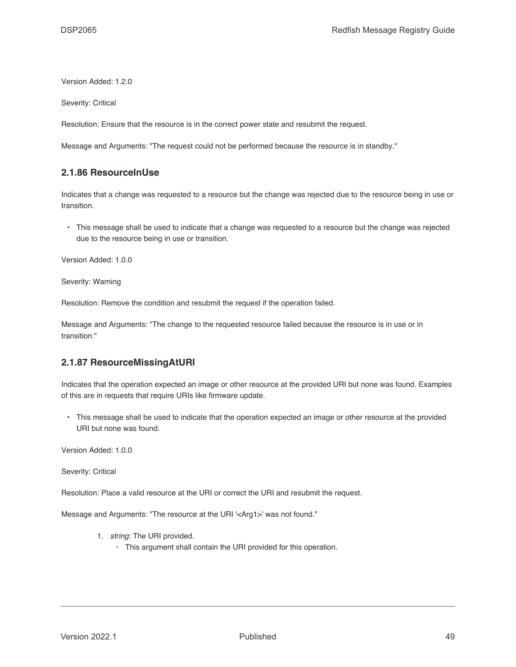Version Added: 1.2.0

Severity: Critical

Resolution: Ensure that the resource is in the correct power state and resubmit the request.

Message and Arguments: "The request could not be performed because the resource is in standby."

## **2.1.86 ResourceInUse**

Indicates that a change was requested to a resource but the change was rejected due to the resource being in use or transition.

• This message shall be used to indicate that a change was requested to a resource but the change was rejected due to the resource being in use or transition.

Version Added: 1.0.0

Severity: Warning

Resolution: Remove the condition and resubmit the request if the operation failed.

Message and Arguments: "The change to the requested resource failed because the resource is in use or in transition."

#### **2.1.87 ResourceMissingAtURI**

Indicates that the operation expected an image or other resource at the provided URI but none was found. Examples of this are in requests that require URIs like firmware update.

• This message shall be used to indicate that the operation expected an image or other resource at the provided URI but none was found.

Version Added: 1.0.0

Severity: Critical

Resolution: Place a valid resource at the URI or correct the URI and resubmit the request.

Message and Arguments: "The resource at the URI '<Arg1>' was not found."

- 1. *string*: The URI provided.
	- This argument shall contain the URI provided for this operation.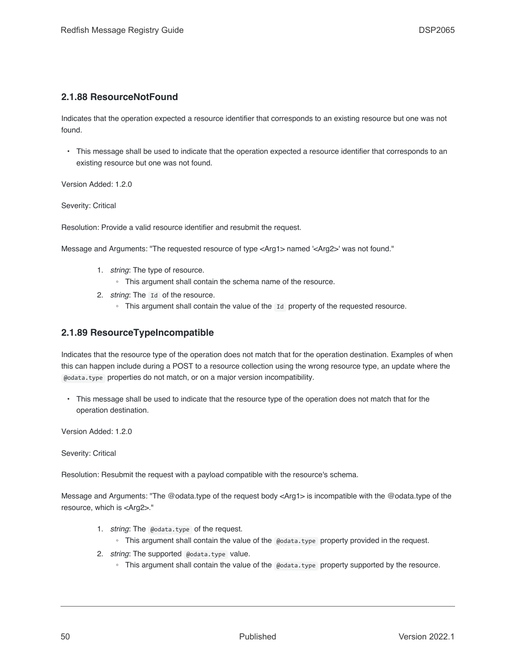## **2.1.88 ResourceNotFound**

Indicates that the operation expected a resource identifier that corresponds to an existing resource but one was not found.

• This message shall be used to indicate that the operation expected a resource identifier that corresponds to an existing resource but one was not found.

Version Added: 1.2.0

Severity: Critical

Resolution: Provide a valid resource identifier and resubmit the request.

Message and Arguments: "The requested resource of type <Arg1> named '<Arg2>' was not found."

- 1. *string*: The type of resource.
	- This argument shall contain the schema name of the resource.
- 2. *string*: The Id of the resource.
	- This argument shall contain the value of the Id property of the requested resource.

#### **2.1.89 ResourceTypeIncompatible**

Indicates that the resource type of the operation does not match that for the operation destination. Examples of when this can happen include during a POST to a resource collection using the wrong resource type, an update where the @odata.type properties do not match, or on a major version incompatibility.

• This message shall be used to indicate that the resource type of the operation does not match that for the operation destination.

Version Added: 1.2.0

Severity: Critical

Resolution: Resubmit the request with a payload compatible with the resource's schema.

Message and Arguments: "The @odata.type of the request body <Arg1> is incompatible with the @odata.type of the resource, which is <Arg2>."

- 1. *string*: The @odata.type of the request.
	- This argument shall contain the value of the @odata.type property provided in the request.
- 2. *string*: The supported @odata.type value.
	- This argument shall contain the value of the @odata.type property supported by the resource.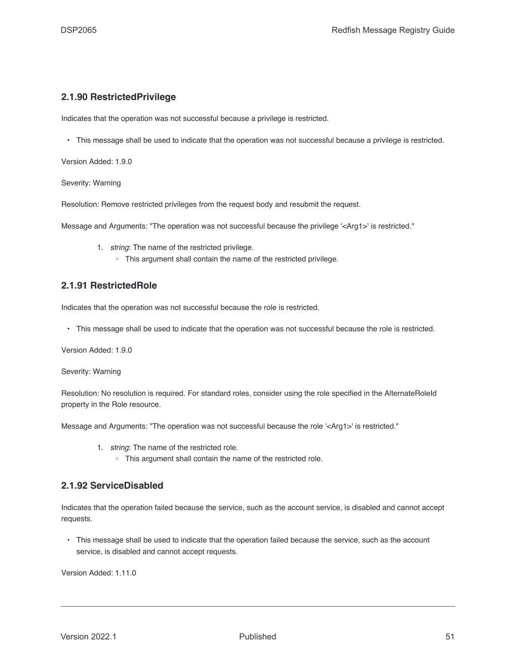#### **2.1.90 RestrictedPrivilege**

Indicates that the operation was not successful because a privilege is restricted.

• This message shall be used to indicate that the operation was not successful because a privilege is restricted.

Version Added: 1.9.0

Severity: Warning

Resolution: Remove restricted privileges from the request body and resubmit the request.

Message and Arguments: "The operation was not successful because the privilege '<Arg1>' is restricted."

- 1. *string*: The name of the restricted privilege.
	- This argument shall contain the name of the restricted privilege.

#### **2.1.91 RestrictedRole**

Indicates that the operation was not successful because the role is restricted.

• This message shall be used to indicate that the operation was not successful because the role is restricted.

Version Added: 1.9.0

Severity: Warning

Resolution: No resolution is required. For standard roles, consider using the role specified in the AlternateRoleId property in the Role resource.

Message and Arguments: "The operation was not successful because the role '<Arg1>' is restricted."

- 1. *string*: The name of the restricted role.
	- This argument shall contain the name of the restricted role.

#### **2.1.92 ServiceDisabled**

Indicates that the operation failed because the service, such as the account service, is disabled and cannot accept requests.

• This message shall be used to indicate that the operation failed because the service, such as the account service, is disabled and cannot accept requests.

Version Added: 1.11.0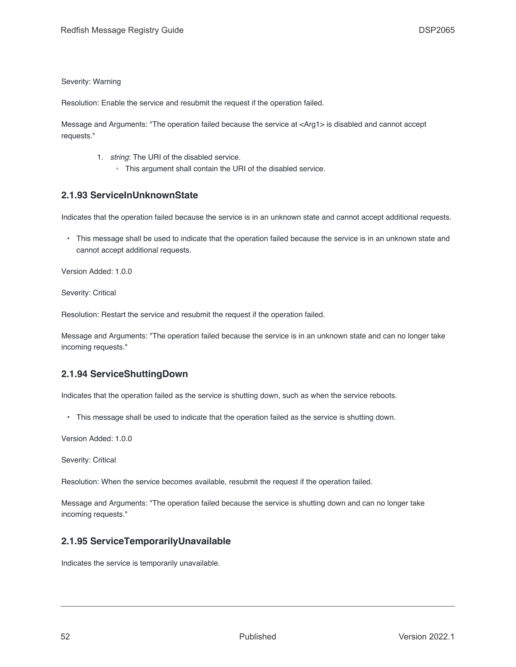Severity: Warning

Resolution: Enable the service and resubmit the request if the operation failed.

Message and Arguments: "The operation failed because the service at <Arg1> is disabled and cannot accept requests."

- 1. *string*: The URI of the disabled service.
	- This argument shall contain the URI of the disabled service.

#### **2.1.93 ServiceInUnknownState**

Indicates that the operation failed because the service is in an unknown state and cannot accept additional requests.

• This message shall be used to indicate that the operation failed because the service is in an unknown state and cannot accept additional requests.

Version Added: 1.0.0

Severity: Critical

Resolution: Restart the service and resubmit the request if the operation failed.

Message and Arguments: "The operation failed because the service is in an unknown state and can no longer take incoming requests."

#### **2.1.94 ServiceShuttingDown**

Indicates that the operation failed as the service is shutting down, such as when the service reboots.

• This message shall be used to indicate that the operation failed as the service is shutting down.

Version Added: 1.0.0

Severity: Critical

Resolution: When the service becomes available, resubmit the request if the operation failed.

Message and Arguments: "The operation failed because the service is shutting down and can no longer take incoming requests."

#### **2.1.95 ServiceTemporarilyUnavailable**

Indicates the service is temporarily unavailable.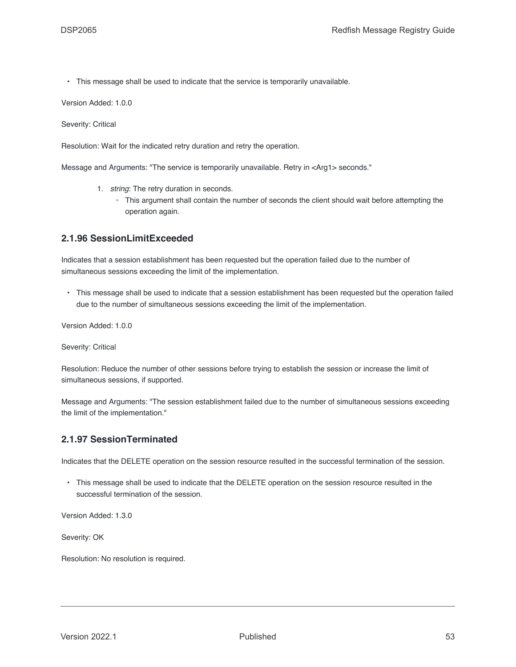• This message shall be used to indicate that the service is temporarily unavailable.

Version Added: 1.0.0

Severity: Critical

Resolution: Wait for the indicated retry duration and retry the operation.

Message and Arguments: "The service is temporarily unavailable. Retry in <Arg1> seconds."

- 1. *string*: The retry duration in seconds.
	- This argument shall contain the number of seconds the client should wait before attempting the operation again.

#### **2.1.96 SessionLimitExceeded**

Indicates that a session establishment has been requested but the operation failed due to the number of simultaneous sessions exceeding the limit of the implementation.

• This message shall be used to indicate that a session establishment has been requested but the operation failed due to the number of simultaneous sessions exceeding the limit of the implementation.

Version Added: 1.0.0

Severity: Critical

Resolution: Reduce the number of other sessions before trying to establish the session or increase the limit of simultaneous sessions, if supported.

Message and Arguments: "The session establishment failed due to the number of simultaneous sessions exceeding the limit of the implementation."

#### **2.1.97 SessionTerminated**

Indicates that the DELETE operation on the session resource resulted in the successful termination of the session.

• This message shall be used to indicate that the DELETE operation on the session resource resulted in the successful termination of the session.

Version Added: 1.3.0

Severity: OK

Resolution: No resolution is required.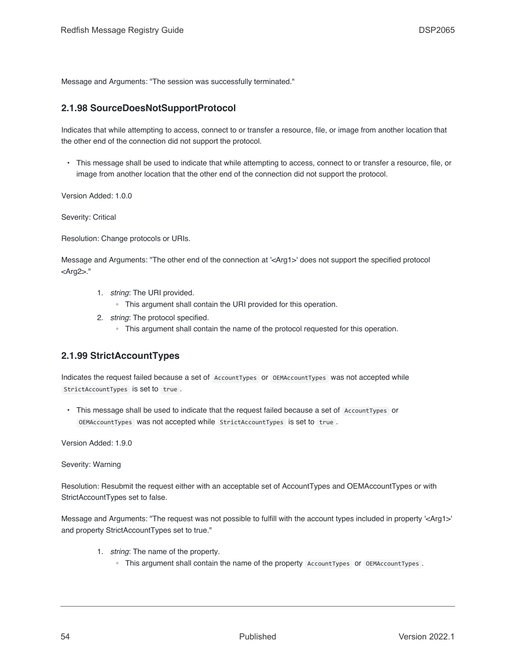Message and Arguments: "The session was successfully terminated."

#### **2.1.98 SourceDoesNotSupportProtocol**

Indicates that while attempting to access, connect to or transfer a resource, file, or image from another location that the other end of the connection did not support the protocol.

• This message shall be used to indicate that while attempting to access, connect to or transfer a resource, file, or image from another location that the other end of the connection did not support the protocol.

Version Added: 1.0.0

Severity: Critical

Resolution: Change protocols or URIs.

Message and Arguments: "The other end of the connection at '<Arg1>' does not support the specified protocol <Arg2>."

- 1. *string*: The URI provided.
	- This argument shall contain the URI provided for this operation.
- 2. *string*: The protocol specified.
	- This argument shall contain the name of the protocol requested for this operation.

#### **2.1.99 StrictAccountTypes**

Indicates the request failed because a set of AccountTypes or OEMAccountTypes was not accepted while StrictAccountTypes is set to true.

• This message shall be used to indicate that the request failed because a set of AccountTypes or OEMAccountTypes was not accepted while StrictAccountTypes is set to true .

Version Added: 1.9.0

Severity: Warning

Resolution: Resubmit the request either with an acceptable set of AccountTypes and OEMAccountTypes or with StrictAccountTypes set to false.

Message and Arguments: "The request was not possible to fulfill with the account types included in property '<Arg1>' and property StrictAccountTypes set to true."

- 1. *string*: The name of the property.
	- This argument shall contain the name of the property AccountTypes or OEMAccountTypes .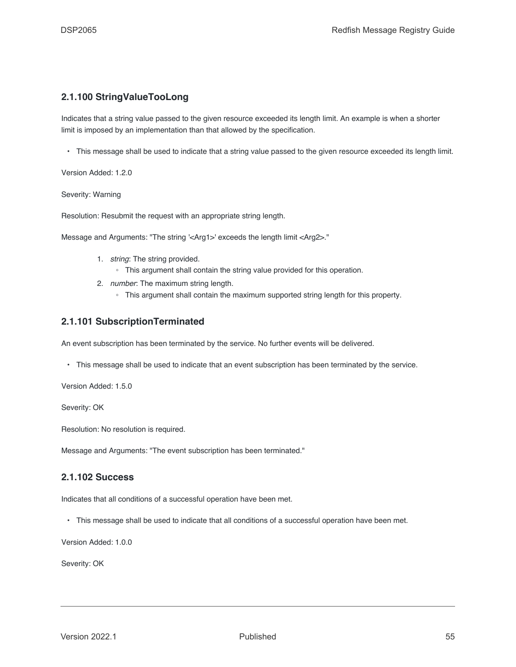## **2.1.100 StringValueTooLong**

Indicates that a string value passed to the given resource exceeded its length limit. An example is when a shorter limit is imposed by an implementation than that allowed by the specification.

• This message shall be used to indicate that a string value passed to the given resource exceeded its length limit.

Version Added: 1.2.0

Severity: Warning

Resolution: Resubmit the request with an appropriate string length.

Message and Arguments: "The string '<Arg1>' exceeds the length limit <Arg2>."

- 1. *string*: The string provided.
	- This argument shall contain the string value provided for this operation.
- 2. *number*: The maximum string length.
	- This argument shall contain the maximum supported string length for this property.

#### **2.1.101 SubscriptionTerminated**

An event subscription has been terminated by the service. No further events will be delivered.

• This message shall be used to indicate that an event subscription has been terminated by the service.

Version Added: 1.5.0

Severity: OK

Resolution: No resolution is required.

Message and Arguments: "The event subscription has been terminated."

## **2.1.102 Success**

Indicates that all conditions of a successful operation have been met.

• This message shall be used to indicate that all conditions of a successful operation have been met.

Version Added: 1.0.0

Severity: OK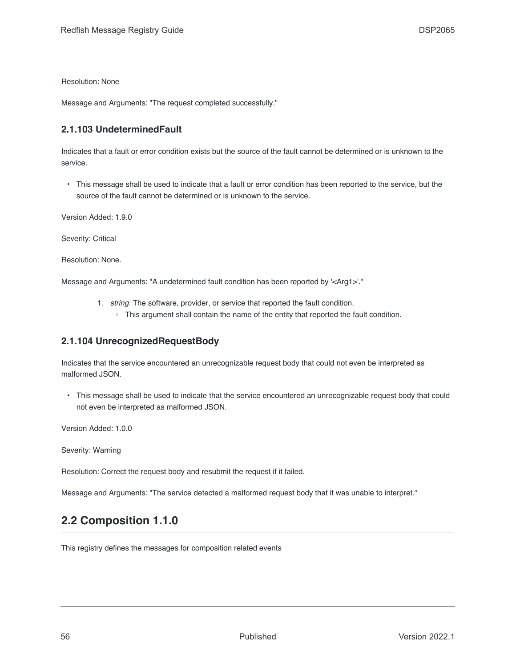Resolution: None

Message and Arguments: "The request completed successfully."

## **2.1.103 UndeterminedFault**

Indicates that a fault or error condition exists but the source of the fault cannot be determined or is unknown to the service.

• This message shall be used to indicate that a fault or error condition has been reported to the service, but the source of the fault cannot be determined or is unknown to the service.

Version Added: 1.9.0

Severity: Critical

Resolution: None.

Message and Arguments: "A undetermined fault condition has been reported by '<Arg1>'."

- 1. *string*: The software, provider, or service that reported the fault condition.
	- This argument shall contain the name of the entity that reported the fault condition.

#### **2.1.104 UnrecognizedRequestBody**

Indicates that the service encountered an unrecognizable request body that could not even be interpreted as malformed JSON.

• This message shall be used to indicate that the service encountered an unrecognizable request body that could not even be interpreted as malformed JSON.

Version Added: 1.0.0

Severity: Warning

Resolution: Correct the request body and resubmit the request if it failed.

Message and Arguments: "The service detected a malformed request body that it was unable to interpret."

# **2.2 Composition 1.1.0**

This registry defines the messages for composition related events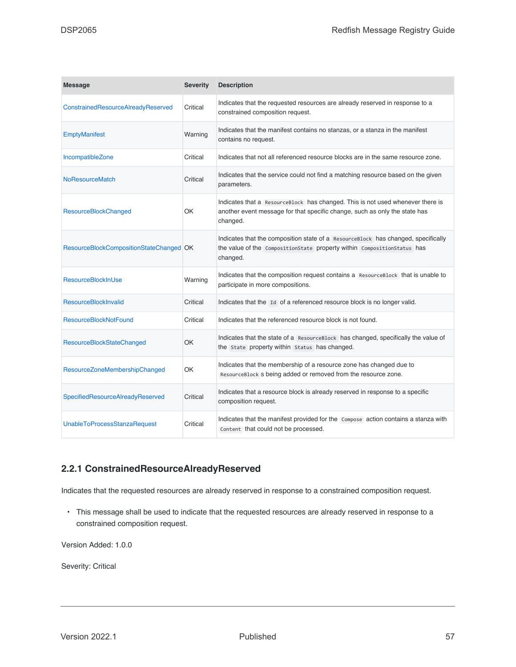| <b>Message</b>                          | <b>Severity</b> | <b>Description</b>                                                                                                                                                       |
|-----------------------------------------|-----------------|--------------------------------------------------------------------------------------------------------------------------------------------------------------------------|
| ConstrainedResourceAlreadyReserved      | Critical        | Indicates that the requested resources are already reserved in response to a<br>constrained composition request.                                                         |
| <b>EmptyManifest</b>                    | Warning         | Indicates that the manifest contains no stanzas, or a stanza in the manifest<br>contains no request.                                                                     |
| IncompatibleZone                        | Critical        | Indicates that not all referenced resource blocks are in the same resource zone.                                                                                         |
| <b>NoResourceMatch</b>                  | Critical        | Indicates that the service could not find a matching resource based on the given<br>parameters.                                                                          |
| ResourceBlockChanged                    | OK              | Indicates that a ResourceBlock has changed. This is not used whenever there is<br>another event message for that specific change, such as only the state has<br>changed. |
| ResourceBlockCompositionStateChanged OK |                 | Indicates that the composition state of a ResourceBlock has changed, specifically<br>the value of the CompositionState property within CompositionStatus has<br>changed. |
| <b>ResourceBlockInUse</b>               | Warning         | Indicates that the composition request contains a ResourceBlock that is unable to<br>participate in more compositions.                                                   |
| <b>ResourceBlockInvalid</b>             | Critical        | Indicates that the Id of a referenced resource block is no longer valid.                                                                                                 |
| <b>ResourceBlockNotFound</b>            | Critical        | Indicates that the referenced resource block is not found.                                                                                                               |
| <b>ResourceBlockStateChanged</b>        | OK              | Indicates that the state of a ResourceBlock has changed, specifically the value of<br>the State property within Status has changed.                                      |
| ResourceZoneMembershipChanged           | OK              | Indicates that the membership of a resource zone has changed due to<br>ResourceBlock S being added or removed from the resource zone.                                    |
| SpecifiedResourceAlreadyReserved        | Critical        | Indicates that a resource block is already reserved in response to a specific<br>composition request.                                                                    |
| <b>UnableToProcessStanzaRequest</b>     | Critical        | Indicates that the manifest provided for the Compose action contains a stanza with<br>Content that could not be processed.                                               |

## <span id="page-56-0"></span>**2.2.1 ConstrainedResourceAlreadyReserved**

Indicates that the requested resources are already reserved in response to a constrained composition request.

• This message shall be used to indicate that the requested resources are already reserved in response to a constrained composition request.

Version Added: 1.0.0

Severity: Critical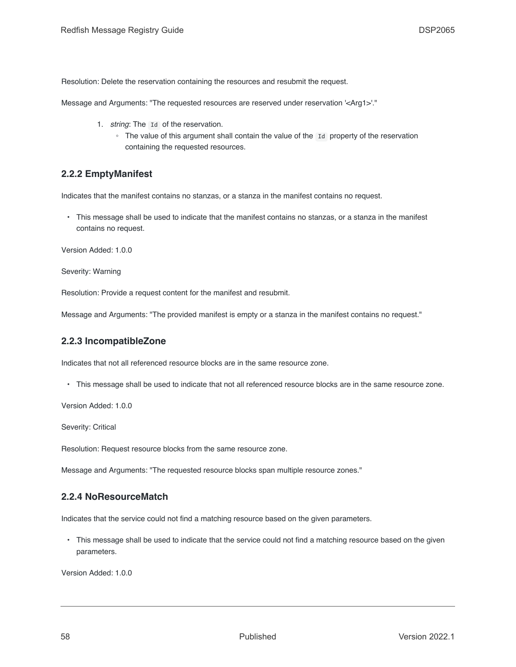Resolution: Delete the reservation containing the resources and resubmit the request.

Message and Arguments: "The requested resources are reserved under reservation '<Arg1>'."

- 1. *string*: The Id of the reservation.
	- The value of this argument shall contain the value of the Id property of the reservation containing the requested resources.

#### <span id="page-57-0"></span>**2.2.2 EmptyManifest**

Indicates that the manifest contains no stanzas, or a stanza in the manifest contains no request.

• This message shall be used to indicate that the manifest contains no stanzas, or a stanza in the manifest contains no request.

Version Added: 1.0.0

Severity: Warning

Resolution: Provide a request content for the manifest and resubmit.

Message and Arguments: "The provided manifest is empty or a stanza in the manifest contains no request."

#### <span id="page-57-1"></span>**2.2.3 IncompatibleZone**

Indicates that not all referenced resource blocks are in the same resource zone.

• This message shall be used to indicate that not all referenced resource blocks are in the same resource zone.

Version Added: 1.0.0

Severity: Critical

Resolution: Request resource blocks from the same resource zone.

Message and Arguments: "The requested resource blocks span multiple resource zones."

#### <span id="page-57-2"></span>**2.2.4 NoResourceMatch**

Indicates that the service could not find a matching resource based on the given parameters.

• This message shall be used to indicate that the service could not find a matching resource based on the given parameters.

Version Added: 1.0.0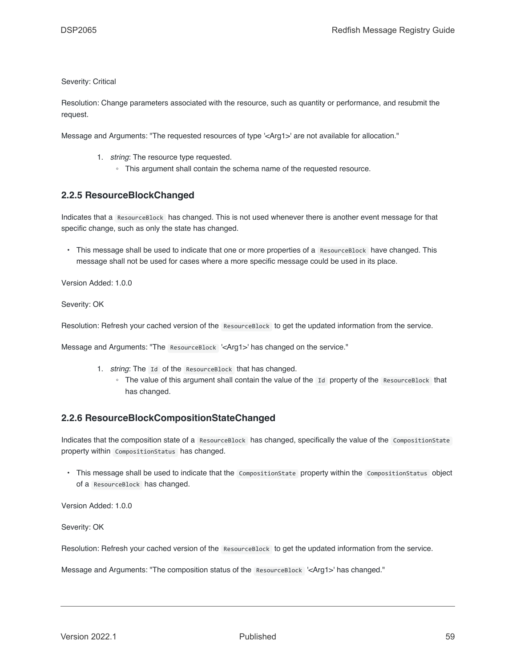Severity: Critical

Resolution: Change parameters associated with the resource, such as quantity or performance, and resubmit the request.

Message and Arguments: "The requested resources of type '<Arg1>' are not available for allocation."

- 1. *string*: The resource type requested.
	- This argument shall contain the schema name of the requested resource.

## <span id="page-58-0"></span>**2.2.5 ResourceBlockChanged**

Indicates that a ResourceBlock has changed. This is not used whenever there is another event message for that specific change, such as only the state has changed.

• This message shall be used to indicate that one or more properties of a ResourceBlock have changed. This message shall not be used for cases where a more specific message could be used in its place.

Version Added: 1.0.0

Severity: OK

Resolution: Refresh your cached version of the ResourceBlock to get the updated information from the service.

Message and Arguments: "The ResourceBlock '<Arg1>' has changed on the service."

- 1. *string*: The Id of the ResourceBlock that has changed.
	- The value of this argument shall contain the value of the Id property of the ResourceBlock that has changed.

#### <span id="page-58-1"></span>**2.2.6 ResourceBlockCompositionStateChanged**

Indicates that the composition state of a ResourceBlock has changed, specifically the value of the CompositionState property within CompositionStatus has changed.

• This message shall be used to indicate that the CompositionState property within the CompositionStatus object of a ResourceBlock has changed.

Version Added: 1.0.0

Severity: OK

Resolution: Refresh your cached version of the ResourceBlock to get the updated information from the service.

Message and Arguments: "The composition status of the ResourceBlock '<Arg1>' has changed."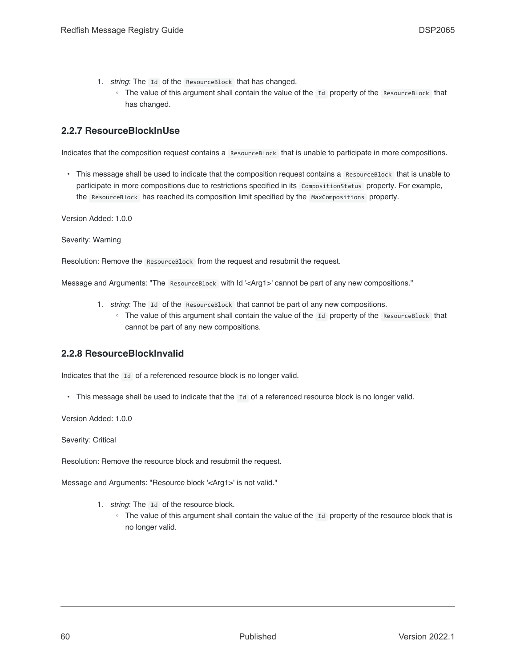- 1. *string*: The Id of the ResourceBlock that has changed.
	- The value of this argument shall contain the value of the Id property of the ResourceBlock that has changed.

## <span id="page-59-0"></span>**2.2.7 ResourceBlockInUse**

Indicates that the composition request contains a ResourceBlock that is unable to participate in more compositions.

• This message shall be used to indicate that the composition request contains a ResourceBlock that is unable to participate in more compositions due to restrictions specified in its CompositionStatus property. For example, the ResourceBlock has reached its composition limit specified by the MaxCompositions property.

Version Added: 1.0.0

Severity: Warning

Resolution: Remove the ResourceBlock from the request and resubmit the request.

Message and Arguments: "The ResourceBlock with Id '<Arg1>' cannot be part of any new compositions."

- 1. *string*: The Id of the ResourceBlock that cannot be part of any new compositions.
	- The value of this argument shall contain the value of the Id property of the ResourceBlock that cannot be part of any new compositions.

## <span id="page-59-1"></span>**2.2.8 ResourceBlockInvalid**

Indicates that the Id of a referenced resource block is no longer valid.

• This message shall be used to indicate that the Id of a referenced resource block is no longer valid.

Version Added: 1.0.0

Severity: Critical

Resolution: Remove the resource block and resubmit the request.

Message and Arguments: "Resource block '<Arg1>' is not valid."

- 1. *string*: The Id of the resource block.
	- The value of this argument shall contain the value of the Id property of the resource block that is no longer valid.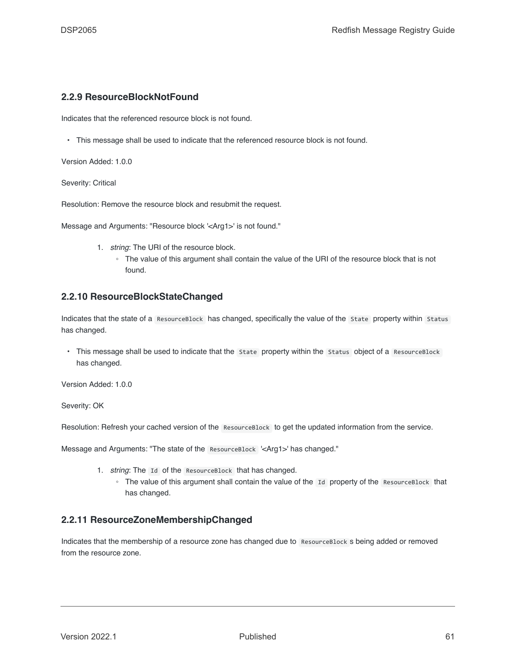## <span id="page-60-0"></span>**2.2.9 ResourceBlockNotFound**

Indicates that the referenced resource block is not found.

• This message shall be used to indicate that the referenced resource block is not found.

Version Added: 1.0.0

Severity: Critical

Resolution: Remove the resource block and resubmit the request.

Message and Arguments: "Resource block '<Arg1>' is not found."

- 1. *string*: The URI of the resource block.
	- The value of this argument shall contain the value of the URI of the resource block that is not found.

## <span id="page-60-1"></span>**2.2.10 ResourceBlockStateChanged**

Indicates that the state of a ResourceBlock has changed, specifically the value of the State property within Status has changed.

• This message shall be used to indicate that the State property within the Status object of a ResourceBlock has changed.

Version Added: 1.0.0

Severity: OK

Resolution: Refresh your cached version of the ResourceBlock to get the updated information from the service.

Message and Arguments: "The state of the ResourceBlock '<Arg1>' has changed."

- 1. *string*: The Id of the ResourceBlock that has changed.
	- The value of this argument shall contain the value of the Id property of the ResourceBlock that has changed.

## <span id="page-60-2"></span>**2.2.11 ResourceZoneMembershipChanged**

Indicates that the membership of a resource zone has changed due to ResourceBlock s being added or removed from the resource zone.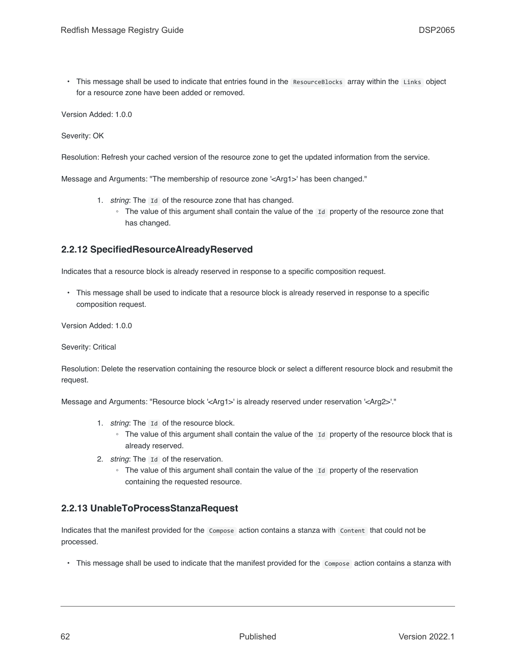Version Added: 1.0.0

Severity: OK

Resolution: Refresh your cached version of the resource zone to get the updated information from the service.

Message and Arguments: "The membership of resource zone '<Arg1>' has been changed."

- 1. *string*: The Id of the resource zone that has changed.
	- The value of this argument shall contain the value of the Id property of the resource zone that has changed.

## <span id="page-61-0"></span>**2.2.12 SpecifiedResourceAlreadyReserved**

Indicates that a resource block is already reserved in response to a specific composition request.

• This message shall be used to indicate that a resource block is already reserved in response to a specific composition request.

Version Added: 1.0.0

Severity: Critical

Resolution: Delete the reservation containing the resource block or select a different resource block and resubmit the request.

Message and Arguments: "Resource block '<Arg1>' is already reserved under reservation '<Arg2>'."

- 1. *string*: The Id of the resource block.
	- The value of this argument shall contain the value of the Id property of the resource block that is already reserved.
- 2. *string*: The Id of the reservation.
	- The value of this argument shall contain the value of the Id property of the reservation containing the requested resource.

## <span id="page-61-1"></span>**2.2.13 UnableToProcessStanzaRequest**

Indicates that the manifest provided for the Compose action contains a stanza with Content that could not be processed.

• This message shall be used to indicate that the manifest provided for the Compose action contains a stanza with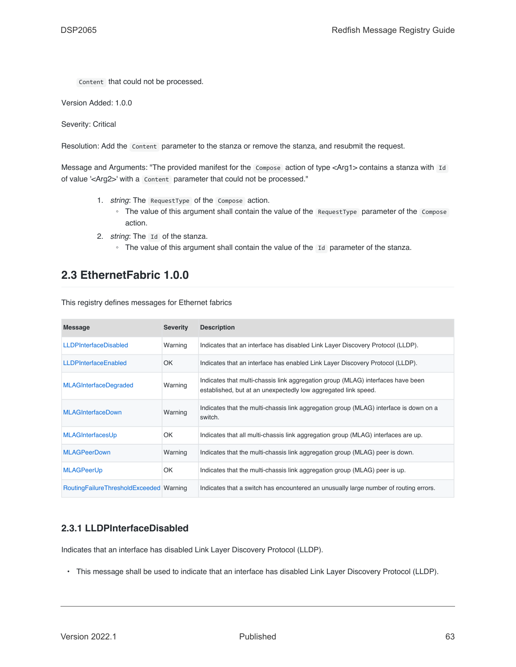Content that could not be processed.

Version Added: 1.0.0

Severity: Critical

Resolution: Add the Content parameter to the stanza or remove the stanza, and resubmit the request.

Message and Arguments: "The provided manifest for the Compose action of type <Arg1> contains a stanza with Id of value '<Arg2>' with a Content parameter that could not be processed."

- 1. *string*: The RequestType of the Compose action.
	- The value of this argument shall contain the value of the RequestType parameter of the Compose action.
- 2. *string*: The Id of the stanza.
	- The value of this argument shall contain the value of the Id parameter of the stanza.

## **2.3 EthernetFabric 1.0.0**

This registry defines messages for Ethernet fabrics

| <b>Message</b>                          | <b>Severity</b> | <b>Description</b>                                                                                                                                |
|-----------------------------------------|-----------------|---------------------------------------------------------------------------------------------------------------------------------------------------|
| <b>LLDPInterfaceDisabled</b>            | Warning         | Indicates that an interface has disabled Link Layer Discovery Protocol (LLDP).                                                                    |
| <b>LLDPInterfaceEnabled</b>             | OK              | Indicates that an interface has enabled Link Layer Discovery Protocol (LLDP).                                                                     |
| <b>MLAGInterfaceDegraded</b>            | Warning         | Indicates that multi-chassis link aggregation group (MLAG) interfaces have been<br>established, but at an unexpectedly low aggregated link speed. |
| <b>MLAGInterfaceDown</b>                | Warning         | Indicates that the multi-chassis link aggregation group (MLAG) interface is down on a<br>switch.                                                  |
| <b>MLAGInterfacesUp</b>                 | OK              | Indicates that all multi-chassis link aggregation group (MLAG) interfaces are up.                                                                 |
| <b>MLAGPeerDown</b>                     | Warning         | Indicates that the multi-chassis link aggregation group (MLAG) peer is down.                                                                      |
| <b>MLAGPeerUp</b>                       | OK              | Indicates that the multi-chassis link aggregation group (MLAG) peer is up.                                                                        |
| RoutingFailureThresholdExceeded Warning |                 | Indicates that a switch has encountered an unusually large number of routing errors.                                                              |

## <span id="page-62-0"></span>**2.3.1 LLDPInterfaceDisabled**

Indicates that an interface has disabled Link Layer Discovery Protocol (LLDP).

• This message shall be used to indicate that an interface has disabled Link Layer Discovery Protocol (LLDP).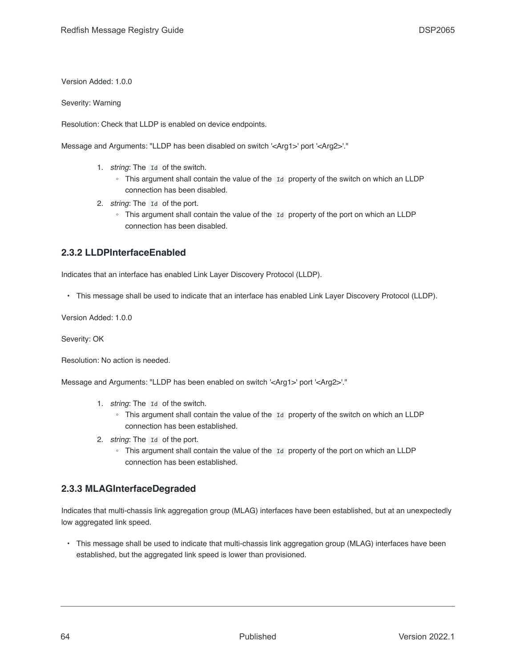Version Added: 1.0.0

Severity: Warning

Resolution: Check that LLDP is enabled on device endpoints.

Message and Arguments: "LLDP has been disabled on switch '<Arg1>' port '<Arg2>'."

- 1. *string*: The Id of the switch.
	- This argument shall contain the value of the Id property of the switch on which an LLDP connection has been disabled.
- 2. *string*: The Id of the port.
	- This argument shall contain the value of the Id property of the port on which an LLDP connection has been disabled.

## <span id="page-63-0"></span>**2.3.2 LLDPInterfaceEnabled**

Indicates that an interface has enabled Link Layer Discovery Protocol (LLDP).

• This message shall be used to indicate that an interface has enabled Link Layer Discovery Protocol (LLDP).

Version Added: 1.0.0

Severity: OK

Resolution: No action is needed.

Message and Arguments: "LLDP has been enabled on switch '<Arg1>' port '<Arg2>'."

- 1. *string*: The Id of the switch.
	- This argument shall contain the value of the Id property of the switch on which an LLDP connection has been established.
- 2. *string*: The Id of the port.
	- This argument shall contain the value of the Id property of the port on which an LLDP connection has been established.

## <span id="page-63-1"></span>**2.3.3 MLAGInterfaceDegraded**

Indicates that multi-chassis link aggregation group (MLAG) interfaces have been established, but at an unexpectedly low aggregated link speed.

• This message shall be used to indicate that multi-chassis link aggregation group (MLAG) interfaces have been established, but the aggregated link speed is lower than provisioned.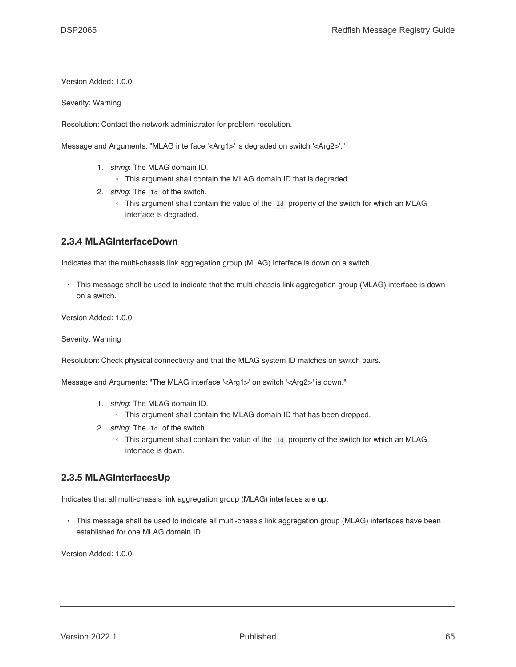Version Added: 1.0.0

Severity: Warning

Resolution: Contact the network administrator for problem resolution.

Message and Arguments: "MLAG interface '<Arg1>' is degraded on switch '<Arg2>'."

- 1. *string*: The MLAG domain ID.
	- This argument shall contain the MLAG domain ID that is degraded.
- 2. *string*: The Id of the switch.
	- This argument shall contain the value of the Id property of the switch for which an MLAG interface is degraded.

## <span id="page-64-0"></span>**2.3.4 MLAGInterfaceDown**

Indicates that the multi-chassis link aggregation group (MLAG) interface is down on a switch.

• This message shall be used to indicate that the multi-chassis link aggregation group (MLAG) interface is down on a switch.

Version Added: 1.0.0

Severity: Warning

Resolution: Check physical connectivity and that the MLAG system ID matches on switch pairs.

Message and Arguments: "The MLAG interface '<Arg1>' on switch '<Arg2>' is down."

- 1. *string*: The MLAG domain ID.
	- This argument shall contain the MLAG domain ID that has been dropped.
- 2. *string*: The Id of the switch.
	- This argument shall contain the value of the Id property of the switch for which an MLAG interface is down.

#### <span id="page-64-1"></span>**2.3.5 MLAGInterfacesUp**

Indicates that all multi-chassis link aggregation group (MLAG) interfaces are up.

• This message shall be used to indicate all multi-chassis link aggregation group (MLAG) interfaces have been established for one MLAG domain ID.

Version Added: 1.0.0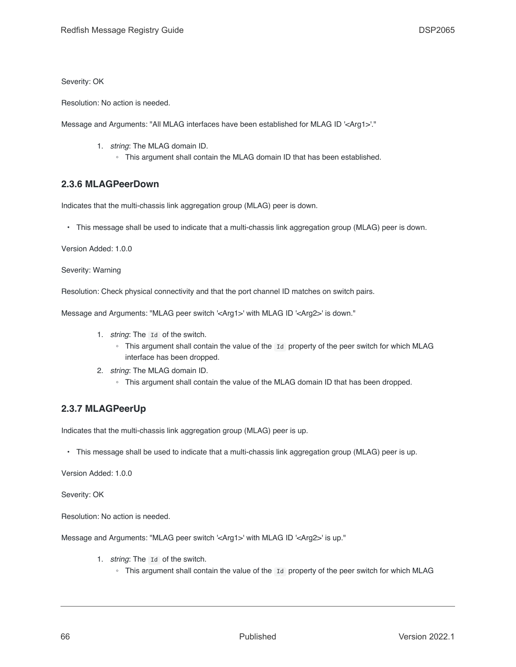Severity: OK

Resolution: No action is needed.

Message and Arguments: "All MLAG interfaces have been established for MLAG ID '<Arg1>'."

- 1. *string*: The MLAG domain ID.
	- This argument shall contain the MLAG domain ID that has been established.

## <span id="page-65-0"></span>**2.3.6 MLAGPeerDown**

Indicates that the multi-chassis link aggregation group (MLAG) peer is down.

• This message shall be used to indicate that a multi-chassis link aggregation group (MLAG) peer is down.

Version Added: 1.0.0

Severity: Warning

Resolution: Check physical connectivity and that the port channel ID matches on switch pairs.

Message and Arguments: "MLAG peer switch '<Arg1>' with MLAG ID '<Arg2>' is down."

- 1. *string*: The Id of the switch.
	- This argument shall contain the value of the Id property of the peer switch for which MLAG interface has been dropped.
- 2. *string*: The MLAG domain ID.
	- This argument shall contain the value of the MLAG domain ID that has been dropped.

## <span id="page-65-1"></span>**2.3.7 MLAGPeerUp**

Indicates that the multi-chassis link aggregation group (MLAG) peer is up.

• This message shall be used to indicate that a multi-chassis link aggregation group (MLAG) peer is up.

Version Added: 1.0.0

Severity: OK

Resolution: No action is needed.

Message and Arguments: "MLAG peer switch '<Arg1>' with MLAG ID '<Arg2>' is up."

- 1. *string*: The Id of the switch.
	- This argument shall contain the value of the Id property of the peer switch for which MLAG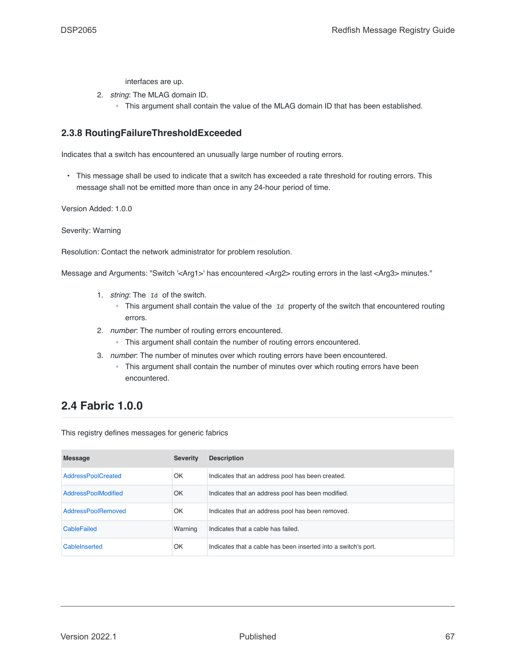interfaces are up.

- 2. *string*: The MLAG domain ID.
	- This argument shall contain the value of the MLAG domain ID that has been established.

## <span id="page-66-0"></span>**2.3.8 RoutingFailureThresholdExceeded**

Indicates that a switch has encountered an unusually large number of routing errors.

• This message shall be used to indicate that a switch has exceeded a rate threshold for routing errors. This message shall not be emitted more than once in any 24-hour period of time.

Version Added: 1.0.0

Severity: Warning

Resolution: Contact the network administrator for problem resolution.

Message and Arguments: "Switch '<Arg1>' has encountered <Arg2> routing errors in the last <Arg3> minutes."

- 1. *string*: The Id of the switch.
	- This argument shall contain the value of the Id property of the switch that encountered routing errors.
- 2. *number*: The number of routing errors encountered.
	- This argument shall contain the number of routing errors encountered.
- 3. *number*: The number of minutes over which routing errors have been encountered.
	- This argument shall contain the number of minutes over which routing errors have been encountered.

# **2.4 Fabric 1.0.0**

This registry defines messages for generic fabrics

| <b>Message</b>      | <b>Severity</b> | <b>Description</b>                                             |
|---------------------|-----------------|----------------------------------------------------------------|
| AddressPoolCreated  | OK              | Indicates that an address pool has been created.               |
| AddressPoolModified | OK              | Indicates that an address pool has been modified.              |
| AddressPoolRemoved  | OK              | Indicates that an address pool has been removed.               |
| CableFailed         | Warning         | Indicates that a cable has failed.                             |
| CableInserted       | OK              | Indicates that a cable has been inserted into a switch's port. |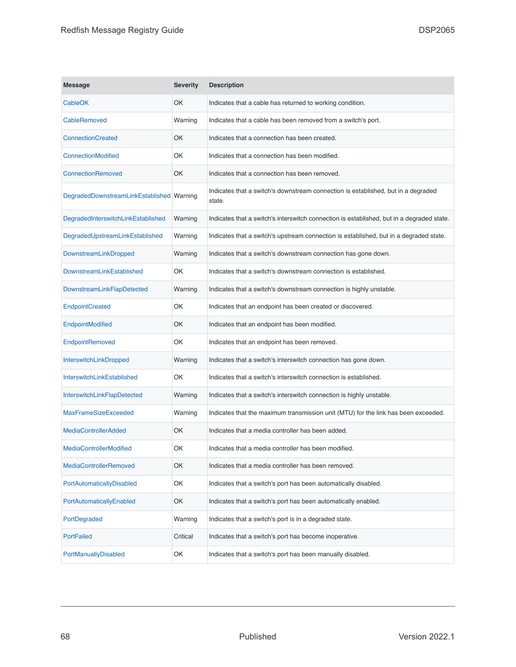| <b>Message</b>                            | <b>Severity</b> | <b>Description</b>                                                                          |
|-------------------------------------------|-----------------|---------------------------------------------------------------------------------------------|
| <b>CableOK</b>                            | OK              | Indicates that a cable has returned to working condition.                                   |
| <b>CableRemoved</b>                       | Warning         | Indicates that a cable has been removed from a switch's port.                               |
| ConnectionCreated                         | OK              | Indicates that a connection has been created.                                               |
| <b>ConnectionModified</b>                 | OK              | Indicates that a connection has been modified.                                              |
| <b>ConnectionRemoved</b>                  | OK              | Indicates that a connection has been removed.                                               |
| DegradedDownstreamLinkEstablished Warning |                 | Indicates that a switch's downstream connection is established, but in a degraded<br>state. |
| DegradedInterswitchLinkEstablished        | Warning         | Indicates that a switch's interswitch connection is established, but in a degraded state.   |
| DegradedUpstreamLinkEstablished           | Warning         | Indicates that a switch's upstream connection is established, but in a degraded state.      |
| DownstreamLinkDropped                     | Warning         | Indicates that a switch's downstream connection has gone down.                              |
| DownstreamLinkEstablished                 | OK              | Indicates that a switch's downstream connection is established.                             |
| DownstreamLinkFlapDetected                | Warning         | Indicates that a switch's downstream connection is highly unstable.                         |
| <b>EndpointCreated</b>                    | OK              | Indicates that an endpoint has been created or discovered.                                  |
| <b>EndpointModified</b>                   | OK              | Indicates that an endpoint has been modified.                                               |
| <b>EndpointRemoved</b>                    | OK              | Indicates that an endpoint has been removed.                                                |
| InterswitchLinkDropped                    | Warning         | Indicates that a switch's interswitch connection has gone down.                             |
| <b>InterswitchLinkEstablished</b>         | OK              | Indicates that a switch's interswitch connection is established.                            |
| <b>InterswitchLinkFlapDetected</b>        | Warning         | Indicates that a switch's interswitch connection is highly unstable.                        |
| <b>MaxFrameSizeExceeded</b>               | Warning         | Indicates that the maximum transmission unit (MTU) for the link has been exceeded.          |
| <b>MediaControllerAdded</b>               | OK              | Indicates that a media controller has been added.                                           |
| <b>MediaControllerModified</b>            | OK              | Indicates that a media controller has been modified.                                        |
| <b>MediaControllerRemoved</b>             | OK              | Indicates that a media controller has been removed.                                         |
| PortAutomaticallyDisabled                 | OK              | Indicates that a switch's port has been automatically disabled.                             |
| PortAutomaticallyEnabled                  | OK              | Indicates that a switch's port has been automatically enabled.                              |
| PortDegraded                              | Warning         | Indicates that a switch's port is in a degraded state.                                      |
| <b>PortFailed</b>                         | Critical        | Indicates that a switch's port has become inoperative.                                      |
| PortManuallyDisabled                      | OK              | Indicates that a switch's port has been manually disabled.                                  |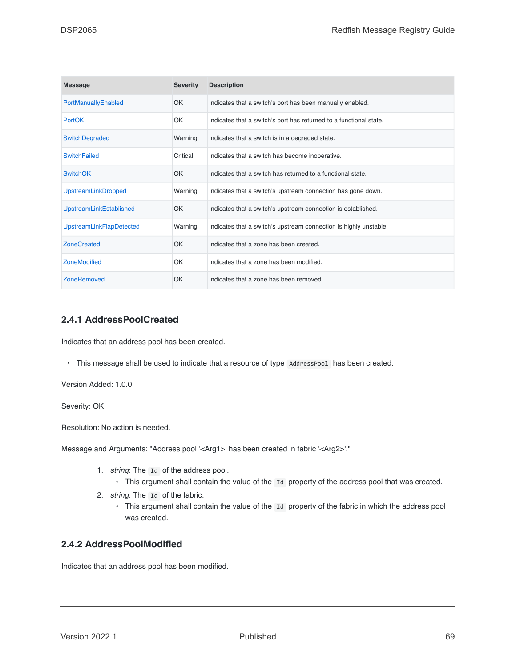| <b>Message</b>           | <b>Severity</b> | <b>Description</b>                                                 |
|--------------------------|-----------------|--------------------------------------------------------------------|
| PortManuallyEnabled      | OK              | Indicates that a switch's port has been manually enabled.          |
| <b>PortOK</b>            | OK              | Indicates that a switch's port has returned to a functional state. |
| SwitchDegraded           | Warning         | Indicates that a switch is in a degraded state.                    |
| <b>SwitchFailed</b>      | Critical        | Indicates that a switch has become inoperative.                    |
| <b>SwitchOK</b>          | OK              | Indicates that a switch has returned to a functional state.        |
| UpstreamLinkDropped      | Warning         | Indicates that a switch's upstream connection has gone down.       |
| UpstreamLinkEstablished  | OK              | Indicates that a switch's upstream connection is established.      |
| UpstreamLinkFlapDetected | Warning         | Indicates that a switch's upstream connection is highly unstable.  |
| <b>ZoneCreated</b>       | OK              | Indicates that a zone has been created.                            |
| <b>ZoneModified</b>      | OK              | Indicates that a zone has been modified.                           |
| <b>ZoneRemoved</b>       | OK              | Indicates that a zone has been removed.                            |

## <span id="page-68-0"></span>**2.4.1 AddressPoolCreated**

Indicates that an address pool has been created.

• This message shall be used to indicate that a resource of type AddressPool has been created.

Version Added: 1.0.0

Severity: OK

Resolution: No action is needed.

Message and Arguments: "Address pool '<Arg1>' has been created in fabric '<Arg2>'."

- 1. *string*: The Id of the address pool.
	- This argument shall contain the value of the Id property of the address pool that was created.
- 2. *string*: The Id of the fabric.
	- This argument shall contain the value of the Id property of the fabric in which the address pool was created.

## <span id="page-68-1"></span>**2.4.2 AddressPoolModified**

Indicates that an address pool has been modified.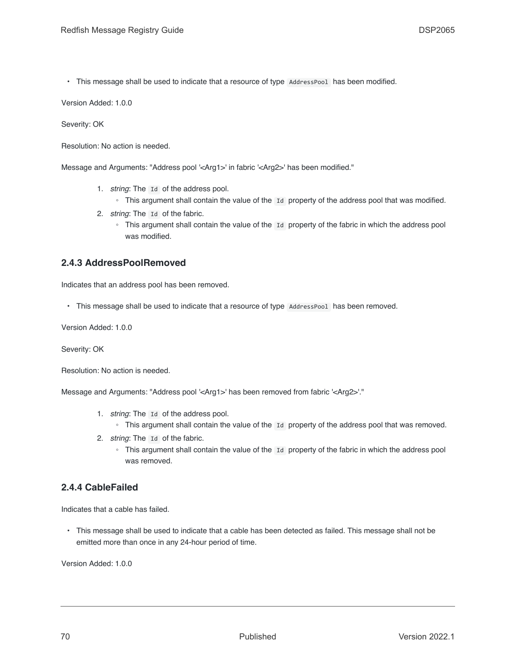• This message shall be used to indicate that a resource of type AddressPool has been modified.

Version Added: 1.0.0

Severity: OK

Resolution: No action is needed.

Message and Arguments: "Address pool '<Arg1>' in fabric '<Arg2>' has been modified."

- 1. *string*: The Id of the address pool.
	- This argument shall contain the value of the Id property of the address pool that was modified.
- 2. *string*: The Id of the fabric.
	- This argument shall contain the value of the Id property of the fabric in which the address pool was modified.

#### <span id="page-69-0"></span>**2.4.3 AddressPoolRemoved**

Indicates that an address pool has been removed.

• This message shall be used to indicate that a resource of type AddressPool has been removed.

Version Added: 1.0.0

Severity: OK

Resolution: No action is needed.

Message and Arguments: "Address pool '<Arg1>' has been removed from fabric '<Arg2>'."

- 1. *string*: The Id of the address pool.
	- This argument shall contain the value of the Id property of the address pool that was removed.
- 2. *string*: The Id of the fabric.
	- This argument shall contain the value of the Id property of the fabric in which the address pool was removed.

#### <span id="page-69-1"></span>**2.4.4 CableFailed**

Indicates that a cable has failed.

• This message shall be used to indicate that a cable has been detected as failed. This message shall not be emitted more than once in any 24-hour period of time.

Version Added: 1.0.0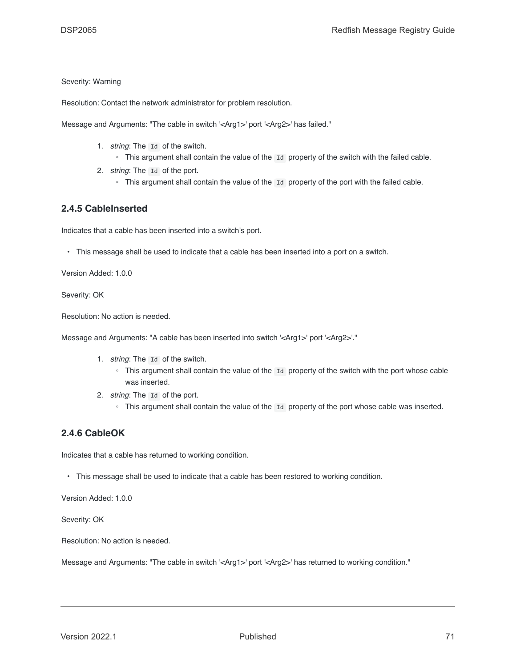Severity: Warning

Resolution: Contact the network administrator for problem resolution.

Message and Arguments: "The cable in switch '<Arg1>' port '<Arg2>' has failed."

- 1. *string*: The Id of the switch.
	- This argument shall contain the value of the Id property of the switch with the failed cable.
- 2. *string*: The Id of the port.
	- This argument shall contain the value of the Id property of the port with the failed cable.

#### <span id="page-70-0"></span>**2.4.5 CableInserted**

Indicates that a cable has been inserted into a switch's port.

• This message shall be used to indicate that a cable has been inserted into a port on a switch.

Version Added: 1.0.0

Severity: OK

Resolution: No action is needed.

Message and Arguments: "A cable has been inserted into switch '<Arg1>' port '<Arg2>'."

- 1. *string*: The Id of the switch.
	- This argument shall contain the value of the Id property of the switch with the port whose cable was inserted.
- 2. *string*: The Id of the port.
	- This argument shall contain the value of the Id property of the port whose cable was inserted.

## **2.4.6 CableOK**

Indicates that a cable has returned to working condition.

• This message shall be used to indicate that a cable has been restored to working condition.

Version Added: 1.0.0

Severity: OK

Resolution: No action is needed.

Message and Arguments: "The cable in switch '<Arg1>' port '<Arg2>' has returned to working condition."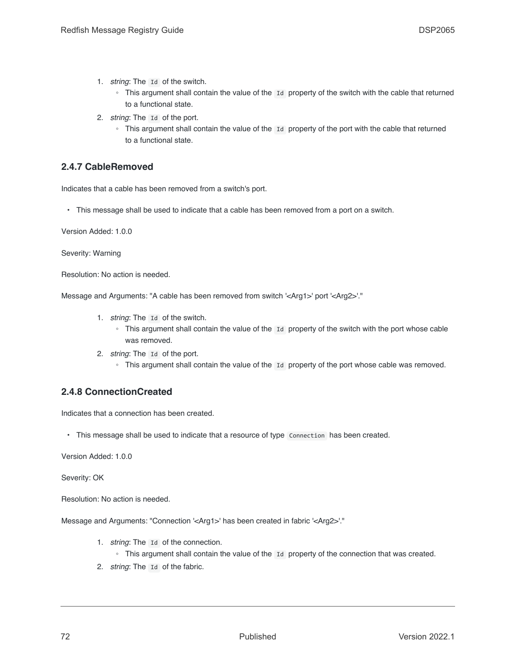- 1. *string*: The Id of the switch.
	- This argument shall contain the value of the Id property of the switch with the cable that returned to a functional state.
- 2. *string*: The Id of the port.
	- This argument shall contain the value of the Id property of the port with the cable that returned to a functional state.

## <span id="page-71-0"></span>**2.4.7 CableRemoved**

Indicates that a cable has been removed from a switch's port.

• This message shall be used to indicate that a cable has been removed from a port on a switch.

Version Added: 1.0.0

Severity: Warning

Resolution: No action is needed.

Message and Arguments: "A cable has been removed from switch '<Arg1>' port '<Arg2>'."

- 1. *string*: The Id of the switch.
	- This argument shall contain the value of the Id property of the switch with the port whose cable was removed.
- 2. *string*: The Id of the port.
	- This argument shall contain the value of the Id property of the port whose cable was removed.

#### <span id="page-71-1"></span>**2.4.8 ConnectionCreated**

Indicates that a connection has been created.

• This message shall be used to indicate that a resource of type Connection has been created.

Version Added: 1.0.0

Severity: OK

Resolution: No action is needed.

Message and Arguments: "Connection '<Arg1>' has been created in fabric '<Arg2>'."

- 1. *string*: The Id of the connection.
	- This argument shall contain the value of the Id property of the connection that was created.
- 2. *string*: The Id of the fabric.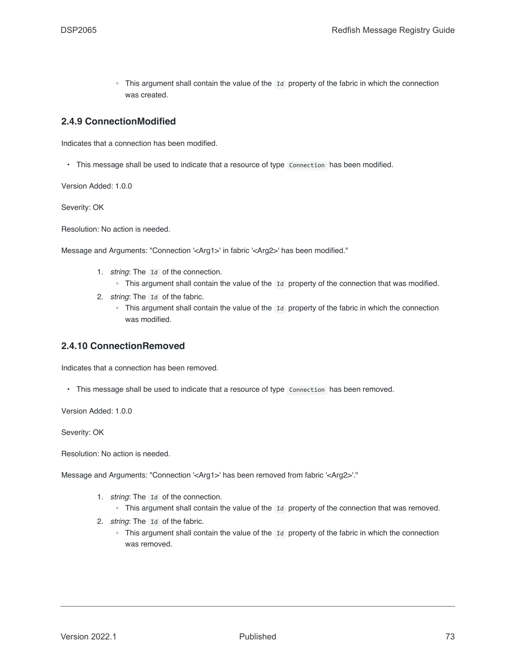◦ This argument shall contain the value of the Id property of the fabric in which the connection was created.

# **2.4.9 ConnectionModified**

Indicates that a connection has been modified.

• This message shall be used to indicate that a resource of type Connection has been modified.

Version Added: 1.0.0

Severity: OK

Resolution: No action is needed.

Message and Arguments: "Connection '<Arg1>' in fabric '<Arg2>' has been modified."

- 1. *string*: The Id of the connection.
	- This argument shall contain the value of the Id property of the connection that was modified.
- 2. *string*: The Id of the fabric.
	- This argument shall contain the value of the Id property of the fabric in which the connection was modified.

# **2.4.10 ConnectionRemoved**

Indicates that a connection has been removed.

• This message shall be used to indicate that a resource of type Connection has been removed.

Version Added: 1.0.0

Severity: OK

Resolution: No action is needed.

Message and Arguments: "Connection '<Arg1>' has been removed from fabric '<Arg2>'."

- 1. *string*: The Id of the connection.
	- This argument shall contain the value of the Id property of the connection that was removed.
- 2. *string*: The Id of the fabric.
	- This argument shall contain the value of the Id property of the fabric in which the connection was removed.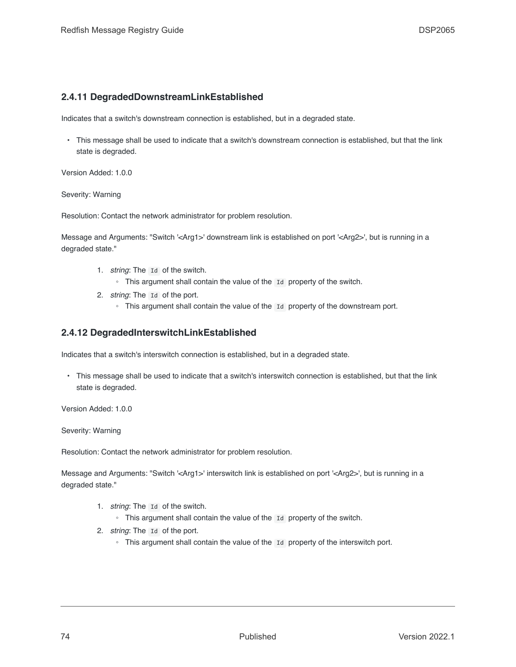## **2.4.11 DegradedDownstreamLinkEstablished**

Indicates that a switch's downstream connection is established, but in a degraded state.

• This message shall be used to indicate that a switch's downstream connection is established, but that the link state is degraded.

Version Added: 1.0.0

Severity: Warning

Resolution: Contact the network administrator for problem resolution.

Message and Arguments: "Switch '<Arg1>' downstream link is established on port '<Arg2>', but is running in a degraded state."

- 1. *string*: The Id of the switch.
	- This argument shall contain the value of the Id property of the switch.
- 2. *string*: The Id of the port.
	- This argument shall contain the value of the Id property of the downstream port.

## **2.4.12 DegradedInterswitchLinkEstablished**

Indicates that a switch's interswitch connection is established, but in a degraded state.

• This message shall be used to indicate that a switch's interswitch connection is established, but that the link state is degraded.

Version Added: 1.0.0

Severity: Warning

Resolution: Contact the network administrator for problem resolution.

Message and Arguments: "Switch '<Arg1>' interswitch link is established on port '<Arg2>', but is running in a degraded state."

- 1. *string*: The Id of the switch.
	- This argument shall contain the value of the Id property of the switch.
- 2. *string*: The Id of the port.
	- This argument shall contain the value of the Id property of the interswitch port.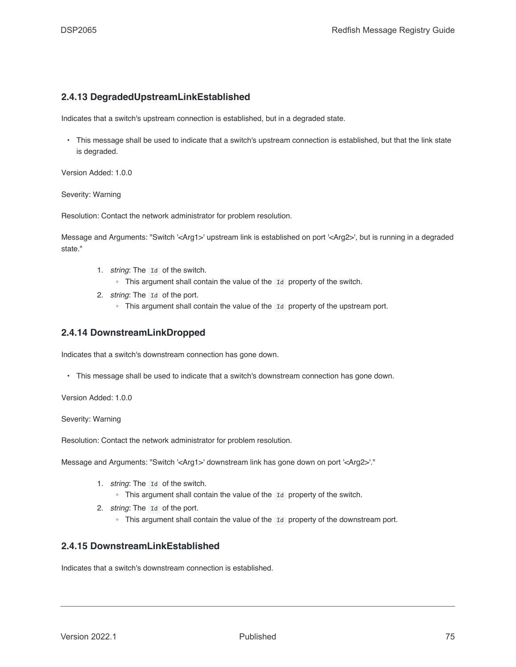## **2.4.13 DegradedUpstreamLinkEstablished**

Indicates that a switch's upstream connection is established, but in a degraded state.

• This message shall be used to indicate that a switch's upstream connection is established, but that the link state is degraded.

Version Added: 1.0.0

Severity: Warning

Resolution: Contact the network administrator for problem resolution.

Message and Arguments: "Switch '<Arg1>' upstream link is established on port '<Arg2>', but is running in a degraded state."

- 1. *string*: The Id of the switch.
	- This argument shall contain the value of the Id property of the switch.
- 2. *string*: The Id of the port.
	- This argument shall contain the value of the Id property of the upstream port.

#### **2.4.14 DownstreamLinkDropped**

Indicates that a switch's downstream connection has gone down.

• This message shall be used to indicate that a switch's downstream connection has gone down.

Version Added: 1.0.0

Severity: Warning

Resolution: Contact the network administrator for problem resolution.

Message and Arguments: "Switch '<Arg1>' downstream link has gone down on port '<Arg2>'."

- 1. *string*: The Id of the switch.
	- This argument shall contain the value of the Id property of the switch.
- 2. *string*: The Id of the port.
	- This argument shall contain the value of the Id property of the downstream port.

#### **2.4.15 DownstreamLinkEstablished**

Indicates that a switch's downstream connection is established.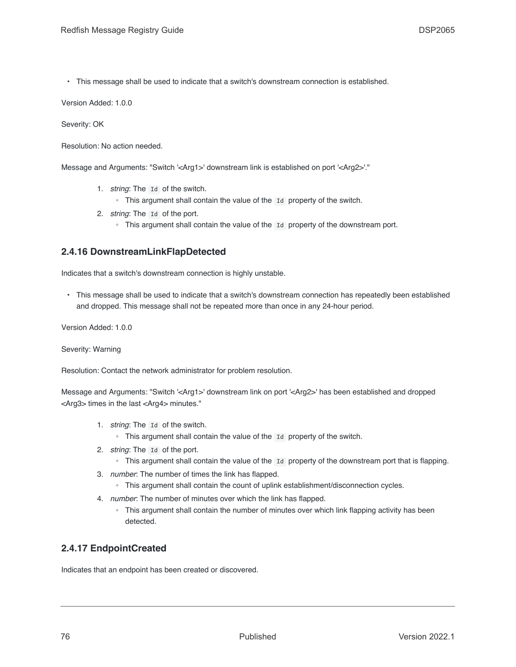• This message shall be used to indicate that a switch's downstream connection is established.

Version Added: 1.0.0

Severity: OK

Resolution: No action needed.

Message and Arguments: "Switch '<Arg1>' downstream link is established on port '<Arg2>'."

- 1. *string*: The Id of the switch.
	- This argument shall contain the value of the Id property of the switch.
- 2. *string*: The Id of the port.
	- This argument shall contain the value of the Id property of the downstream port.

#### **2.4.16 DownstreamLinkFlapDetected**

Indicates that a switch's downstream connection is highly unstable.

• This message shall be used to indicate that a switch's downstream connection has repeatedly been established and dropped. This message shall not be repeated more than once in any 24-hour period.

Version Added: 1.0.0

Severity: Warning

Resolution: Contact the network administrator for problem resolution.

Message and Arguments: "Switch '<Arg1>' downstream link on port '<Arg2>' has been established and dropped <Arg3> times in the last <Arg4> minutes."

- 1. *string*: The Id of the switch.
	- This argument shall contain the value of the Id property of the switch.
- 2. *string*: The Id of the port.
	- This argument shall contain the value of the Id property of the downstream port that is flapping.
- 3. *number*: The number of times the link has flapped.
	- This argument shall contain the count of uplink establishment/disconnection cycles.
- 4. *number*: The number of minutes over which the link has flapped.
	- This argument shall contain the number of minutes over which link flapping activity has been detected.

# **2.4.17 EndpointCreated**

Indicates that an endpoint has been created or discovered.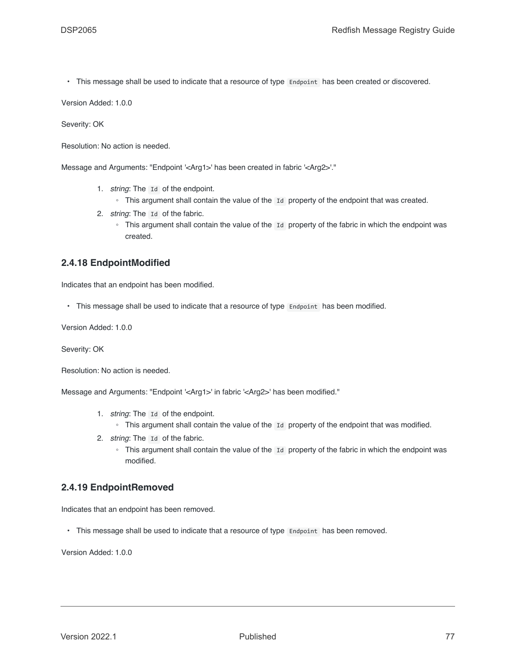• This message shall be used to indicate that a resource of type Endpoint has been created or discovered.

Version Added: 1.0.0

Severity: OK

Resolution: No action is needed.

Message and Arguments: "Endpoint '<Arg1>' has been created in fabric '<Arg2>'."

- 1. *string*: The Id of the endpoint.
	- This argument shall contain the value of the Id property of the endpoint that was created.
- 2. *string*: The Id of the fabric.
	- This argument shall contain the value of the Id property of the fabric in which the endpoint was created.

#### **2.4.18 EndpointModified**

Indicates that an endpoint has been modified.

• This message shall be used to indicate that a resource of type Endpoint has been modified.

Version Added: 1.0.0

Severity: OK

Resolution: No action is needed.

Message and Arguments: "Endpoint '<Arg1>' in fabric '<Arg2>' has been modified."

- 1. *string*: The Id of the endpoint.
	- This argument shall contain the value of the Id property of the endpoint that was modified.
- 2. *string*: The Id of the fabric.
	- This argument shall contain the value of the Id property of the fabric in which the endpoint was modified.

#### **2.4.19 EndpointRemoved**

Indicates that an endpoint has been removed.

• This message shall be used to indicate that a resource of type Endpoint has been removed.

Version Added: 1.0.0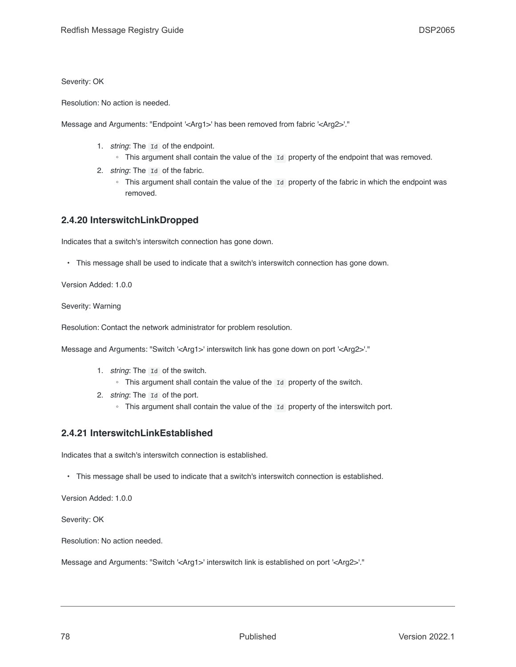Severity: OK

Resolution: No action is needed.

Message and Arguments: "Endpoint '<Arg1>' has been removed from fabric '<Arg2>'."

- 1. *string*: The Id of the endpoint.
	- This argument shall contain the value of the Id property of the endpoint that was removed.
- 2. *string*: The Id of the fabric.
	- This argument shall contain the value of the Id property of the fabric in which the endpoint was removed.

#### **2.4.20 InterswitchLinkDropped**

Indicates that a switch's interswitch connection has gone down.

• This message shall be used to indicate that a switch's interswitch connection has gone down.

Version Added: 1.0.0

Severity: Warning

Resolution: Contact the network administrator for problem resolution.

Message and Arguments: "Switch '<Arg1>' interswitch link has gone down on port '<Arg2>'."

- 1. *string*: The Id of the switch.
	- This argument shall contain the value of the Id property of the switch.
- 2. *string*: The Id of the port.
	- This argument shall contain the value of the Id property of the interswitch port.

#### **2.4.21 InterswitchLinkEstablished**

Indicates that a switch's interswitch connection is established.

• This message shall be used to indicate that a switch's interswitch connection is established.

Version Added: 1.0.0

Severity: OK

Resolution: No action needed.

Message and Arguments: "Switch '<Arg1>' interswitch link is established on port '<Arg2>'."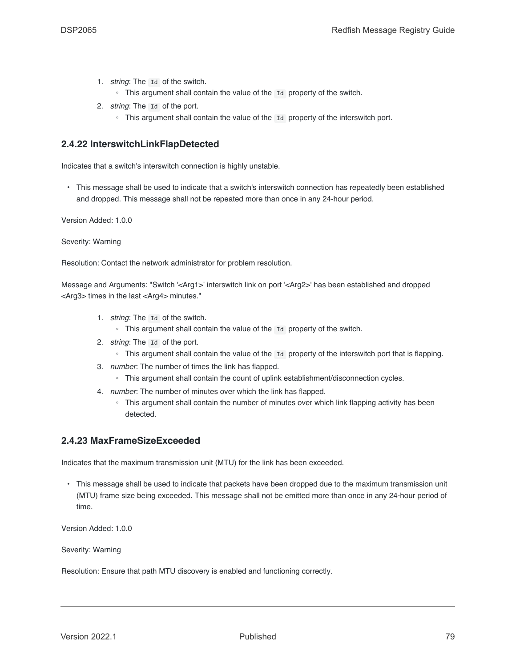- 1. *string*: The Id of the switch.
	- This argument shall contain the value of the Id property of the switch.
- 2. *string*: The Id of the port.
	- This argument shall contain the value of the Id property of the interswitch port.

#### **2.4.22 InterswitchLinkFlapDetected**

Indicates that a switch's interswitch connection is highly unstable.

• This message shall be used to indicate that a switch's interswitch connection has repeatedly been established and dropped. This message shall not be repeated more than once in any 24-hour period.

Version Added: 1.0.0

Severity: Warning

Resolution: Contact the network administrator for problem resolution.

Message and Arguments: "Switch '<Arg1>' interswitch link on port '<Arg2>' has been established and dropped <Arg3> times in the last <Arg4> minutes."

- 1. *string*: The Id of the switch.
	- This argument shall contain the value of the Id property of the switch.
- 2. *string*: The Id of the port.
	- This argument shall contain the value of the Id property of the interswitch port that is flapping.
- 3. *number*: The number of times the link has flapped.
	- This argument shall contain the count of uplink establishment/disconnection cycles.
- 4. *number*: The number of minutes over which the link has flapped.
	- This argument shall contain the number of minutes over which link flapping activity has been detected.

#### **2.4.23 MaxFrameSizeExceeded**

Indicates that the maximum transmission unit (MTU) for the link has been exceeded.

• This message shall be used to indicate that packets have been dropped due to the maximum transmission unit (MTU) frame size being exceeded. This message shall not be emitted more than once in any 24-hour period of time.

Version Added: 1.0.0

Severity: Warning

Resolution: Ensure that path MTU discovery is enabled and functioning correctly.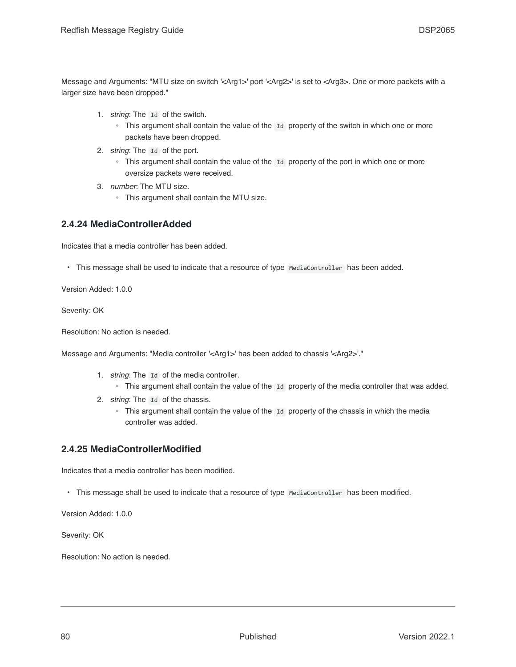Message and Arguments: "MTU size on switch '<Arg1>' port '<Arg2>' is set to <Arg3>. One or more packets with a larger size have been dropped."

- 1. *string*: The Id of the switch.
	- This argument shall contain the value of the Id property of the switch in which one or more packets have been dropped.
- 2. *string*: The Id of the port.
	- This argument shall contain the value of the Id property of the port in which one or more oversize packets were received.
- 3. *number*: The MTU size.
	- This argument shall contain the MTU size.

# **2.4.24 MediaControllerAdded**

Indicates that a media controller has been added.

• This message shall be used to indicate that a resource of type MediaController has been added.

Version Added: 1.0.0

Severity: OK

Resolution: No action is needed.

Message and Arguments: "Media controller '<Arg1>' has been added to chassis '<Arg2>'."

- 1. *string*: The Id of the media controller.
	- This argument shall contain the value of the Id property of the media controller that was added.
- 2. *string*: The Id of the chassis.
	- This argument shall contain the value of the Id property of the chassis in which the media controller was added.

# **2.4.25 MediaControllerModified**

Indicates that a media controller has been modified.

• This message shall be used to indicate that a resource of type MediaController has been modified.

Version Added: 1.0.0

Severity: OK

Resolution: No action is needed.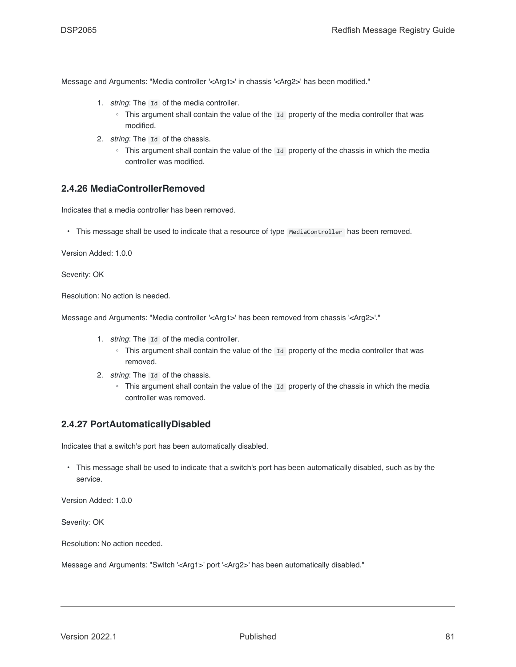Message and Arguments: "Media controller '<Arg1>' in chassis '<Arg2>' has been modified."

- 1. *string*: The Id of the media controller.
	- This argument shall contain the value of the Id property of the media controller that was modified.
- 2. *string*: The Id of the chassis.
	- This argument shall contain the value of the Id property of the chassis in which the media controller was modified.

#### **2.4.26 MediaControllerRemoved**

Indicates that a media controller has been removed.

• This message shall be used to indicate that a resource of type MediaController has been removed.

Version Added: 1.0.0

Severity: OK

Resolution: No action is needed.

Message and Arguments: "Media controller '<Arg1>' has been removed from chassis '<Arg2>'."

- 1. *string*: The Id of the media controller.
	- This argument shall contain the value of the Id property of the media controller that was removed.
- 2. *string*: The Id of the chassis.
	- This argument shall contain the value of the Id property of the chassis in which the media controller was removed.

#### **2.4.27 PortAutomaticallyDisabled**

Indicates that a switch's port has been automatically disabled.

• This message shall be used to indicate that a switch's port has been automatically disabled, such as by the service.

Version Added: 1.0.0

Severity: OK

Resolution: No action needed.

Message and Arguments: "Switch '<Arg1>' port '<Arg2>' has been automatically disabled."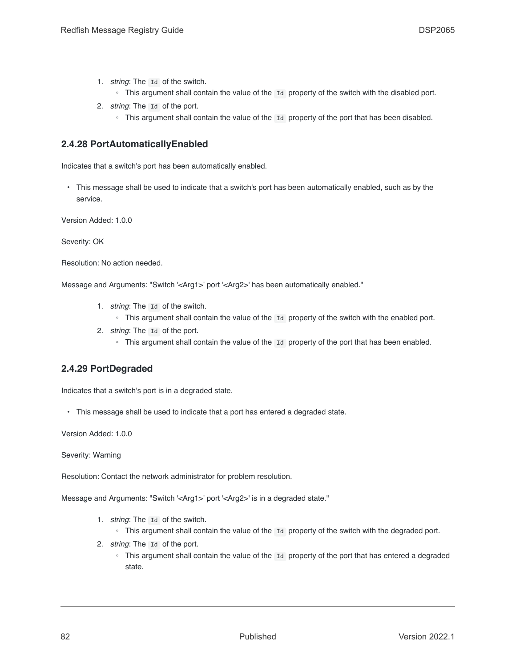- 1. *string*: The Id of the switch.
	- This argument shall contain the value of the Id property of the switch with the disabled port.
- 2. *string*: The Id of the port.
	- This argument shall contain the value of the Id property of the port that has been disabled.

## **2.4.28 PortAutomaticallyEnabled**

Indicates that a switch's port has been automatically enabled.

• This message shall be used to indicate that a switch's port has been automatically enabled, such as by the service.

Version Added: 1.0.0

Severity: OK

Resolution: No action needed.

Message and Arguments: "Switch '<Arg1>' port '<Arg2>' has been automatically enabled."

- 1. *string*: The Id of the switch.
	- This argument shall contain the value of the Id property of the switch with the enabled port.
- 2. *string*: The Id of the port.
	- This argument shall contain the value of the Id property of the port that has been enabled.

#### **2.4.29 PortDegraded**

Indicates that a switch's port is in a degraded state.

• This message shall be used to indicate that a port has entered a degraded state.

Version Added: 1.0.0

Severity: Warning

Resolution: Contact the network administrator for problem resolution.

Message and Arguments: "Switch '<Arg1>' port '<Arg2>' is in a degraded state."

- 1. *string*: The Id of the switch.
	- This argument shall contain the value of the Id property of the switch with the degraded port.
- 2. *string*: The Id of the port.
	- This argument shall contain the value of the Id property of the port that has entered a degraded state.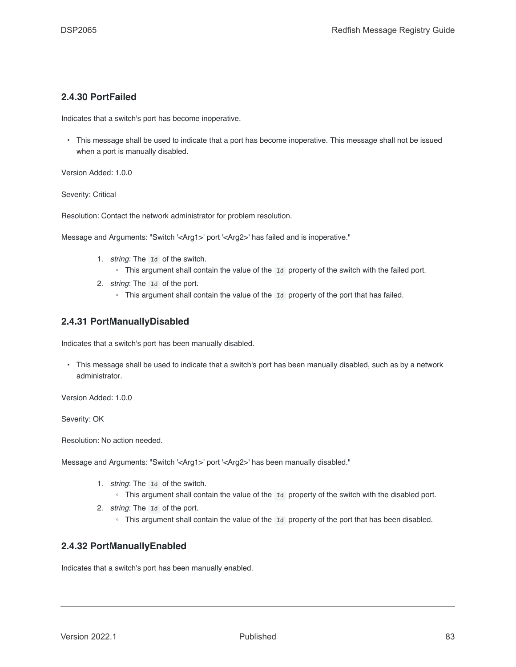## **2.4.30 PortFailed**

Indicates that a switch's port has become inoperative.

• This message shall be used to indicate that a port has become inoperative. This message shall not be issued when a port is manually disabled.

Version Added: 1.0.0

Severity: Critical

Resolution: Contact the network administrator for problem resolution.

Message and Arguments: "Switch '<Arg1>' port '<Arg2>' has failed and is inoperative."

- 1. *string*: The Id of the switch.
	- This argument shall contain the value of the Id property of the switch with the failed port.
- 2. *string*: The Id of the port.
	- This argument shall contain the value of the Id property of the port that has failed.

#### **2.4.31 PortManuallyDisabled**

Indicates that a switch's port has been manually disabled.

• This message shall be used to indicate that a switch's port has been manually disabled, such as by a network administrator.

Version Added: 1.0.0

Severity: OK

Resolution: No action needed.

Message and Arguments: "Switch '<Arg1>' port '<Arg2>' has been manually disabled."

- 1. *string*: The Id of the switch.
	- This argument shall contain the value of the Id property of the switch with the disabled port.
- 2. *string*: The Id of the port.
	- This argument shall contain the value of the Id property of the port that has been disabled.

#### **2.4.32 PortManuallyEnabled**

Indicates that a switch's port has been manually enabled.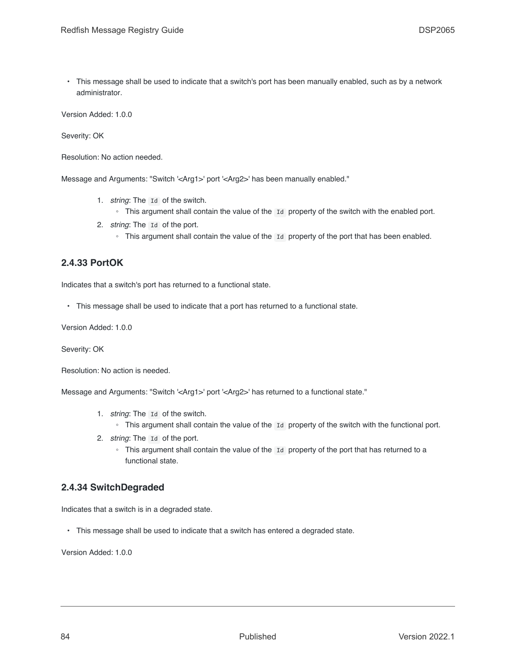Version Added: 1.0.0

Severity: OK

Resolution: No action needed.

Message and Arguments: "Switch '<Arg1>' port '<Arg2>' has been manually enabled."

- 1. *string*: The Id of the switch.
	- This argument shall contain the value of the Id property of the switch with the enabled port.
- 2. *string*: The Id of the port.
	- This argument shall contain the value of the Id property of the port that has been enabled.

#### **2.4.33 PortOK**

Indicates that a switch's port has returned to a functional state.

• This message shall be used to indicate that a port has returned to a functional state.

Version Added: 1.0.0

Severity: OK

Resolution: No action is needed.

Message and Arguments: "Switch '<Arg1>' port '<Arg2>' has returned to a functional state."

- 1. *string*: The Id of the switch.
	- This argument shall contain the value of the Id property of the switch with the functional port.
- 2. *string*: The Id of the port.
	- This argument shall contain the value of the Id property of the port that has returned to a functional state.

#### **2.4.34 SwitchDegraded**

Indicates that a switch is in a degraded state.

• This message shall be used to indicate that a switch has entered a degraded state.

Version Added: 1.0.0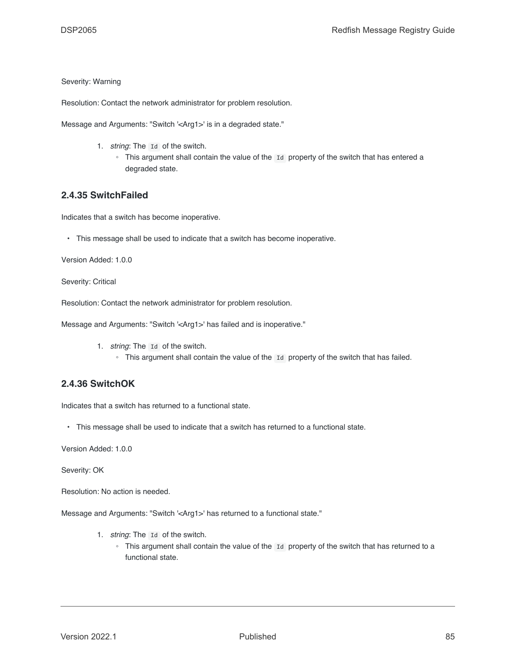Severity: Warning

Resolution: Contact the network administrator for problem resolution.

Message and Arguments: "Switch '<Arg1>' is in a degraded state."

- 1. *string*: The Id of the switch.
	- This argument shall contain the value of the Id property of the switch that has entered a degraded state.

### **2.4.35 SwitchFailed**

Indicates that a switch has become inoperative.

• This message shall be used to indicate that a switch has become inoperative.

Version Added: 1.0.0

Severity: Critical

Resolution: Contact the network administrator for problem resolution.

Message and Arguments: "Switch '<Arg1>' has failed and is inoperative."

- 1. *string*: The Id of the switch.
	- This argument shall contain the value of the Id property of the switch that has failed.

#### **2.4.36 SwitchOK**

Indicates that a switch has returned to a functional state.

• This message shall be used to indicate that a switch has returned to a functional state.

Version Added: 1.0.0

Severity: OK

Resolution: No action is needed.

Message and Arguments: "Switch '<Arg1>' has returned to a functional state."

- 1. *string*: The Id of the switch.
	- This argument shall contain the value of the Id property of the switch that has returned to a functional state.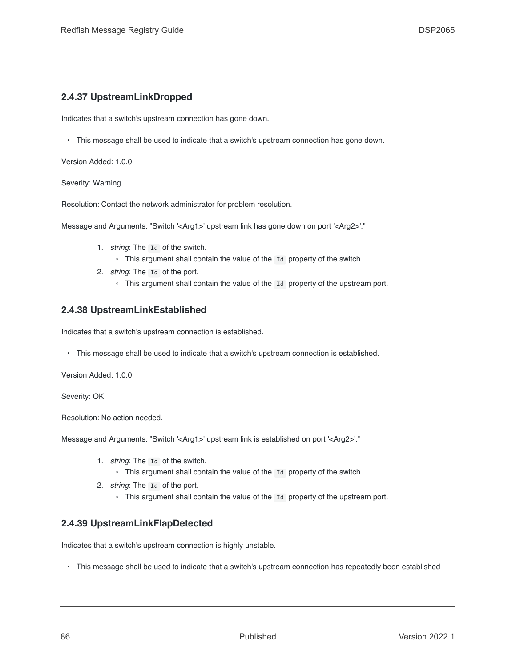# **2.4.37 UpstreamLinkDropped**

Indicates that a switch's upstream connection has gone down.

• This message shall be used to indicate that a switch's upstream connection has gone down.

Version Added: 1.0.0

Severity: Warning

Resolution: Contact the network administrator for problem resolution.

Message and Arguments: "Switch '<Arg1>' upstream link has gone down on port '<Arg2>'."

- 1. *string*: The Id of the switch.
	- This argument shall contain the value of the Id property of the switch.
- 2. *string*: The Id of the port.
	- This argument shall contain the value of the Id property of the upstream port.

#### **2.4.38 UpstreamLinkEstablished**

Indicates that a switch's upstream connection is established.

• This message shall be used to indicate that a switch's upstream connection is established.

Version Added: 1.0.0

Severity: OK

Resolution: No action needed.

Message and Arguments: "Switch '<Arg1>' upstream link is established on port '<Arg2>'."

- 1. *string*: The Id of the switch.
	- This argument shall contain the value of the Id property of the switch.
- 2. *string*: The Id of the port.
	- This argument shall contain the value of the Id property of the upstream port.

#### **2.4.39 UpstreamLinkFlapDetected**

Indicates that a switch's upstream connection is highly unstable.

• This message shall be used to indicate that a switch's upstream connection has repeatedly been established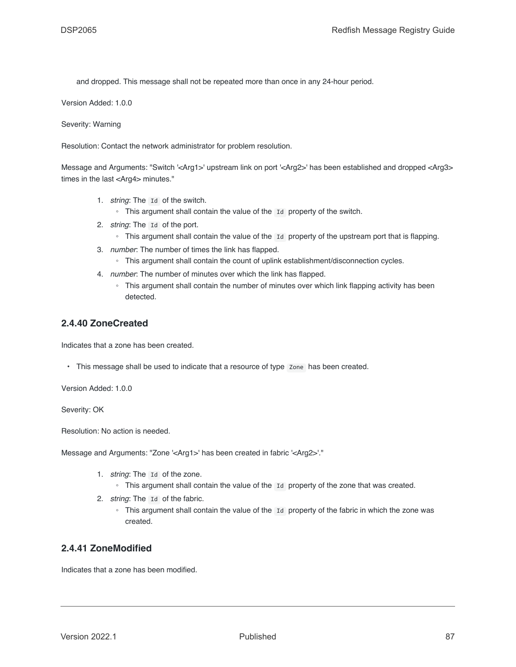and dropped. This message shall not be repeated more than once in any 24-hour period.

Version Added: 1.0.0

Severity: Warning

Resolution: Contact the network administrator for problem resolution.

Message and Arguments: "Switch '<Arg1>' upstream link on port '<Arg2>' has been established and dropped <Arg3> times in the last <Arg4> minutes."

- 1. *string*: The Id of the switch.
	- This argument shall contain the value of the Id property of the switch.
- 2. *string*: The Id of the port.
	- This argument shall contain the value of the Id property of the upstream port that is flapping.
- 3. *number*: The number of times the link has flapped.
	- This argument shall contain the count of uplink establishment/disconnection cycles.
- 4. *number*: The number of minutes over which the link has flapped.
	- This argument shall contain the number of minutes over which link flapping activity has been detected.

#### **2.4.40 ZoneCreated**

Indicates that a zone has been created.

• This message shall be used to indicate that a resource of type zone has been created.

Version Added: 1.0.0

Severity: OK

Resolution: No action is needed.

Message and Arguments: "Zone '<Arg1>' has been created in fabric '<Arg2>'."

- 1. *string*: The Id of the zone.
	- This argument shall contain the value of the Id property of the zone that was created.
- 2. *string*: The Id of the fabric.
	- This argument shall contain the value of the Id property of the fabric in which the zone was created.

# **2.4.41 ZoneModified**

Indicates that a zone has been modified.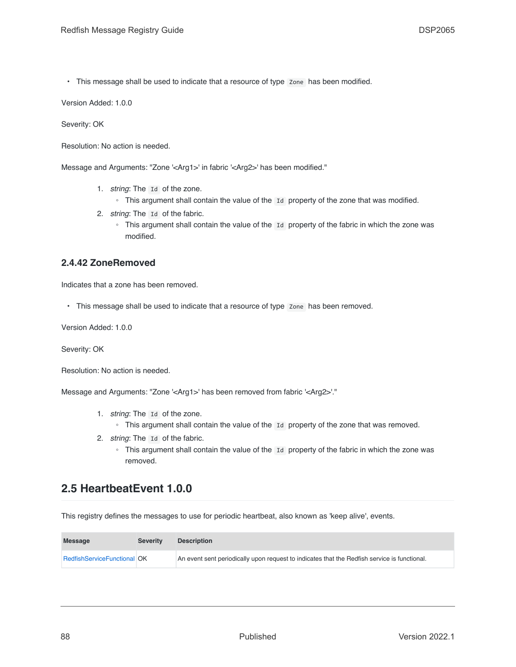• This message shall be used to indicate that a resource of type Zone has been modified.

Version Added: 1.0.0

Severity: OK

Resolution: No action is needed.

Message and Arguments: "Zone '<Arg1>' in fabric '<Arg2>' has been modified."

- 1. *string*: The Id of the zone.
	- This argument shall contain the value of the Id property of the zone that was modified.
- 2. *string*: The Id of the fabric.
	- This argument shall contain the value of the Id property of the fabric in which the zone was modified.

#### **2.4.42 ZoneRemoved**

Indicates that a zone has been removed.

• This message shall be used to indicate that a resource of type Zone has been removed.

Version Added: 1.0.0

Severity: OK

Resolution: No action is needed.

Message and Arguments: "Zone '<Arg1>' has been removed from fabric '<Arg2>'."

- 1. *string*: The Id of the zone.
	- This argument shall contain the value of the Id property of the zone that was removed.
- 2. *string*: The Id of the fabric.
	- This argument shall contain the value of the Id property of the fabric in which the zone was removed.

# **2.5 HeartbeatEvent 1.0.0**

This registry defines the messages to use for periodic heartbeat, also known as 'keep alive', events.

| <b>Message</b>              | <b>Severity</b> | <b>Description</b>                                                                           |
|-----------------------------|-----------------|----------------------------------------------------------------------------------------------|
| RedfishServiceFunctional OK |                 | An event sent periodically upon request to indicates that the Redfish service is functional. |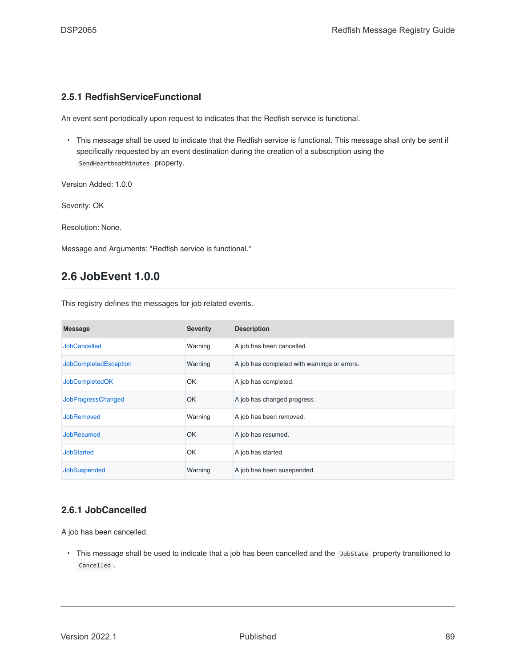## <span id="page-88-0"></span>**2.5.1 RedfishServiceFunctional**

An event sent periodically upon request to indicates that the Redfish service is functional.

• This message shall be used to indicate that the Redfish service is functional. This message shall only be sent if specifically requested by an event destination during the creation of a subscription using the SendHeartbeatMinutes property.

Version Added: 1.0.0

Severity: OK

Resolution: None.

Message and Arguments: "Redfish service is functional."

# **2.6 JobEvent 1.0.0**

This registry defines the messages for job related events.

| <b>Message</b>        | <b>Severity</b> | <b>Description</b>                           |
|-----------------------|-----------------|----------------------------------------------|
| <b>JobCancelled</b>   | Warning         | A job has been cancelled.                    |
| JobCompletedException | Warning         | A job has completed with warnings or errors. |
| <b>JobCompletedOK</b> | OK              | A job has completed.                         |
| JobProgressChanged    | OK              | A job has changed progress.                  |
| <b>JobRemoved</b>     | Warning         | A job has been removed.                      |
| <b>JobResumed</b>     | OK              | A job has resumed.                           |
| <b>JobStarted</b>     | OK              | A job has started.                           |
| JobSuspended          | Warning         | A job has been susepended.                   |

# <span id="page-88-1"></span>**2.6.1 JobCancelled**

A job has been cancelled.

• This message shall be used to indicate that a job has been cancelled and the JobState property transitioned to Cancelled .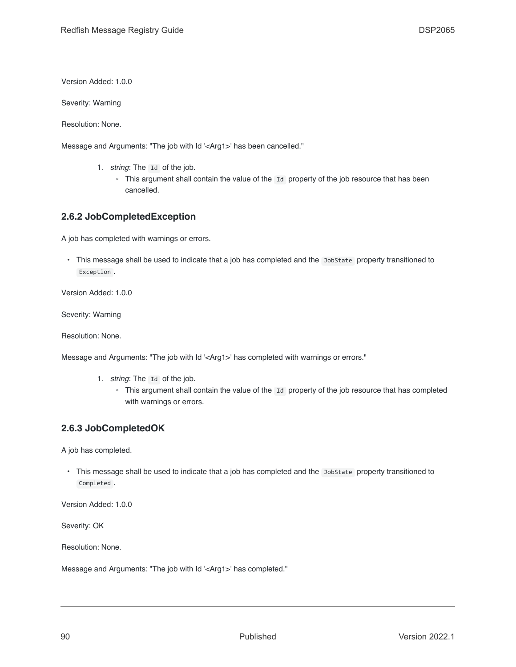Version Added: 1.0.0

Severity: Warning

Resolution: None.

Message and Arguments: "The job with Id '<Arg1>' has been cancelled."

- 1. *string*: The Id of the job.
	- This argument shall contain the value of the Id property of the job resource that has been cancelled.

## <span id="page-89-0"></span>**2.6.2 JobCompletedException**

A job has completed with warnings or errors.

• This message shall be used to indicate that a job has completed and the JobState property transitioned to Exception .

Version Added: 1.0.0

Severity: Warning

Resolution: None.

Message and Arguments: "The job with Id '<Arg1>' has completed with warnings or errors."

- 1. *string*: The Id of the job.
	- This argument shall contain the value of the Id property of the job resource that has completed with warnings or errors.

# <span id="page-89-1"></span>**2.6.3 JobCompletedOK**

A job has completed.

• This message shall be used to indicate that a job has completed and the JobState property transitioned to Completed .

Version Added: 1.0.0

Severity: OK

Resolution: None.

Message and Arguments: "The job with Id '<Arg1>' has completed."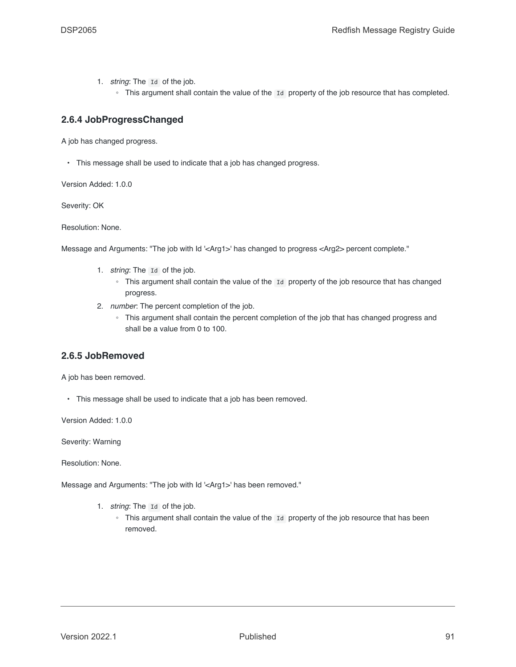- 1. *string*: The Id of the job.
	- This argument shall contain the value of the Id property of the job resource that has completed.

## <span id="page-90-0"></span>**2.6.4 JobProgressChanged**

A job has changed progress.

• This message shall be used to indicate that a job has changed progress.

Version Added: 1.0.0

Severity: OK

Resolution: None.

Message and Arguments: "The job with Id '<Arg1>' has changed to progress <Arg2> percent complete."

- 1. *string*: The Id of the job.
	- This argument shall contain the value of the Id property of the job resource that has changed progress.
- 2. *number*: The percent completion of the job.
	- This argument shall contain the percent completion of the job that has changed progress and shall be a value from 0 to 100.

# <span id="page-90-1"></span>**2.6.5 JobRemoved**

A job has been removed.

• This message shall be used to indicate that a job has been removed.

Version Added: 1.0.0

Severity: Warning

Resolution: None.

Message and Arguments: "The job with Id '<Arg1>' has been removed."

- 1. *string*: The Id of the job.
	- This argument shall contain the value of the Id property of the job resource that has been removed.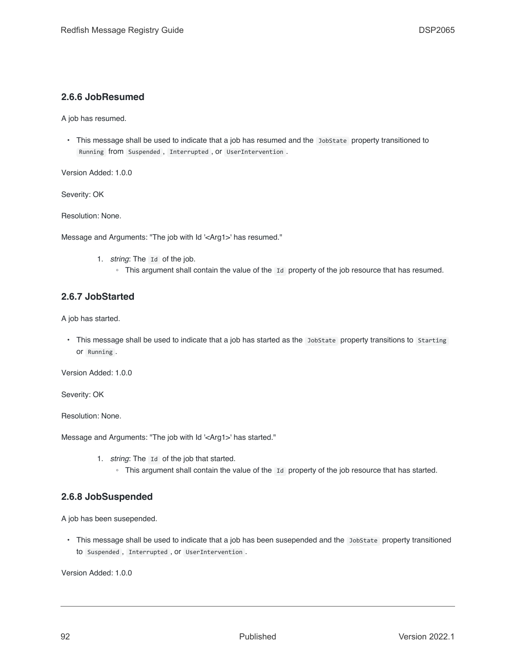#### <span id="page-91-0"></span>**2.6.6 JobResumed**

A job has resumed.

• This message shall be used to indicate that a job has resumed and the JobState property transitioned to Running from Suspended , Interrupted , or UserIntervention .

Version Added: 1.0.0

Severity: OK

Resolution: None.

Message and Arguments: "The job with Id '<Arg1>' has resumed."

- 1. *string*: The Id of the job.
	- This argument shall contain the value of the Id property of the job resource that has resumed.

# <span id="page-91-1"></span>**2.6.7 JobStarted**

A job has started.

• This message shall be used to indicate that a job has started as the JobState property transitions to Starting or Running .

Version Added: 1.0.0

Severity: OK

Resolution: None.

Message and Arguments: "The job with Id '<Arg1>' has started."

- 1. *string*: The Id of the job that started.
	- This argument shall contain the value of the Id property of the job resource that has started.

#### <span id="page-91-2"></span>**2.6.8 JobSuspended**

A job has been susepended.

• This message shall be used to indicate that a job has been susepended and the JobState property transitioned to Suspended , Interrupted , or UserIntervention .

Version Added: 1.0.0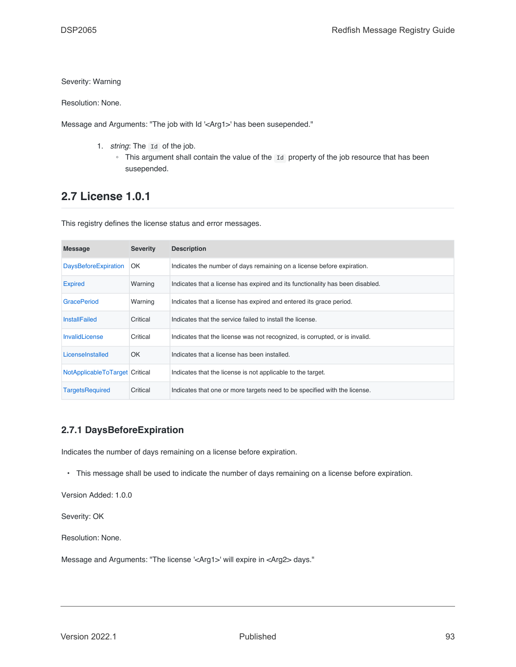Severity: Warning

Resolution: None.

Message and Arguments: "The job with Id '<Arg1>' has been susepended."

- 1. *string*: The Id of the job.
	- This argument shall contain the value of the Id property of the job resource that has been susepended.

# **2.7 License 1.0.1**

This registry defines the license status and error messages.

| <b>Message</b>                 | <b>Severity</b> | <b>Description</b>                                                            |
|--------------------------------|-----------------|-------------------------------------------------------------------------------|
| <b>DaysBeforeExpiration</b>    | <b>OK</b>       | Indicates the number of days remaining on a license before expiration.        |
| <b>Expired</b>                 | Warning         | Indicates that a license has expired and its functionality has been disabled. |
| <b>GracePeriod</b>             | Warning         | Indicates that a license has expired and entered its grace period.            |
| <b>InstallFailed</b>           | Critical        | Indicates that the service failed to install the license.                     |
| <b>InvalidLicense</b>          | Critical        | Indicates that the license was not recognized, is corrupted, or is invalid.   |
| LicenseInstalled               | OK.             | Indicates that a license has been installed.                                  |
| NotApplicableToTarget Critical |                 | Indicates that the license is not applicable to the target.                   |
| <b>TargetsRequired</b>         | Critical        | Indicates that one or more targets need to be specified with the license.     |

# <span id="page-92-0"></span>**2.7.1 DaysBeforeExpiration**

Indicates the number of days remaining on a license before expiration.

• This message shall be used to indicate the number of days remaining on a license before expiration.

Version Added: 1.0.0

Severity: OK

Resolution: None.

Message and Arguments: "The license '<Arg1>' will expire in <Arg2> days."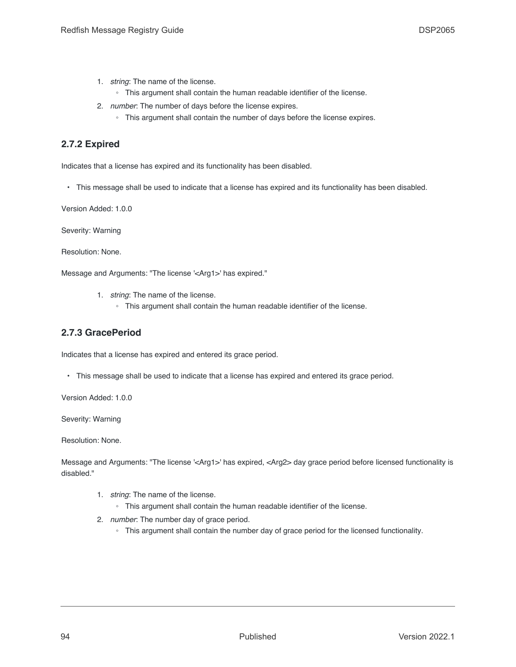- 1. *string*: The name of the license.
	- This argument shall contain the human readable identifier of the license.
- 2. *number*: The number of days before the license expires.
	- This argument shall contain the number of days before the license expires.

# <span id="page-93-0"></span>**2.7.2 Expired**

Indicates that a license has expired and its functionality has been disabled.

• This message shall be used to indicate that a license has expired and its functionality has been disabled.

Version Added: 1.0.0

Severity: Warning

Resolution: None.

Message and Arguments: "The license '<Arg1>' has expired."

- 1. *string*: The name of the license.
	- This argument shall contain the human readable identifier of the license.

#### <span id="page-93-1"></span>**2.7.3 GracePeriod**

Indicates that a license has expired and entered its grace period.

• This message shall be used to indicate that a license has expired and entered its grace period.

Version Added: 1.0.0

Severity: Warning

Resolution: None.

Message and Arguments: "The license '<Arg1>' has expired, <Arg2> day grace period before licensed functionality is disabled."

- 1. *string*: The name of the license.
	- This argument shall contain the human readable identifier of the license.
- 2. *number*: The number day of grace period.
	- This argument shall contain the number day of grace period for the licensed functionality.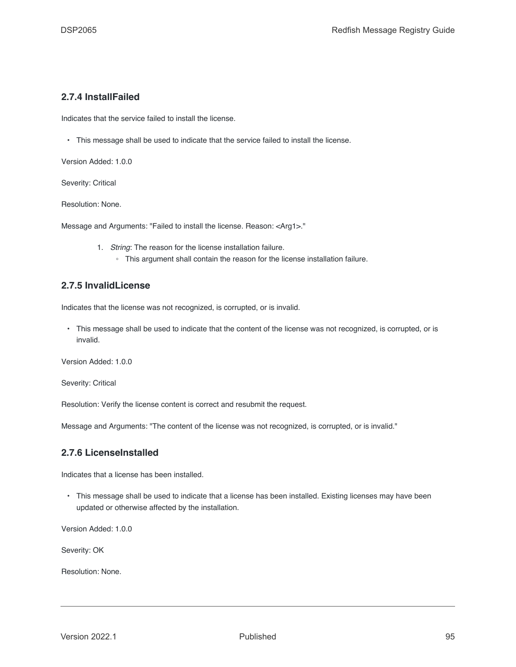# <span id="page-94-0"></span>**2.7.4 InstallFailed**

Indicates that the service failed to install the license.

• This message shall be used to indicate that the service failed to install the license.

Version Added: 1.0.0

Severity: Critical

Resolution: None.

Message and Arguments: "Failed to install the license. Reason: <Arg1>."

- 1. *String*: The reason for the license installation failure.
	- This argument shall contain the reason for the license installation failure.

#### <span id="page-94-1"></span>**2.7.5 InvalidLicense**

Indicates that the license was not recognized, is corrupted, or is invalid.

• This message shall be used to indicate that the content of the license was not recognized, is corrupted, or is invalid.

Version Added: 1.0.0

Severity: Critical

Resolution: Verify the license content is correct and resubmit the request.

Message and Arguments: "The content of the license was not recognized, is corrupted, or is invalid."

### <span id="page-94-2"></span>**2.7.6 LicenseInstalled**

Indicates that a license has been installed.

• This message shall be used to indicate that a license has been installed. Existing licenses may have been updated or otherwise affected by the installation.

Version Added: 1.0.0

Severity: OK

Resolution: None.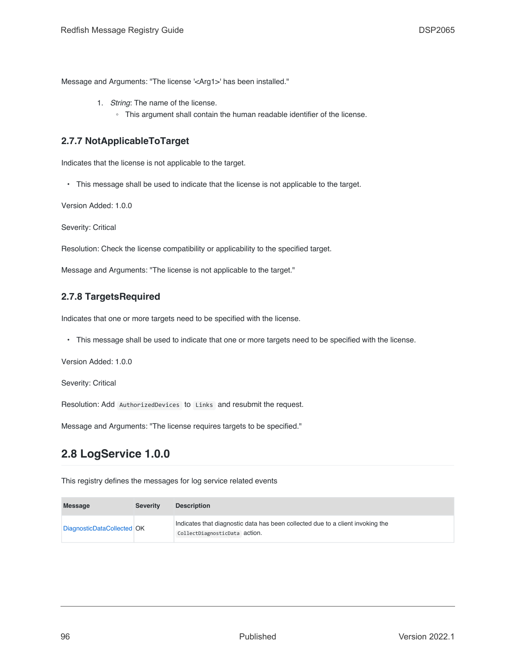Message and Arguments: "The license '<Arg1>' has been installed."

- 1. *String*: The name of the license.
	- This argument shall contain the human readable identifier of the license.

# <span id="page-95-0"></span>**2.7.7 NotApplicableToTarget**

Indicates that the license is not applicable to the target.

• This message shall be used to indicate that the license is not applicable to the target.

Version Added: 1.0.0

Severity: Critical

Resolution: Check the license compatibility or applicability to the specified target.

Message and Arguments: "The license is not applicable to the target."

# <span id="page-95-1"></span>**2.7.8 TargetsRequired**

Indicates that one or more targets need to be specified with the license.

• This message shall be used to indicate that one or more targets need to be specified with the license.

Version Added: 1.0.0

Severity: Critical

Resolution: Add AuthorizedDevices to Links and resubmit the request.

Message and Arguments: "The license requires targets to be specified."

# **2.8 LogService 1.0.0**

This registry defines the messages for log service related events

| <b>Message</b>             | <b>Severity</b> | <b>Description</b>                                                                                              |
|----------------------------|-----------------|-----------------------------------------------------------------------------------------------------------------|
| DiagnosticDataCollected OK |                 | Indicates that diagnostic data has been collected due to a client invoking the<br>CollectDiagnosticData action. |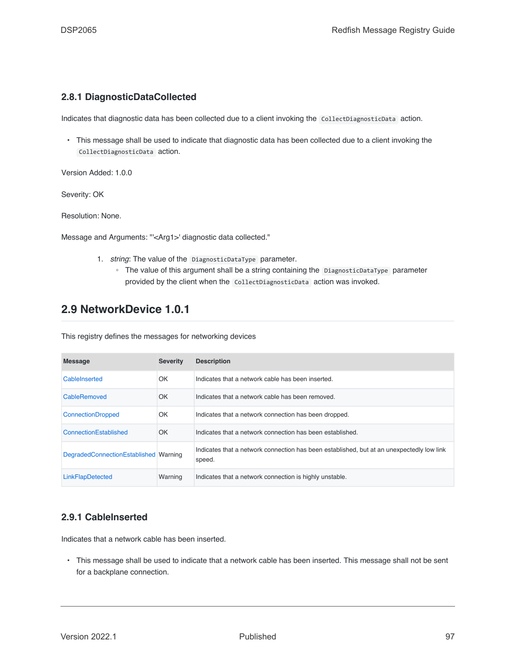## <span id="page-96-0"></span>**2.8.1 DiagnosticDataCollected**

Indicates that diagnostic data has been collected due to a client invoking the CollectDiagnosticData action.

• This message shall be used to indicate that diagnostic data has been collected due to a client invoking the CollectDiagnosticData action.

Version Added: 1.0.0

Severity: OK

Resolution: None.

Message and Arguments: "'<Arg1>' diagnostic data collected."

- 1. *string*: The value of the DiagnosticDataType parameter.
	- The value of this argument shall be a string containing the DiagnosticDataType parameter provided by the client when the CollectDiagnosticData action was invoked.

# **2.9 NetworkDevice 1.0.1**

This registry defines the messages for networking devices

| <b>Message</b>                        | <b>Severity</b> | <b>Description</b>                                                                                  |
|---------------------------------------|-----------------|-----------------------------------------------------------------------------------------------------|
| CableInserted                         | OK.             | Indicates that a network cable has been inserted.                                                   |
| CableRemoved                          | OK.             | Indicates that a network cable has been removed.                                                    |
| <b>ConnectionDropped</b>              | OK.             | Indicates that a network connection has been dropped.                                               |
| ConnectionEstablished                 | OK.             | Indicates that a network connection has been established.                                           |
| DegradedConnectionEstablished Warning |                 | Indicates that a network connection has been established, but at an unexpectedly low link<br>speed. |
| <b>LinkFlapDetected</b>               | Warning         | Indicates that a network connection is highly unstable.                                             |

# <span id="page-96-1"></span>**2.9.1 CableInserted**

Indicates that a network cable has been inserted.

• This message shall be used to indicate that a network cable has been inserted. This message shall not be sent for a backplane connection.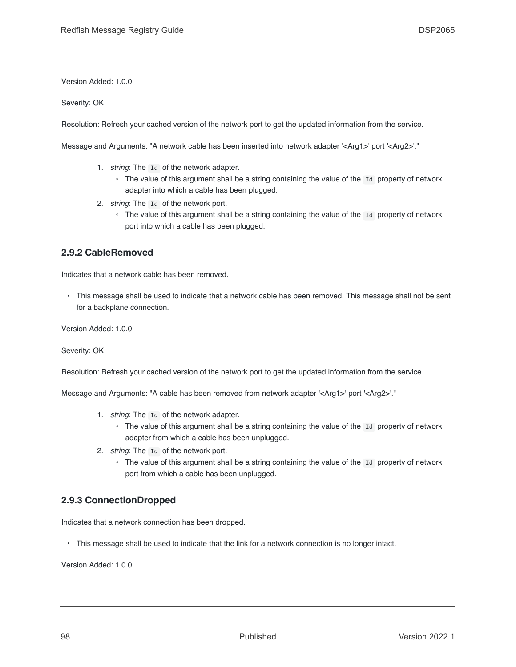Version Added: 1.0.0

Severity: OK

Resolution: Refresh your cached version of the network port to get the updated information from the service.

Message and Arguments: "A network cable has been inserted into network adapter '<Arg1>' port '<Arg2>'."

- 1. *string*: The Id of the network adapter.
	- The value of this argument shall be a string containing the value of the Id property of network adapter into which a cable has been plugged.
- 2. *string*: The Id of the network port.
	- The value of this argument shall be a string containing the value of the Id property of network port into which a cable has been plugged.

#### <span id="page-97-0"></span>**2.9.2 CableRemoved**

Indicates that a network cable has been removed.

• This message shall be used to indicate that a network cable has been removed. This message shall not be sent for a backplane connection.

Version Added: 1.0.0

Severity: OK

Resolution: Refresh your cached version of the network port to get the updated information from the service.

Message and Arguments: "A cable has been removed from network adapter '<Arg1>' port '<Arg2>'."

- 1. *string*: The Id of the network adapter.
	- The value of this argument shall be a string containing the value of the Id property of network adapter from which a cable has been unplugged.
- 2. *string*: The Id of the network port.
	- The value of this argument shall be a string containing the value of the Id property of network port from which a cable has been unplugged.

#### <span id="page-97-1"></span>**2.9.3 ConnectionDropped**

Indicates that a network connection has been dropped.

• This message shall be used to indicate that the link for a network connection is no longer intact.

Version Added: 1.0.0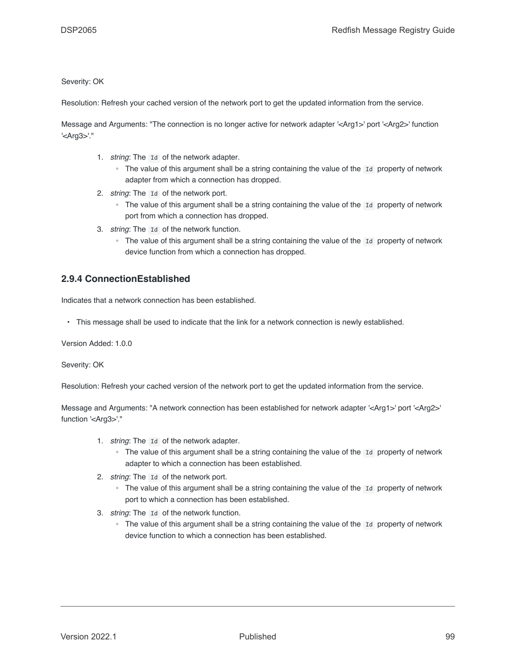Severity: OK

Resolution: Refresh your cached version of the network port to get the updated information from the service.

Message and Arguments: "The connection is no longer active for network adapter '<Arg1>' port '<Arg2>' function '<Arg3>'."

- 1. *string*: The Id of the network adapter.
	- The value of this argument shall be a string containing the value of the Id property of network adapter from which a connection has dropped.
- 2. *string*: The Id of the network port.
	- The value of this argument shall be a string containing the value of the Id property of network port from which a connection has dropped.
- 3. *string*: The Id of the network function.
	- The value of this argument shall be a string containing the value of the Id property of network device function from which a connection has dropped.

# <span id="page-98-0"></span>**2.9.4 ConnectionEstablished**

Indicates that a network connection has been established.

• This message shall be used to indicate that the link for a network connection is newly established.

Version Added: 1.0.0

Severity: OK

Resolution: Refresh your cached version of the network port to get the updated information from the service.

Message and Arguments: "A network connection has been established for network adapter '<Arg1>' port '<Arg2>' function '<Arg3>'."

- 1. *string*: The Id of the network adapter.
	- The value of this argument shall be a string containing the value of the Id property of network adapter to which a connection has been established.
- 2. *string*: The Id of the network port.
	- The value of this argument shall be a string containing the value of the Id property of network port to which a connection has been established.
- 3. *string*: The Id of the network function.
	- The value of this argument shall be a string containing the value of the Id property of network device function to which a connection has been established.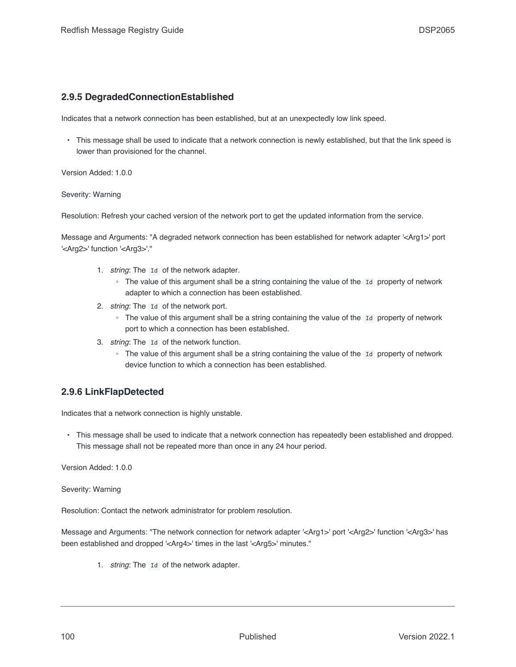## <span id="page-99-0"></span>**2.9.5 DegradedConnectionEstablished**

Indicates that a network connection has been established, but at an unexpectedly low link speed.

• This message shall be used to indicate that a network connection is newly established, but that the link speed is lower than provisioned for the channel.

Version Added: 1.0.0

Severity: Warning

Resolution: Refresh your cached version of the network port to get the updated information from the service.

Message and Arguments: "A degraded network connection has been established for network adapter '<Arg1>' port '<Arg2>' function '<Arg3>'."

- 1. *string*: The Id of the network adapter.
	- The value of this argument shall be a string containing the value of the Id property of network adapter to which a connection has been established.
- 2. *string*: The Id of the network port.
	- The value of this argument shall be a string containing the value of the Id property of network port to which a connection has been established.
- 3. *string*: The Id of the network function.
	- The value of this argument shall be a string containing the value of the Id property of network device function to which a connection has been established.

# <span id="page-99-1"></span>**2.9.6 LinkFlapDetected**

Indicates that a network connection is highly unstable.

• This message shall be used to indicate that a network connection has repeatedly been established and dropped. This message shall not be repeated more than once in any 24 hour period.

Version Added: 1.0.0

Severity: Warning

Resolution: Contact the network administrator for problem resolution.

Message and Arguments: "The network connection for network adapter '<Arg1>' port '<Arg2>' function '<Arg3>' has been established and dropped '<Arg4>' times in the last '<Arg5>' minutes."

1. *string*: The Id of the network adapter.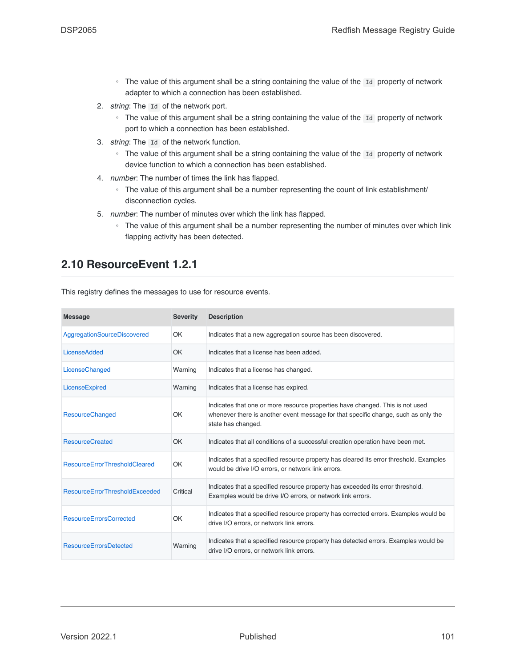- The value of this argument shall be a string containing the value of the Id property of network adapter to which a connection has been established.
- 2. *string*: The Id of the network port.
	- The value of this argument shall be a string containing the value of the Id property of network port to which a connection has been established.
- 3. *string*: The Id of the network function.
	- The value of this argument shall be a string containing the value of the Id property of network device function to which a connection has been established.
- 4. *number*: The number of times the link has flapped.
	- The value of this argument shall be a number representing the count of link establishment/ disconnection cycles.
- 5. *number*: The number of minutes over which the link has flapped.
	- The value of this argument shall be a number representing the number of minutes over which link flapping activity has been detected.

# **2.10 ResourceEvent 1.2.1**

This registry defines the messages to use for resource events.

| <b>Message</b>                        | <b>Severity</b> | <b>Description</b>                                                                                                                                                                        |
|---------------------------------------|-----------------|-------------------------------------------------------------------------------------------------------------------------------------------------------------------------------------------|
| <b>AggregationSourceDiscovered</b>    | OK.             | Indicates that a new aggregation source has been discovered.                                                                                                                              |
| LicenseAdded                          | OK.             | Indicates that a license has been added.                                                                                                                                                  |
| LicenseChanged                        | Warning         | Indicates that a license has changed.                                                                                                                                                     |
| LicenseExpired                        | Warning         | Indicates that a license has expired.                                                                                                                                                     |
| ResourceChanged                       | OK              | Indicates that one or more resource properties have changed. This is not used<br>whenever there is another event message for that specific change, such as only the<br>state has changed. |
| <b>ResourceCreated</b>                | OK              | Indicates that all conditions of a successful creation operation have been met.                                                                                                           |
| <b>ResourceErrorThresholdCleared</b>  | OK              | Indicates that a specified resource property has cleared its error threshold. Examples<br>would be drive I/O errors, or network link errors.                                              |
| <b>ResourceErrorThresholdExceeded</b> | Critical        | Indicates that a specified resource property has exceeded its error threshold.<br>Examples would be drive I/O errors, or network link errors.                                             |
| <b>ResourceErrorsCorrected</b>        | OK              | Indicates that a specified resource property has corrected errors. Examples would be<br>drive I/O errors, or network link errors.                                                         |
| <b>ResourceErrorsDetected</b>         | Warning         | Indicates that a specified resource property has detected errors. Examples would be<br>drive I/O errors, or network link errors.                                                          |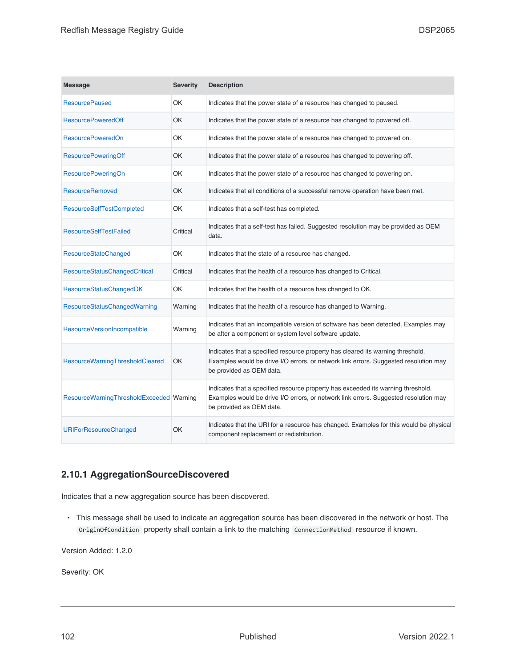| <b>Message</b>                           | <b>Severity</b> | <b>Description</b>                                                                                                                                                                                   |
|------------------------------------------|-----------------|------------------------------------------------------------------------------------------------------------------------------------------------------------------------------------------------------|
| <b>ResourcePaused</b>                    | OK              | Indicates that the power state of a resource has changed to paused.                                                                                                                                  |
| <b>ResourcePoweredOff</b>                | OK              | Indicates that the power state of a resource has changed to powered off.                                                                                                                             |
| <b>ResourcePoweredOn</b>                 | OK              | Indicates that the power state of a resource has changed to powered on.                                                                                                                              |
| <b>ResourcePoweringOff</b>               | OK              | Indicates that the power state of a resource has changed to powering off.                                                                                                                            |
| <b>ResourcePoweringOn</b>                | OK              | Indicates that the power state of a resource has changed to powering on.                                                                                                                             |
| <b>ResourceRemoved</b>                   | OK              | Indicates that all conditions of a successful remove operation have been met.                                                                                                                        |
| <b>ResourceSelfTestCompleted</b>         | OK              | Indicates that a self-test has completed.                                                                                                                                                            |
| <b>ResourceSelfTestFailed</b>            | Critical        | Indicates that a self-test has failed. Suggested resolution may be provided as OEM<br>data.                                                                                                          |
| <b>ResourceStateChanged</b>              | OK              | Indicates that the state of a resource has changed.                                                                                                                                                  |
| <b>ResourceStatusChangedCritical</b>     | Critical        | Indicates that the health of a resource has changed to Critical.                                                                                                                                     |
| ResourceStatusChangedOK                  | OK              | Indicates that the health of a resource has changed to OK.                                                                                                                                           |
| ResourceStatusChangedWarning             | Warning         | Indicates that the health of a resource has changed to Warning.                                                                                                                                      |
| ResourceVersionIncompatible              | Warning         | Indicates that an incompatible version of software has been detected. Examples may<br>be after a component or system level software update.                                                          |
| <b>ResourceWarningThresholdCleared</b>   | OK              | Indicates that a specified resource property has cleared its warning threshold.<br>Examples would be drive I/O errors, or network link errors. Suggested resolution may<br>be provided as OEM data.  |
| ResourceWarningThresholdExceeded Warning |                 | Indicates that a specified resource property has exceeded its warning threshold.<br>Examples would be drive I/O errors, or network link errors. Suggested resolution may<br>be provided as OEM data. |
| <b>URIForResourceChanged</b>             | OK              | Indicates that the URI for a resource has changed. Examples for this would be physical<br>component replacement or redistribution.                                                                   |

# <span id="page-101-0"></span>**2.10.1 AggregationSourceDiscovered**

Indicates that a new aggregation source has been discovered.

• This message shall be used to indicate an aggregation source has been discovered in the network or host. The OriginOfCondition property shall contain a link to the matching ConnectionMethod resource if known.

Version Added: 1.2.0

Severity: OK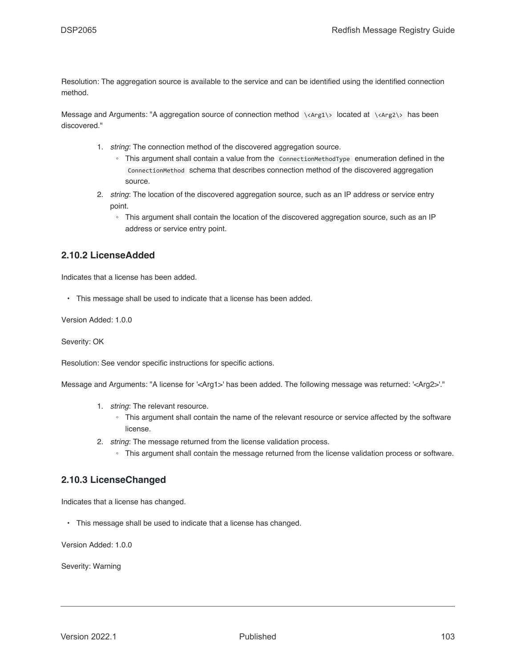Resolution: The aggregation source is available to the service and can be identified using the identified connection method.

Message and Arguments: "A aggregation source of connection method \<Arg1\> located at \<Arg2\> has been discovered."

- 1. *string*: The connection method of the discovered aggregation source.
	- This argument shall contain a value from the ConnectionMethodType enumeration defined in the ConnectionMethod schema that describes connection method of the discovered aggregation source.
- 2. *string*: The location of the discovered aggregation source, such as an IP address or service entry point.
	- This argument shall contain the location of the discovered aggregation source, such as an IP address or service entry point.

# <span id="page-102-0"></span>**2.10.2 LicenseAdded**

Indicates that a license has been added.

• This message shall be used to indicate that a license has been added.

Version Added: 1.0.0

Severity: OK

Resolution: See vendor specific instructions for specific actions.

Message and Arguments: "A license for '<Arg1>' has been added. The following message was returned: '<Arg2>'."

- 1. *string*: The relevant resource.
	- This argument shall contain the name of the relevant resource or service affected by the software license.
- 2. *string*: The message returned from the license validation process.
	- This argument shall contain the message returned from the license validation process or software.

#### <span id="page-102-1"></span>**2.10.3 LicenseChanged**

Indicates that a license has changed.

• This message shall be used to indicate that a license has changed.

Version Added: 1.0.0

Severity: Warning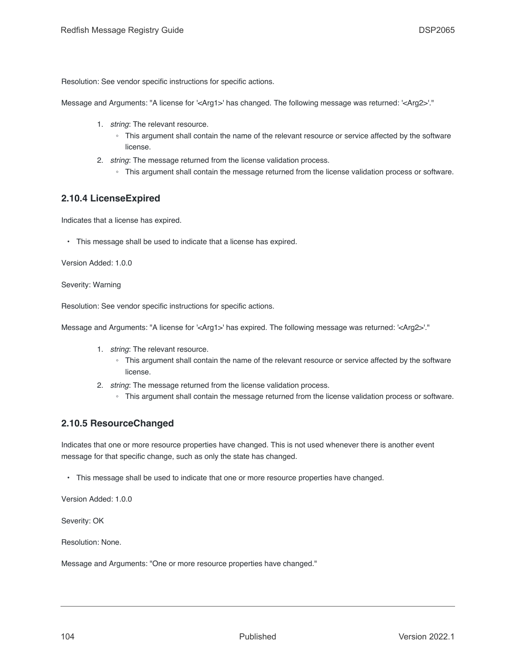Resolution: See vendor specific instructions for specific actions.

Message and Arguments: "A license for '<Arg1>' has changed. The following message was returned: '<Arg2>'."

- 1. *string*: The relevant resource.
	- This argument shall contain the name of the relevant resource or service affected by the software license.
- 2. *string*: The message returned from the license validation process.
	- This argument shall contain the message returned from the license validation process or software.

#### <span id="page-103-0"></span>**2.10.4 LicenseExpired**

Indicates that a license has expired.

• This message shall be used to indicate that a license has expired.

Version Added: 1.0.0

Severity: Warning

Resolution: See vendor specific instructions for specific actions.

Message and Arguments: "A license for '<Arg1>' has expired. The following message was returned: '<Arg2>'."

- 1. *string*: The relevant resource.
	- This argument shall contain the name of the relevant resource or service affected by the software license.
- 2. *string*: The message returned from the license validation process.
	- This argument shall contain the message returned from the license validation process or software.

#### <span id="page-103-1"></span>**2.10.5 ResourceChanged**

Indicates that one or more resource properties have changed. This is not used whenever there is another event message for that specific change, such as only the state has changed.

• This message shall be used to indicate that one or more resource properties have changed.

Version Added: 1.0.0

Severity: OK

Resolution: None.

Message and Arguments: "One or more resource properties have changed."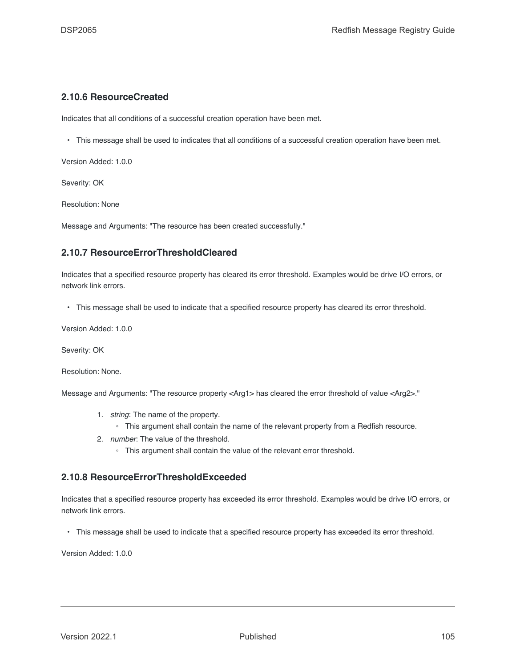## <span id="page-104-0"></span>**2.10.6 ResourceCreated**

Indicates that all conditions of a successful creation operation have been met.

• This message shall be used to indicates that all conditions of a successful creation operation have been met.

Version Added: 1.0.0

Severity: OK

Resolution: None

Message and Arguments: "The resource has been created successfully."

# <span id="page-104-1"></span>**2.10.7 ResourceErrorThresholdCleared**

Indicates that a specified resource property has cleared its error threshold. Examples would be drive I/O errors, or network link errors.

• This message shall be used to indicate that a specified resource property has cleared its error threshold.

Version Added: 1.0.0

Severity: OK

Resolution: None.

Message and Arguments: "The resource property <Arg1> has cleared the error threshold of value <Arg2>."

- 1. *string*: The name of the property.
	- This argument shall contain the name of the relevant property from a Redfish resource.
- 2. *number*: The value of the threshold.
	- This argument shall contain the value of the relevant error threshold.

## <span id="page-104-2"></span>**2.10.8 ResourceErrorThresholdExceeded**

Indicates that a specified resource property has exceeded its error threshold. Examples would be drive I/O errors, or network link errors.

• This message shall be used to indicate that a specified resource property has exceeded its error threshold.

Version Added: 1.0.0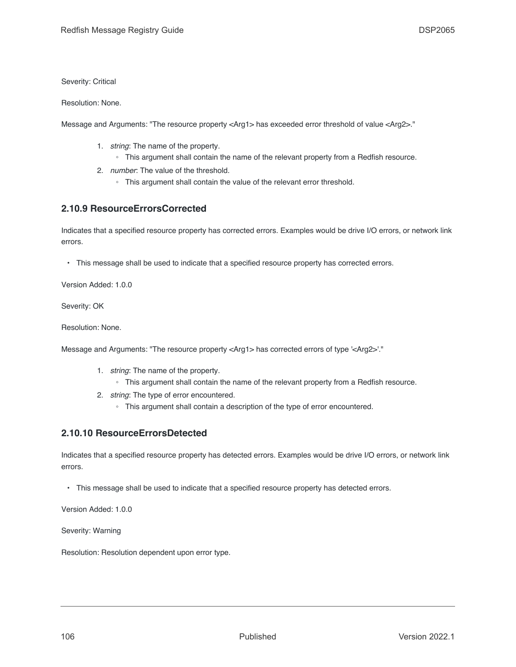Severity: Critical

Resolution: None.

Message and Arguments: "The resource property <Arg1> has exceeded error threshold of value <Arg2>."

- 1. *string*: The name of the property.
	- This argument shall contain the name of the relevant property from a Redfish resource.
- 2. *number*: The value of the threshold.
	- This argument shall contain the value of the relevant error threshold.

# <span id="page-105-0"></span>**2.10.9 ResourceErrorsCorrected**

Indicates that a specified resource property has corrected errors. Examples would be drive I/O errors, or network link errors.

• This message shall be used to indicate that a specified resource property has corrected errors.

Version Added: 1.0.0

Severity: OK

Resolution: None.

Message and Arguments: "The resource property <Arg1> has corrected errors of type '<Arg2>'."

- 1. *string*: The name of the property.
	- This argument shall contain the name of the relevant property from a Redfish resource.
- 2. *string*: The type of error encountered.
	- This argument shall contain a description of the type of error encountered.

# <span id="page-105-1"></span>**2.10.10 ResourceErrorsDetected**

Indicates that a specified resource property has detected errors. Examples would be drive I/O errors, or network link errors.

• This message shall be used to indicate that a specified resource property has detected errors.

Version Added: 1.0.0

Severity: Warning

Resolution: Resolution dependent upon error type.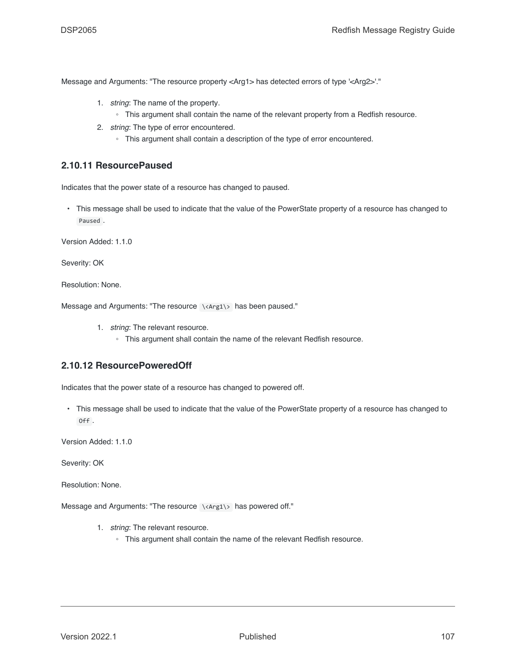Message and Arguments: "The resource property <Arg1> has detected errors of type '<Arg2>'."

- 1. *string*: The name of the property.
	- This argument shall contain the name of the relevant property from a Redfish resource.
- 2. *string*: The type of error encountered.
	- This argument shall contain a description of the type of error encountered.

#### <span id="page-106-0"></span>**2.10.11 ResourcePaused**

Indicates that the power state of a resource has changed to paused.

• This message shall be used to indicate that the value of the PowerState property of a resource has changed to Paused .

Version Added: 1.1.0

Severity: OK

Resolution: None.

Message and Arguments: "The resource \<Arg1\> has been paused."

- 1. *string*: The relevant resource.
	- This argument shall contain the name of the relevant Redfish resource.

#### <span id="page-106-1"></span>**2.10.12 ResourcePoweredOff**

Indicates that the power state of a resource has changed to powered off.

• This message shall be used to indicate that the value of the PowerState property of a resource has changed to Off .

Version Added: 1.1.0

Severity: OK

Resolution: None.

Message and Arguments: "The resource \<Arg1\> has powered off."

- 1. *string*: The relevant resource.
	- This argument shall contain the name of the relevant Redfish resource.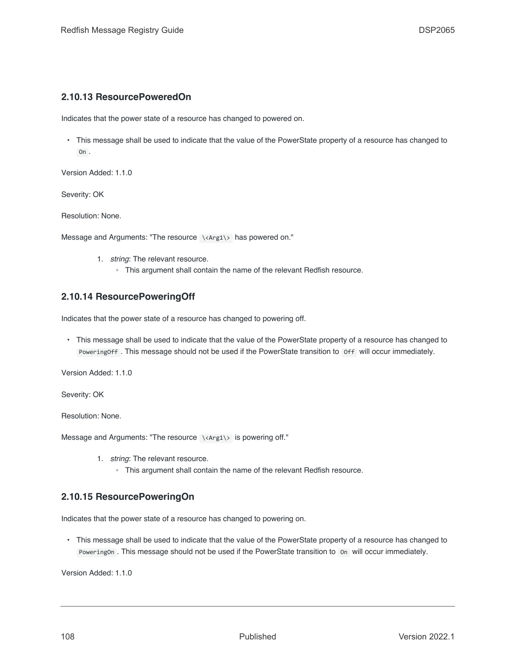## <span id="page-107-0"></span>**2.10.13 ResourcePoweredOn**

Indicates that the power state of a resource has changed to powered on.

• This message shall be used to indicate that the value of the PowerState property of a resource has changed to On .

Version Added: 1.1.0

Severity: OK

Resolution: None.

Message and Arguments: "The resource \ \carg1\ > has powered on."

- 1. *string*: The relevant resource.
	- This argument shall contain the name of the relevant Redfish resource.

## <span id="page-107-1"></span>**2.10.14 ResourcePoweringOff**

Indicates that the power state of a resource has changed to powering off.

• This message shall be used to indicate that the value of the PowerState property of a resource has changed to PoweringOff . This message should not be used if the PowerState transition to Off will occur immediately.

Version Added: 1.1.0

Severity: OK

Resolution: None.

Message and Arguments: "The resource \ <Arg1\> is powering off."

- 1. *string*: The relevant resource.
	- This argument shall contain the name of the relevant Redfish resource.

#### <span id="page-107-2"></span>**2.10.15 ResourcePoweringOn**

Indicates that the power state of a resource has changed to powering on.

• This message shall be used to indicate that the value of the PowerState property of a resource has changed to PoweringOn . This message should not be used if the PowerState transition to On will occur immediately.

Version Added: 1.1.0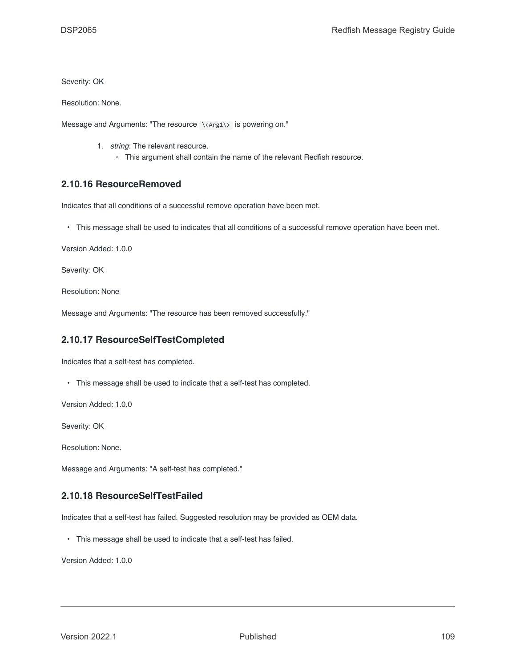Severity: OK

Resolution: None.

Message and Arguments: "The resource \<Arg1\> is powering on."

- 1. *string*: The relevant resource.
	- This argument shall contain the name of the relevant Redfish resource.

#### **2.10.16 ResourceRemoved**

Indicates that all conditions of a successful remove operation have been met.

• This message shall be used to indicates that all conditions of a successful remove operation have been met.

Version Added: 1.0.0

Severity: OK

Resolution: None

Message and Arguments: "The resource has been removed successfully."

#### **2.10.17 ResourceSelfTestCompleted**

Indicates that a self-test has completed.

• This message shall be used to indicate that a self-test has completed.

Version Added: 1.0.0

Severity: OK

Resolution: None.

Message and Arguments: "A self-test has completed."

#### **2.10.18 ResourceSelfTestFailed**

Indicates that a self-test has failed. Suggested resolution may be provided as OEM data.

• This message shall be used to indicate that a self-test has failed.

Version Added: 1.0.0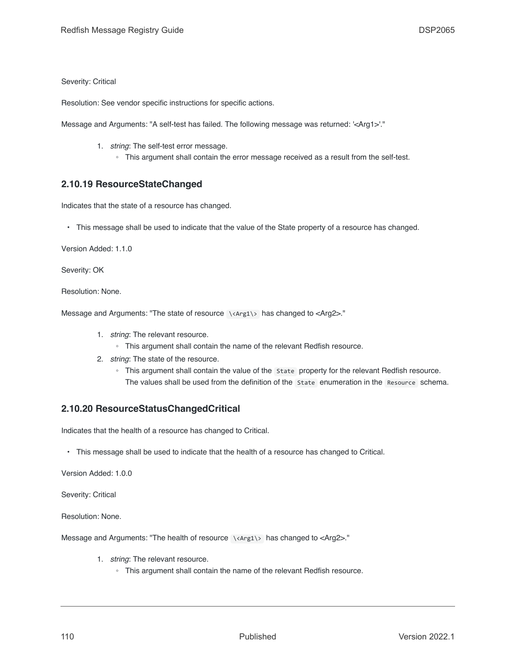Severity: Critical

Resolution: See vendor specific instructions for specific actions.

Message and Arguments: "A self-test has failed. The following message was returned: '<Arg1>'."

- 1. *string*: The self-test error message.
	- This argument shall contain the error message received as a result from the self-test.

#### **2.10.19 ResourceStateChanged**

Indicates that the state of a resource has changed.

• This message shall be used to indicate that the value of the State property of a resource has changed.

Version Added: 1.1.0

Severity: OK

Resolution: None.

Message and Arguments: "The state of resource \ <Arg1\> has changed to <Arg2>."

- 1. *string*: The relevant resource.
	- This argument shall contain the name of the relevant Redfish resource.
- 2. *string*: The state of the resource.
	- This argument shall contain the value of the State property for the relevant Redfish resource. The values shall be used from the definition of the State enumeration in the Resource schema.

#### **2.10.20 ResourceStatusChangedCritical**

Indicates that the health of a resource has changed to Critical.

• This message shall be used to indicate that the health of a resource has changed to Critical.

Version Added: 1.0.0

Severity: Critical

Resolution: None.

Message and Arguments: "The health of resource \<Arg1\> has changed to <Arg2>."

- 1. *string*: The relevant resource.
	- This argument shall contain the name of the relevant Redfish resource.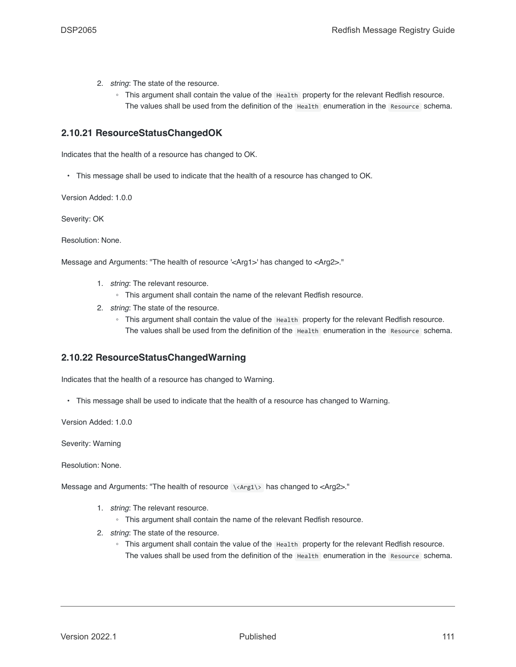- 2. *string*: The state of the resource.
	- This argument shall contain the value of the Health property for the relevant Redfish resource. The values shall be used from the definition of the Health enumeration in the Resource schema.

#### **2.10.21 ResourceStatusChangedOK**

Indicates that the health of a resource has changed to OK.

• This message shall be used to indicate that the health of a resource has changed to OK.

Version Added: 1.0.0

Severity: OK

Resolution: None.

Message and Arguments: "The health of resource '<Arg1>' has changed to <Arg2>."

- 1. *string*: The relevant resource.
	- This argument shall contain the name of the relevant Redfish resource.
- 2. *string*: The state of the resource.
	- This argument shall contain the value of the Health property for the relevant Redfish resource. The values shall be used from the definition of the Health enumeration in the Resource schema.

#### **2.10.22 ResourceStatusChangedWarning**

Indicates that the health of a resource has changed to Warning.

• This message shall be used to indicate that the health of a resource has changed to Warning.

Version Added: 1.0.0

Severity: Warning

Resolution: None.

Message and Arguments: "The health of resource \<Arg1\> has changed to <Arg2>."

- 1. *string*: The relevant resource.
	- This argument shall contain the name of the relevant Redfish resource.
- 2. *string*: The state of the resource.
	- This argument shall contain the value of the Health property for the relevant Redfish resource. The values shall be used from the definition of the Health enumeration in the Resource schema.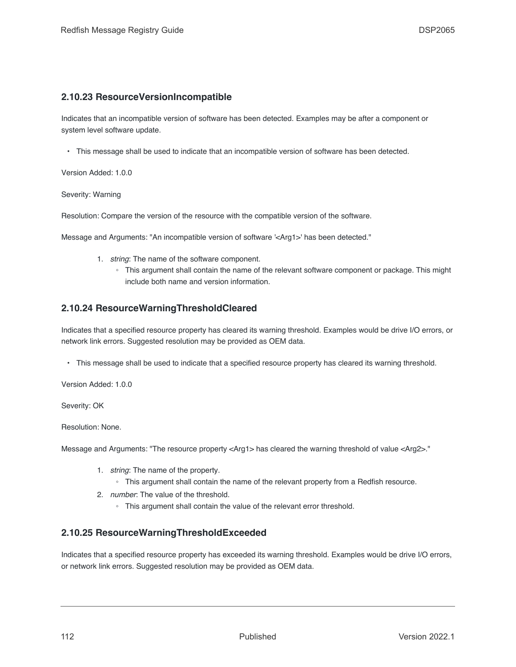#### **2.10.23 ResourceVersionIncompatible**

Indicates that an incompatible version of software has been detected. Examples may be after a component or system level software update.

• This message shall be used to indicate that an incompatible version of software has been detected.

Version Added: 1.0.0

Severity: Warning

Resolution: Compare the version of the resource with the compatible version of the software.

Message and Arguments: "An incompatible version of software '<Arg1>' has been detected."

- 1. *string*: The name of the software component.
	- This argument shall contain the name of the relevant software component or package. This might include both name and version information.

#### **2.10.24 ResourceWarningThresholdCleared**

Indicates that a specified resource property has cleared its warning threshold. Examples would be drive I/O errors, or network link errors. Suggested resolution may be provided as OEM data.

• This message shall be used to indicate that a specified resource property has cleared its warning threshold.

Version Added: 1.0.0

Severity: OK

Resolution: None.

Message and Arguments: "The resource property <Arg1> has cleared the warning threshold of value <Arg2>."

- 1. *string*: The name of the property.
	- This argument shall contain the name of the relevant property from a Redfish resource.
- 2. *number*: The value of the threshold.
	- This argument shall contain the value of the relevant error threshold.

#### **2.10.25 ResourceWarningThresholdExceeded**

Indicates that a specified resource property has exceeded its warning threshold. Examples would be drive I/O errors, or network link errors. Suggested resolution may be provided as OEM data.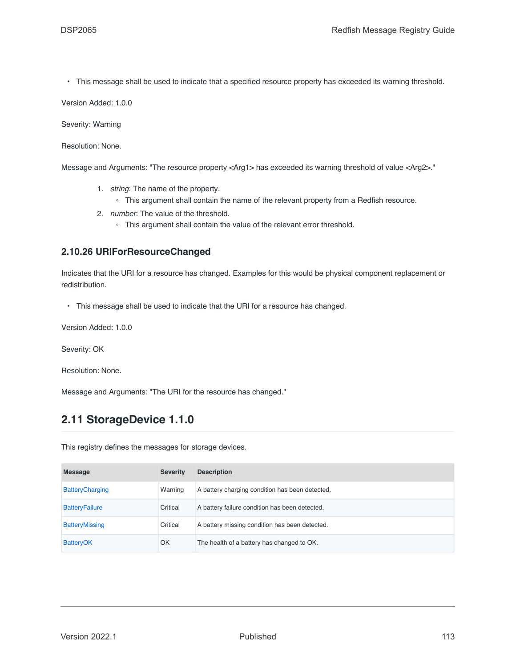• This message shall be used to indicate that a specified resource property has exceeded its warning threshold.

Version Added: 1.0.0

Severity: Warning

```
Resolution: None.
```
Message and Arguments: "The resource property <Arg1> has exceeded its warning threshold of value <Arg2>."

- 1. *string*: The name of the property.
	- This argument shall contain the name of the relevant property from a Redfish resource.
- 2. *number*: The value of the threshold.
	- This argument shall contain the value of the relevant error threshold.

#### **2.10.26 URIForResourceChanged**

Indicates that the URI for a resource has changed. Examples for this would be physical component replacement or redistribution.

• This message shall be used to indicate that the URI for a resource has changed.

Version Added: 1.0.0

Severity: OK

Resolution: None.

Message and Arguments: "The URI for the resource has changed."

## **2.11 StorageDevice 1.1.0**

This registry defines the messages for storage devices.

| <b>Message</b>         | <b>Severity</b> | <b>Description</b>                              |
|------------------------|-----------------|-------------------------------------------------|
| <b>BatteryCharging</b> | Warning         | A battery charging condition has been detected. |
| <b>BatteryFailure</b>  | Critical        | A battery failure condition has been detected.  |
| <b>BatteryMissing</b>  | Critical        | A battery missing condition has been detected.  |
| <b>BatteryOK</b>       | OK              | The health of a battery has changed to OK.      |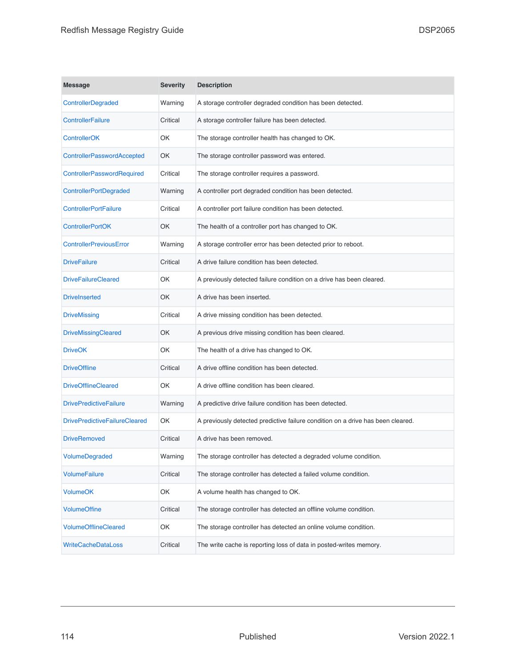| <b>Message</b>                       | <b>Severity</b> | <b>Description</b>                                                              |
|--------------------------------------|-----------------|---------------------------------------------------------------------------------|
| ControllerDegraded                   | Warning         | A storage controller degraded condition has been detected.                      |
| <b>ControllerFailure</b>             | Critical        | A storage controller failure has been detected.                                 |
| <b>ControllerOK</b>                  | OK              | The storage controller health has changed to OK.                                |
| ControllerPasswordAccepted           | OK              | The storage controller password was entered.                                    |
| ControllerPasswordRequired           | Critical        | The storage controller requires a password.                                     |
| ControllerPortDegraded               | Warning         | A controller port degraded condition has been detected.                         |
| <b>ControllerPortFailure</b>         | Critical        | A controller port failure condition has been detected.                          |
| <b>ControllerPortOK</b>              | OK              | The health of a controller port has changed to OK.                              |
| <b>ControllerPreviousError</b>       | Warning         | A storage controller error has been detected prior to reboot.                   |
| <b>DriveFailure</b>                  | Critical        | A drive failure condition has been detected.                                    |
| <b>DriveFailureCleared</b>           | ΟK              | A previously detected failure condition on a drive has been cleared.            |
| <b>DriveInserted</b>                 | OK              | A drive has been inserted.                                                      |
| <b>DriveMissing</b>                  | Critical        | A drive missing condition has been detected.                                    |
| <b>DriveMissingCleared</b>           | OK              | A previous drive missing condition has been cleared.                            |
| <b>DriveOK</b>                       | ΟK              | The health of a drive has changed to OK.                                        |
| <b>DriveOffline</b>                  | Critical        | A drive offline condition has been detected.                                    |
| <b>DriveOfflineCleared</b>           | ΟK              | A drive offline condition has been cleared.                                     |
| <b>DrivePredictiveFailure</b>        | Warning         | A predictive drive failure condition has been detected.                         |
| <b>DrivePredictiveFailureCleared</b> | OK              | A previously detected predictive failure condition on a drive has been cleared. |
| <b>DriveRemoved</b>                  | Critical        | A drive has been removed.                                                       |
| VolumeDegraded                       | Warning         | The storage controller has detected a degraded volume condition.                |
| <b>VolumeFailure</b>                 | Critical        | The storage controller has detected a failed volume condition.                  |
| <b>VolumeOK</b>                      | OK              | A volume health has changed to OK.                                              |
| <b>VolumeOffine</b>                  | Critical        | The storage controller has detected an offline volume condition.                |
| <b>VolumeOfflineCleared</b>          | OK              | The storage controller has detected an online volume condition.                 |
| <b>WriteCacheDataLoss</b>            | Critical        | The write cache is reporting loss of data in posted-writes memory.              |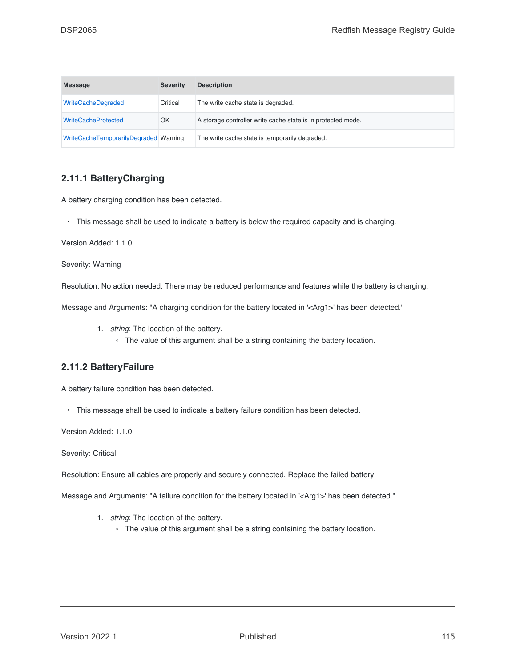| <b>Message</b>                        | <b>Severity</b> | <b>Description</b>                                           |
|---------------------------------------|-----------------|--------------------------------------------------------------|
| WriteCacheDegraded                    | Critical        | The write cache state is degraded.                           |
| <b>WriteCacheProtected</b>            | OK              | A storage controller write cache state is in protected mode. |
| WriteCacheTemporarilyDegraded Warning |                 | The write cache state is temporarily degraded.               |

#### <span id="page-114-0"></span>**2.11.1 BatteryCharging**

A battery charging condition has been detected.

• This message shall be used to indicate a battery is below the required capacity and is charging.

Version Added: 1.1.0

Severity: Warning

Resolution: No action needed. There may be reduced performance and features while the battery is charging.

Message and Arguments: "A charging condition for the battery located in '<Arg1>' has been detected."

- 1. *string*: The location of the battery.
	- The value of this argument shall be a string containing the battery location.

#### <span id="page-114-1"></span>**2.11.2 BatteryFailure**

A battery failure condition has been detected.

• This message shall be used to indicate a battery failure condition has been detected.

Version Added: 1.1.0

Severity: Critical

Resolution: Ensure all cables are properly and securely connected. Replace the failed battery.

Message and Arguments: "A failure condition for the battery located in '<Arg1>' has been detected."

- 1. *string*: The location of the battery.
	- The value of this argument shall be a string containing the battery location.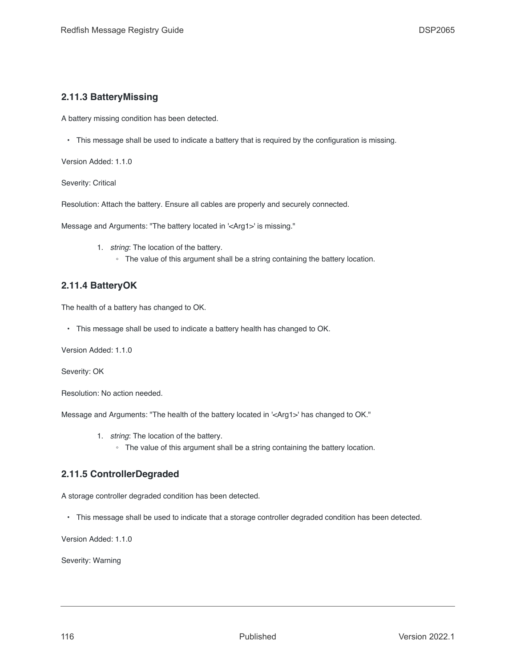#### <span id="page-115-0"></span>**2.11.3 BatteryMissing**

A battery missing condition has been detected.

• This message shall be used to indicate a battery that is required by the configuration is missing.

Version Added: 1.1.0

Severity: Critical

Resolution: Attach the battery. Ensure all cables are properly and securely connected.

Message and Arguments: "The battery located in '<Arg1>' is missing."

- 1. *string*: The location of the battery.
	- The value of this argument shall be a string containing the battery location.

#### <span id="page-115-1"></span>**2.11.4 BatteryOK**

The health of a battery has changed to OK.

• This message shall be used to indicate a battery health has changed to OK.

Version Added: 1.1.0

Severity: OK

Resolution: No action needed.

Message and Arguments: "The health of the battery located in '<Arg1>' has changed to OK."

- 1. *string*: The location of the battery.
	- The value of this argument shall be a string containing the battery location.

#### <span id="page-115-2"></span>**2.11.5 ControllerDegraded**

A storage controller degraded condition has been detected.

• This message shall be used to indicate that a storage controller degraded condition has been detected.

Version Added: 1.1.0

Severity: Warning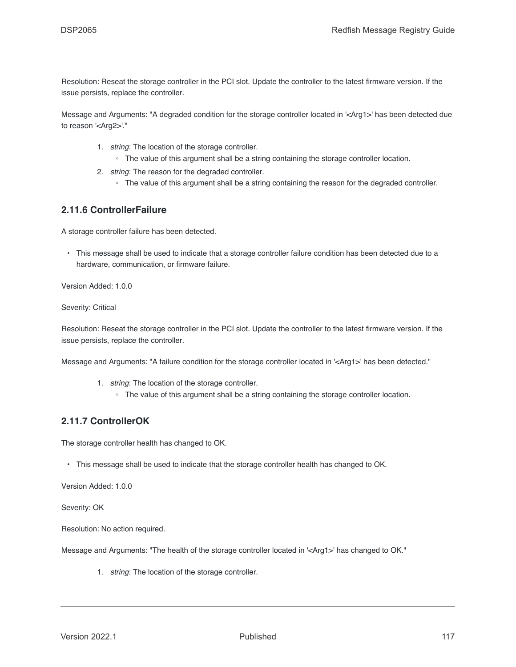Resolution: Reseat the storage controller in the PCI slot. Update the controller to the latest firmware version. If the issue persists, replace the controller.

Message and Arguments: "A degraded condition for the storage controller located in '<Arg1>' has been detected due to reason '<Arg2>'."

- 1. *string*: The location of the storage controller.
	- The value of this argument shall be a string containing the storage controller location.
- 2. *string*: The reason for the degraded controller.
	- The value of this argument shall be a string containing the reason for the degraded controller.

#### <span id="page-116-0"></span>**2.11.6 ControllerFailure**

A storage controller failure has been detected.

• This message shall be used to indicate that a storage controller failure condition has been detected due to a hardware, communication, or firmware failure.

Version Added: 1.0.0

Severity: Critical

Resolution: Reseat the storage controller in the PCI slot. Update the controller to the latest firmware version. If the issue persists, replace the controller.

Message and Arguments: "A failure condition for the storage controller located in '<Arg1>' has been detected."

- 1. *string*: The location of the storage controller.
	- The value of this argument shall be a string containing the storage controller location.

#### <span id="page-116-1"></span>**2.11.7 ControllerOK**

The storage controller health has changed to OK.

• This message shall be used to indicate that the storage controller health has changed to OK.

Version Added: 1.0.0

Severity: OK

Resolution: No action required.

Message and Arguments: "The health of the storage controller located in '<Arg1>' has changed to OK."

1. *string*: The location of the storage controller.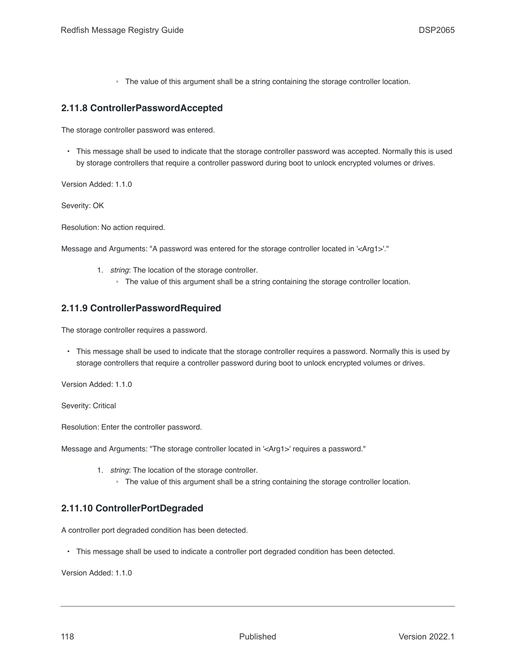◦ The value of this argument shall be a string containing the storage controller location.

#### <span id="page-117-0"></span>**2.11.8 ControllerPasswordAccepted**

The storage controller password was entered.

• This message shall be used to indicate that the storage controller password was accepted. Normally this is used by storage controllers that require a controller password during boot to unlock encrypted volumes or drives.

Version Added: 1.1.0

Severity: OK

Resolution: No action required.

Message and Arguments: "A password was entered for the storage controller located in '<Arg1>'."

- 1. *string*: The location of the storage controller.
	- The value of this argument shall be a string containing the storage controller location.

#### <span id="page-117-1"></span>**2.11.9 ControllerPasswordRequired**

The storage controller requires a password.

• This message shall be used to indicate that the storage controller requires a password. Normally this is used by storage controllers that require a controller password during boot to unlock encrypted volumes or drives.

Version Added: 1.1.0

Severity: Critical

Resolution: Enter the controller password.

Message and Arguments: "The storage controller located in '<Arg1>' requires a password."

- 1. *string*: The location of the storage controller.
	- The value of this argument shall be a string containing the storage controller location.

#### <span id="page-117-2"></span>**2.11.10 ControllerPortDegraded**

A controller port degraded condition has been detected.

• This message shall be used to indicate a controller port degraded condition has been detected.

Version Added: 1.1.0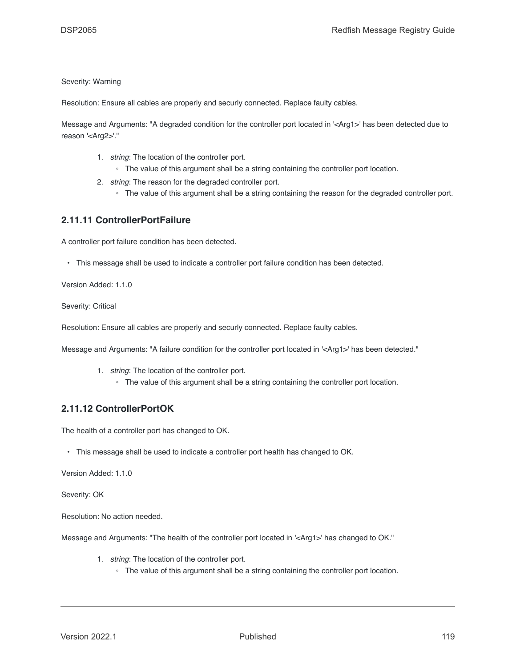Severity: Warning

Resolution: Ensure all cables are properly and securly connected. Replace faulty cables.

Message and Arguments: "A degraded condition for the controller port located in '<Arg1>' has been detected due to reason '<Arg2>'."

- 1. *string*: The location of the controller port.
	- The value of this argument shall be a string containing the controller port location.
- 2. *string*: The reason for the degraded controller port.
	- The value of this argument shall be a string containing the reason for the degraded controller port.

#### <span id="page-118-0"></span>**2.11.11 ControllerPortFailure**

A controller port failure condition has been detected.

• This message shall be used to indicate a controller port failure condition has been detected.

Version Added: 1.1.0

Severity: Critical

Resolution: Ensure all cables are properly and securly connected. Replace faulty cables.

Message and Arguments: "A failure condition for the controller port located in '<Arg1>' has been detected."

- 1. *string*: The location of the controller port.
	- The value of this argument shall be a string containing the controller port location.

#### <span id="page-118-1"></span>**2.11.12 ControllerPortOK**

The health of a controller port has changed to OK.

• This message shall be used to indicate a controller port health has changed to OK.

Version Added: 1.1.0

Severity: OK

Resolution: No action needed.

Message and Arguments: "The health of the controller port located in '<Arg1>' has changed to OK."

- 1. *string*: The location of the controller port.
	- The value of this argument shall be a string containing the controller port location.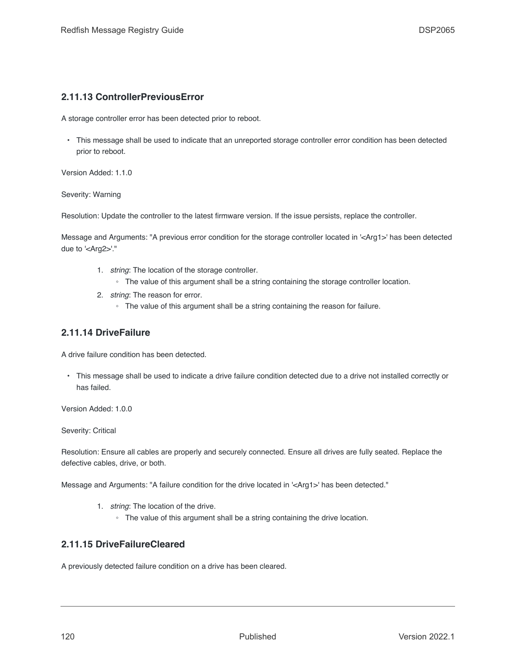#### <span id="page-119-0"></span>**2.11.13 ControllerPreviousError**

A storage controller error has been detected prior to reboot.

• This message shall be used to indicate that an unreported storage controller error condition has been detected prior to reboot.

Version Added: 1.1.0

Severity: Warning

Resolution: Update the controller to the latest firmware version. If the issue persists, replace the controller.

Message and Arguments: "A previous error condition for the storage controller located in '<Arg1>' has been detected due to '<Arg2>'."

- 1. *string*: The location of the storage controller.
	- The value of this argument shall be a string containing the storage controller location.
- 2. *string*: The reason for error.
	- The value of this argument shall be a string containing the reason for failure.

#### <span id="page-119-1"></span>**2.11.14 DriveFailure**

A drive failure condition has been detected.

• This message shall be used to indicate a drive failure condition detected due to a drive not installed correctly or has failed.

Version Added: 1.0.0

Severity: Critical

Resolution: Ensure all cables are properly and securely connected. Ensure all drives are fully seated. Replace the defective cables, drive, or both.

Message and Arguments: "A failure condition for the drive located in '<Arg1>' has been detected."

- 1. *string*: The location of the drive.
	- The value of this argument shall be a string containing the drive location.

#### <span id="page-119-2"></span>**2.11.15 DriveFailureCleared**

A previously detected failure condition on a drive has been cleared.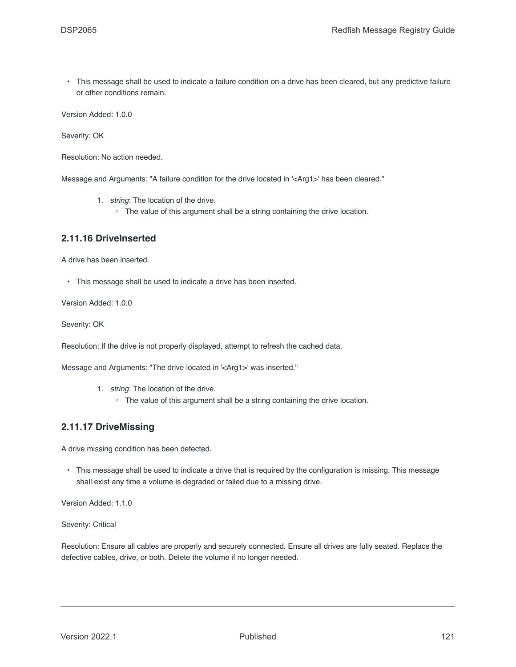• This message shall be used to indicate a failure condition on a drive has been cleared, but any predictive failure or other conditions remain.

Version Added: 1.0.0

Severity: OK

Resolution: No action needed.

Message and Arguments: "A failure condition for the drive located in '<Arg1>' has been cleared."

- 1. *string*: The location of the drive.
	- The value of this argument shall be a string containing the drive location.

#### <span id="page-120-0"></span>**2.11.16 DriveInserted**

A drive has been inserted.

• This message shall be used to indicate a drive has been inserted.

Version Added: 1.0.0

Severity: OK

Resolution: If the drive is not properly displayed, attempt to refresh the cached data.

Message and Arguments: "The drive located in '<Arg1>' was inserted."

- 1. *string*: The location of the drive.
	- The value of this argument shall be a string containing the drive location.

#### <span id="page-120-1"></span>**2.11.17 DriveMissing**

A drive missing condition has been detected.

• This message shall be used to indicate a drive that is required by the configuration is missing. This message shall exist any time a volume is degraded or failed due to a missing drive.

Version Added: 1.1.0

Severity: Critical

Resolution: Ensure all cables are properly and securely connected. Ensure all drives are fully seated. Replace the defective cables, drive, or both. Delete the volume if no longer needed.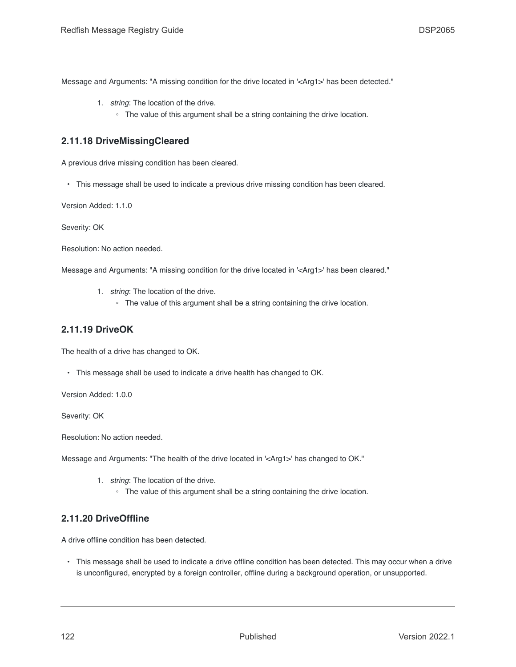Message and Arguments: "A missing condition for the drive located in '<Arg1>' has been detected."

- 1. *string*: The location of the drive.
	- The value of this argument shall be a string containing the drive location.

#### <span id="page-121-0"></span>**2.11.18 DriveMissingCleared**

A previous drive missing condition has been cleared.

• This message shall be used to indicate a previous drive missing condition has been cleared.

Version Added: 1.1.0

Severity: OK

Resolution: No action needed.

Message and Arguments: "A missing condition for the drive located in '<Arg1>' has been cleared."

- 1. *string*: The location of the drive.
	- The value of this argument shall be a string containing the drive location.

#### <span id="page-121-1"></span>**2.11.19 DriveOK**

The health of a drive has changed to OK.

• This message shall be used to indicate a drive health has changed to OK.

Version Added: 1.0.0

Severity: OK

Resolution: No action needed.

Message and Arguments: "The health of the drive located in '<Arg1>' has changed to OK."

- 1. *string*: The location of the drive.
	- The value of this argument shall be a string containing the drive location.

#### <span id="page-121-2"></span>**2.11.20 DriveOffline**

A drive offline condition has been detected.

• This message shall be used to indicate a drive offline condition has been detected. This may occur when a drive is unconfigured, encrypted by a foreign controller, offline during a background operation, or unsupported.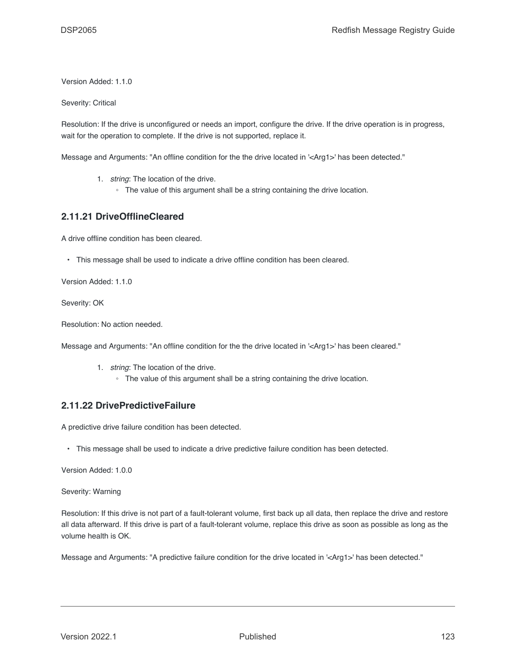Version Added: 1.1.0

Severity: Critical

Resolution: If the drive is unconfigured or needs an import, configure the drive. If the drive operation is in progress, wait for the operation to complete. If the drive is not supported, replace it.

Message and Arguments: "An offline condition for the the drive located in '<Arg1>' has been detected."

- 1. *string*: The location of the drive.
	- The value of this argument shall be a string containing the drive location.

#### <span id="page-122-0"></span>**2.11.21 DriveOfflineCleared**

A drive offline condition has been cleared.

• This message shall be used to indicate a drive offline condition has been cleared.

Version Added: 1.1.0

Severity: OK

Resolution: No action needed.

Message and Arguments: "An offline condition for the the drive located in '<Arg1>' has been cleared."

- 1. *string*: The location of the drive.
	- The value of this argument shall be a string containing the drive location.

#### <span id="page-122-1"></span>**2.11.22 DrivePredictiveFailure**

A predictive drive failure condition has been detected.

• This message shall be used to indicate a drive predictive failure condition has been detected.

Version Added: 1.0.0

Severity: Warning

Resolution: If this drive is not part of a fault-tolerant volume, first back up all data, then replace the drive and restore all data afterward. If this drive is part of a fault-tolerant volume, replace this drive as soon as possible as long as the volume health is OK.

Message and Arguments: "A predictive failure condition for the drive located in '<Arg1>' has been detected."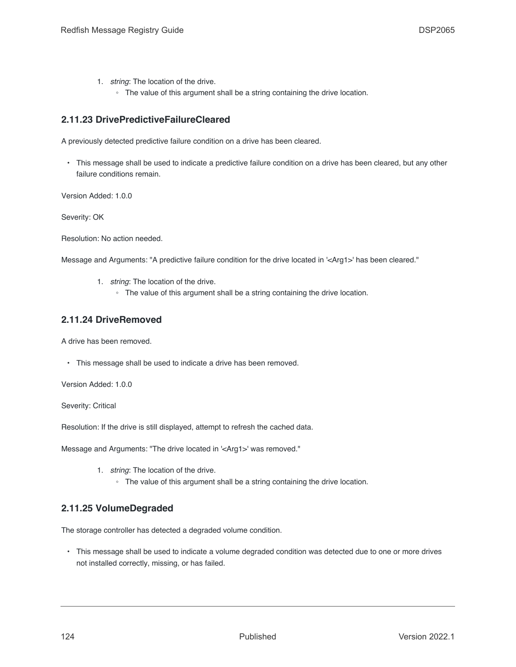- 1. *string*: The location of the drive.
	- The value of this argument shall be a string containing the drive location.

#### <span id="page-123-0"></span>**2.11.23 DrivePredictiveFailureCleared**

A previously detected predictive failure condition on a drive has been cleared.

• This message shall be used to indicate a predictive failure condition on a drive has been cleared, but any other failure conditions remain.

Version Added: 1.0.0

Severity: OK

Resolution: No action needed.

Message and Arguments: "A predictive failure condition for the drive located in '<Arg1>' has been cleared."

- 1. *string*: The location of the drive.
	- The value of this argument shall be a string containing the drive location.

#### <span id="page-123-1"></span>**2.11.24 DriveRemoved**

A drive has been removed.

• This message shall be used to indicate a drive has been removed.

Version Added: 1.0.0

Severity: Critical

Resolution: If the drive is still displayed, attempt to refresh the cached data.

Message and Arguments: "The drive located in '<Arg1>' was removed."

- 1. *string*: The location of the drive.
	- The value of this argument shall be a string containing the drive location.

#### <span id="page-123-2"></span>**2.11.25 VolumeDegraded**

The storage controller has detected a degraded volume condition.

• This message shall be used to indicate a volume degraded condition was detected due to one or more drives not installed correctly, missing, or has failed.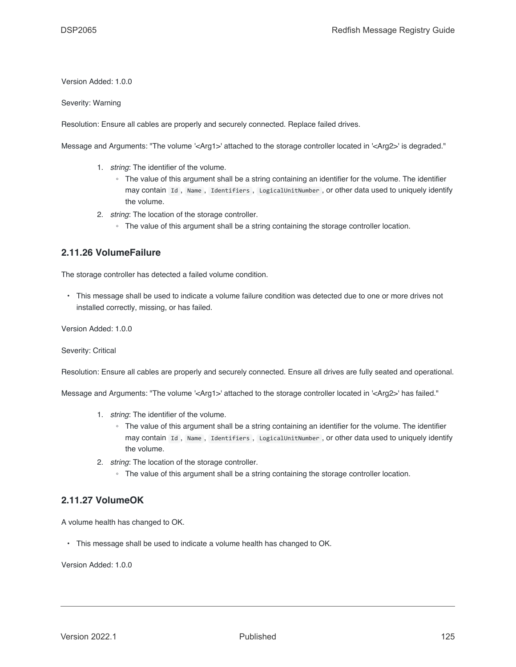Version Added: 1.0.0

Severity: Warning

Resolution: Ensure all cables are properly and securely connected. Replace failed drives.

Message and Arguments: "The volume '<Arg1>' attached to the storage controller located in '<Arg2>' is degraded."

- 1. *string*: The identifier of the volume.
	- The value of this argument shall be a string containing an identifier for the volume. The identifier may contain Id , Name , Identifiers , LogicalUnitNumber , or other data used to uniquely identify the volume.
- 2. *string*: The location of the storage controller.
	- The value of this argument shall be a string containing the storage controller location.

#### <span id="page-124-0"></span>**2.11.26 VolumeFailure**

The storage controller has detected a failed volume condition.

• This message shall be used to indicate a volume failure condition was detected due to one or more drives not installed correctly, missing, or has failed.

Version Added: 1.0.0

Severity: Critical

Resolution: Ensure all cables are properly and securely connected. Ensure all drives are fully seated and operational.

Message and Arguments: "The volume '<Arg1>' attached to the storage controller located in '<Arg2>' has failed."

- 1. *string*: The identifier of the volume.
	- The value of this argument shall be a string containing an identifier for the volume. The identifier may contain Id , Name , Identifiers , LogicalUnitNumber , or other data used to uniquely identify the volume.
- 2. *string*: The location of the storage controller.
	- The value of this argument shall be a string containing the storage controller location.

#### <span id="page-124-1"></span>**2.11.27 VolumeOK**

A volume health has changed to OK.

• This message shall be used to indicate a volume health has changed to OK.

Version Added: 1.0.0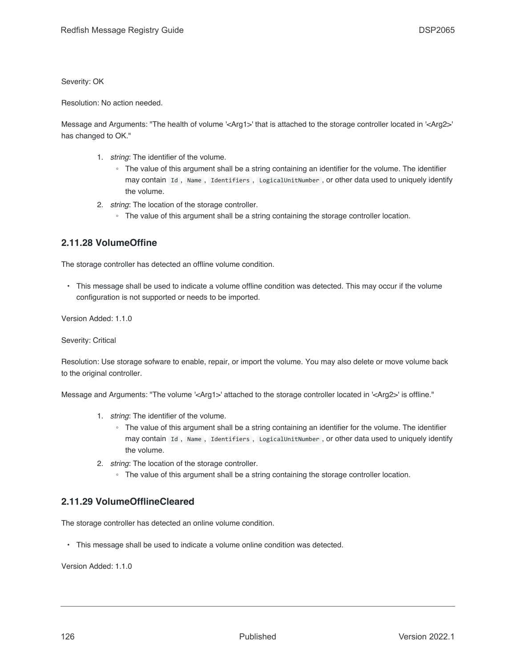Severity: OK

Resolution: No action needed.

Message and Arguments: "The health of volume '<Arg1>' that is attached to the storage controller located in '<Arg2>' has changed to OK."

- 1. *string*: The identifier of the volume.
	- The value of this argument shall be a string containing an identifier for the volume. The identifier may contain Id , Name , Identifiers , LogicalUnitNumber , or other data used to uniquely identify the volume.
- 2. *string*: The location of the storage controller.
	- The value of this argument shall be a string containing the storage controller location.

#### <span id="page-125-0"></span>**2.11.28 VolumeOffine**

The storage controller has detected an offline volume condition.

• This message shall be used to indicate a volume offline condition was detected. This may occur if the volume configuration is not supported or needs to be imported.

Version Added: 1.1.0

Severity: Critical

Resolution: Use storage sofware to enable, repair, or import the volume. You may also delete or move volume back to the original controller.

Message and Arguments: "The volume '<Arg1>' attached to the storage controller located in '<Arg2>' is offline."

- 1. *string*: The identifier of the volume.
	- The value of this argument shall be a string containing an identifier for the volume. The identifier may contain Id , Name , Identifiers , LogicalUnitNumber , or other data used to uniquely identify the volume.
- 2. *string*: The location of the storage controller.
	- The value of this argument shall be a string containing the storage controller location.

#### <span id="page-125-1"></span>**2.11.29 VolumeOfflineCleared**

The storage controller has detected an online volume condition.

• This message shall be used to indicate a volume online condition was detected.

Version Added: 1.1.0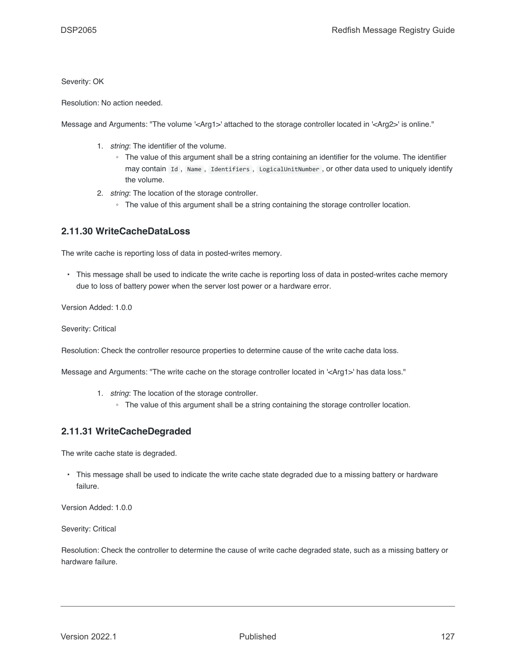Severity: OK

Resolution: No action needed.

Message and Arguments: "The volume '<Arg1>' attached to the storage controller located in '<Arg2>' is online."

- 1. *string*: The identifier of the volume.
	- The value of this argument shall be a string containing an identifier for the volume. The identifier may contain Id , Name , Identifiers , LogicalUnitNumber , or other data used to uniquely identify the volume.
- 2. *string*: The location of the storage controller.
	- The value of this argument shall be a string containing the storage controller location.

#### <span id="page-126-0"></span>**2.11.30 WriteCacheDataLoss**

The write cache is reporting loss of data in posted-writes memory.

• This message shall be used to indicate the write cache is reporting loss of data in posted-writes cache memory due to loss of battery power when the server lost power or a hardware error.

Version Added: 1.0.0

Severity: Critical

Resolution: Check the controller resource properties to determine cause of the write cache data loss.

Message and Arguments: "The write cache on the storage controller located in '<Arg1>' has data loss."

- 1. *string*: The location of the storage controller.
	- The value of this argument shall be a string containing the storage controller location.

#### <span id="page-126-1"></span>**2.11.31 WriteCacheDegraded**

The write cache state is degraded.

• This message shall be used to indicate the write cache state degraded due to a missing battery or hardware failure.

Version Added: 1.0.0

Severity: Critical

Resolution: Check the controller to determine the cause of write cache degraded state, such as a missing battery or hardware failure.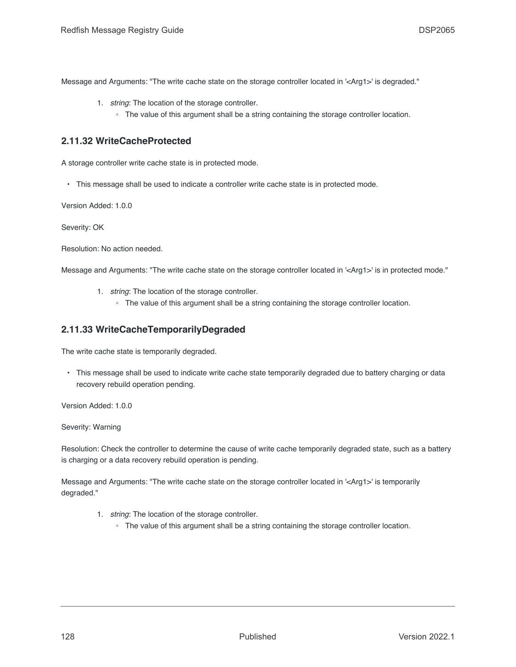Message and Arguments: "The write cache state on the storage controller located in '<Arg1>' is degraded."

- 1. *string*: The location of the storage controller.
	- The value of this argument shall be a string containing the storage controller location.

#### <span id="page-127-0"></span>**2.11.32 WriteCacheProtected**

A storage controller write cache state is in protected mode.

• This message shall be used to indicate a controller write cache state is in protected mode.

Version Added: 1.0.0

Severity: OK

Resolution: No action needed.

Message and Arguments: "The write cache state on the storage controller located in '<Arg1>' is in protected mode."

- 1. *string*: The location of the storage controller.
	- The value of this argument shall be a string containing the storage controller location.

#### <span id="page-127-1"></span>**2.11.33 WriteCacheTemporarilyDegraded**

The write cache state is temporarily degraded.

• This message shall be used to indicate write cache state temporarily degraded due to battery charging or data recovery rebuild operation pending.

Version Added: 1.0.0

Severity: Warning

Resolution: Check the controller to determine the cause of write cache temporarily degraded state, such as a battery is charging or a data recovery rebuild operation is pending.

Message and Arguments: "The write cache state on the storage controller located in '<Arg1>' is temporarily degraded."

- 1. *string*: The location of the storage controller.
	- The value of this argument shall be a string containing the storage controller location.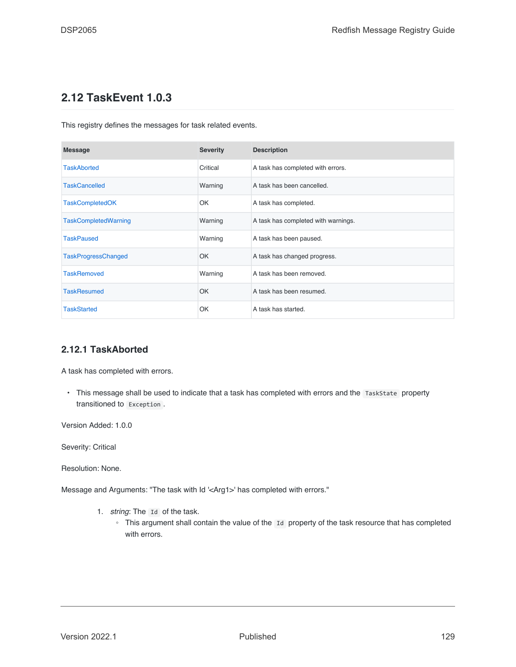## **2.12 TaskEvent 1.0.3**

This registry defines the messages for task related events.

| <b>Message</b>              | <b>Severity</b> | <b>Description</b>                  |
|-----------------------------|-----------------|-------------------------------------|
| <b>TaskAborted</b>          | Critical        | A task has completed with errors.   |
| <b>TaskCancelled</b>        | Warning         | A task has been cancelled.          |
| <b>TaskCompletedOK</b>      | OK              | A task has completed.               |
| <b>TaskCompletedWarning</b> | Warning         | A task has completed with warnings. |
| <b>TaskPaused</b>           | Warning         | A task has been paused.             |
| <b>TaskProgressChanged</b>  | <b>OK</b>       | A task has changed progress.        |
| <b>TaskRemoved</b>          | Warning         | A task has been removed.            |
| <b>TaskResumed</b>          | <b>OK</b>       | A task has been resumed.            |
| <b>TaskStarted</b>          | OK              | A task has started.                 |

## <span id="page-128-0"></span>**2.12.1 TaskAborted**

A task has completed with errors.

• This message shall be used to indicate that a task has completed with errors and the TaskState property transitioned to Exception .

Version Added: 1.0.0

Severity: Critical

Resolution: None.

Message and Arguments: "The task with Id '<Arg1>' has completed with errors."

- 1. *string*: The Id of the task.
	- This argument shall contain the value of the Id property of the task resource that has completed with errors.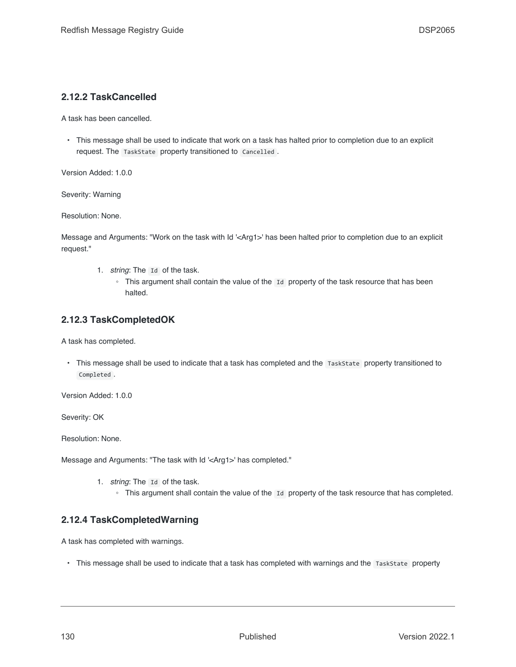#### <span id="page-129-0"></span>**2.12.2 TaskCancelled**

A task has been cancelled.

• This message shall be used to indicate that work on a task has halted prior to completion due to an explicit request. The TaskState property transitioned to Cancelled .

Version Added: 1.0.0

Severity: Warning

Resolution: None.

Message and Arguments: "Work on the task with Id '<Arg1>' has been halted prior to completion due to an explicit request."

- 1. *string*: The Id of the task.
	- This argument shall contain the value of the Id property of the task resource that has been halted.

#### <span id="page-129-1"></span>**2.12.3 TaskCompletedOK**

A task has completed.

• This message shall be used to indicate that a task has completed and the TaskState property transitioned to Completed .

Version Added: 1.0.0

Severity: OK

Resolution: None.

Message and Arguments: "The task with Id '<Arg1>' has completed."

- 1. *string*: The Id of the task.
	- This argument shall contain the value of the Id property of the task resource that has completed.

#### <span id="page-129-2"></span>**2.12.4 TaskCompletedWarning**

A task has completed with warnings.

• This message shall be used to indicate that a task has completed with warnings and the TaskState property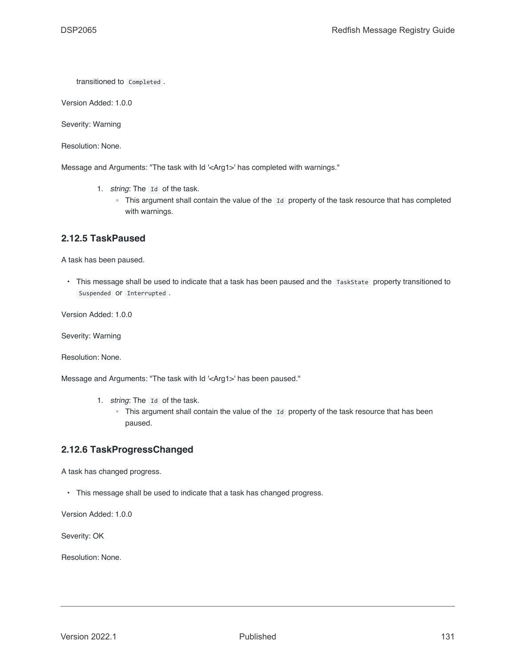transitioned to Completed .

Version Added: 1.0.0

Severity: Warning

```
Resolution: None.
```
Message and Arguments: "The task with Id '<Arg1>' has completed with warnings."

- 1. *string*: The Id of the task.
	- This argument shall contain the value of the Id property of the task resource that has completed with warnings.

#### <span id="page-130-0"></span>**2.12.5 TaskPaused**

A task has been paused.

• This message shall be used to indicate that a task has been paused and the TaskState property transitioned to Suspended or Interrupted .

Version Added: 1.0.0

Severity: Warning

Resolution: None.

Message and Arguments: "The task with Id '<Arg1>' has been paused."

- 1. *string*: The Id of the task.
	- This argument shall contain the value of the Id property of the task resource that has been paused.

#### <span id="page-130-1"></span>**2.12.6 TaskProgressChanged**

A task has changed progress.

• This message shall be used to indicate that a task has changed progress.

Version Added: 1.0.0

Severity: OK

Resolution: None.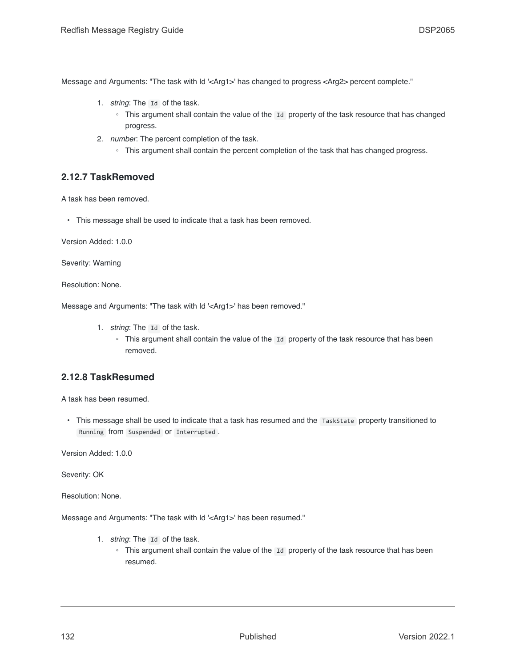Message and Arguments: "The task with Id '<Arg1>' has changed to progress <Arg2> percent complete."

- 1. *string*: The Id of the task.
	- This argument shall contain the value of the Id property of the task resource that has changed progress.
- 2. *number*: The percent completion of the task.
	- This argument shall contain the percent completion of the task that has changed progress.

#### <span id="page-131-0"></span>**2.12.7 TaskRemoved**

A task has been removed.

• This message shall be used to indicate that a task has been removed.

Version Added: 1.0.0

Severity: Warning

Resolution: None.

Message and Arguments: "The task with Id '<Arg1>' has been removed."

- 1. *string*: The Id of the task.
	- This argument shall contain the value of the Id property of the task resource that has been removed.

#### <span id="page-131-1"></span>**2.12.8 TaskResumed**

A task has been resumed.

• This message shall be used to indicate that a task has resumed and the TaskState property transitioned to Running from Suspended or Interrupted .

Version Added: 1.0.0

Severity: OK

Resolution: None.

Message and Arguments: "The task with Id '<Arg1>' has been resumed."

- 1. *string*: The Id of the task.
	- This argument shall contain the value of the Id property of the task resource that has been resumed.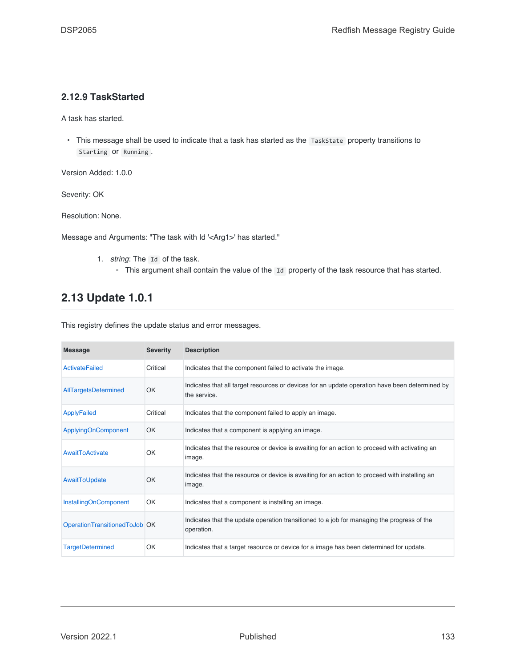#### <span id="page-132-0"></span>**2.12.9 TaskStarted**

A task has started.

• This message shall be used to indicate that a task has started as the TaskState property transitions to Starting or Running .

Version Added: 1.0.0

Severity: OK

Resolution: None.

Message and Arguments: "The task with Id '<Arg1>' has started."

- 1. *string*: The Id of the task.
	- This argument shall contain the value of the Id property of the task resource that has started.

## **2.13 Update 1.0.1**

This registry defines the update status and error messages.

| <b>Message</b>                | <b>Severity</b> | <b>Description</b>                                                                                             |
|-------------------------------|-----------------|----------------------------------------------------------------------------------------------------------------|
| <b>ActivateFailed</b>         | Critical        | Indicates that the component failed to activate the image.                                                     |
| AllTargetsDetermined          | OK              | Indicates that all target resources or devices for an update operation have been determined by<br>the service. |
| ApplyFailed                   | Critical        | Indicates that the component failed to apply an image.                                                         |
| <b>ApplyingOnComponent</b>    | OK              | Indicates that a component is applying an image.                                                               |
| AwaitToActivate               | OK              | Indicates that the resource or device is awaiting for an action to proceed with activating an<br>image.        |
| AwaitToUpdate                 | OK              | Indicates that the resource or device is awaiting for an action to proceed with installing an<br>image.        |
| InstallingOnComponent         | OK              | Indicates that a component is installing an image.                                                             |
| OperationTransitionedToJob OK |                 | Indicates that the update operation transitioned to a job for managing the progress of the<br>operation.       |
| <b>TargetDetermined</b>       | OK              | Indicates that a target resource or device for a image has been determined for update.                         |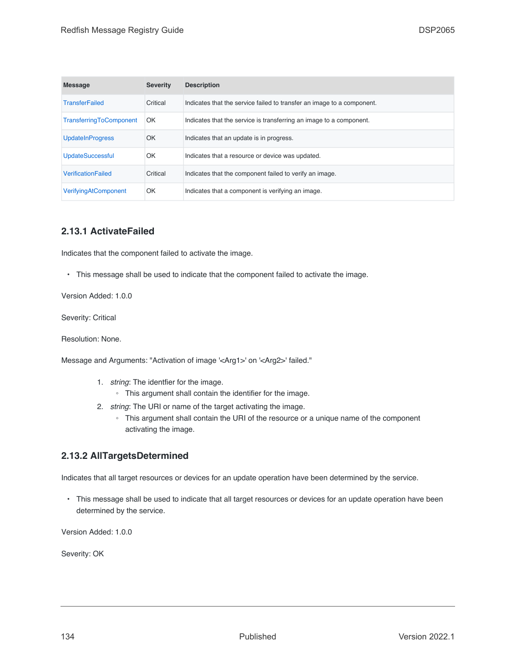| <b>Message</b>                 | <b>Severity</b> | <b>Description</b>                                                     |
|--------------------------------|-----------------|------------------------------------------------------------------------|
| <b>TransferFailed</b>          | Critical        | Indicates that the service failed to transfer an image to a component. |
| <b>TransferringToComponent</b> | OK.             | Indicates that the service is transferring an image to a component.    |
| <b>UpdateInProgress</b>        | OK              | Indicates that an update is in progress.                               |
| UpdateSuccessful               | OK              | Indicates that a resource or device was updated.                       |
| <b>VerificationFailed</b>      | Critical        | Indicates that the component failed to verify an image.                |
| VerifyingAtComponent           | OK              | Indicates that a component is verifying an image.                      |

#### <span id="page-133-0"></span>**2.13.1 ActivateFailed**

Indicates that the component failed to activate the image.

• This message shall be used to indicate that the component failed to activate the image.

Version Added: 1.0.0

Severity: Critical

Resolution: None.

Message and Arguments: "Activation of image '<Arg1>' on '<Arg2>' failed."

- 1. *string*: The identfier for the image.
	- This argument shall contain the identifier for the image.
- 2. *string*: The URI or name of the target activating the image.
	- This argument shall contain the URI of the resource or a unique name of the component activating the image.

#### <span id="page-133-1"></span>**2.13.2 AllTargetsDetermined**

Indicates that all target resources or devices for an update operation have been determined by the service.

• This message shall be used to indicate that all target resources or devices for an update operation have been determined by the service.

Version Added: 1.0.0

Severity: OK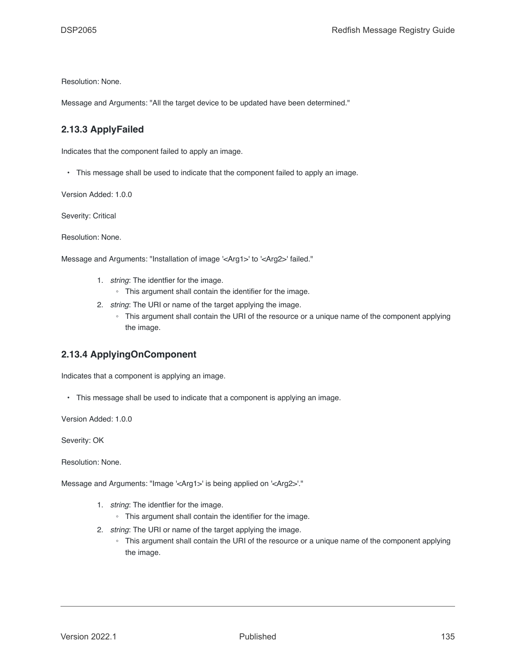Resolution: None.

Message and Arguments: "All the target device to be updated have been determined."

#### <span id="page-134-0"></span>**2.13.3 ApplyFailed**

Indicates that the component failed to apply an image.

• This message shall be used to indicate that the component failed to apply an image.

Version Added: 1.0.0

Severity: Critical

Resolution: None.

Message and Arguments: "Installation of image '<Arg1>' to '<Arg2>' failed."

- 1. *string*: The identfier for the image.
	- This argument shall contain the identifier for the image.
- 2. *string*: The URI or name of the target applying the image.
	- This argument shall contain the URI of the resource or a unique name of the component applying the image.

#### <span id="page-134-1"></span>**2.13.4 ApplyingOnComponent**

Indicates that a component is applying an image.

• This message shall be used to indicate that a component is applying an image.

Version Added: 1.0.0

Severity: OK

Resolution: None.

Message and Arguments: "Image '<Arg1>' is being applied on '<Arg2>'."

- 1. *string*: The identfier for the image.
	- This argument shall contain the identifier for the image.
- 2. *string*: The URI or name of the target applying the image.
	- This argument shall contain the URI of the resource or a unique name of the component applying the image.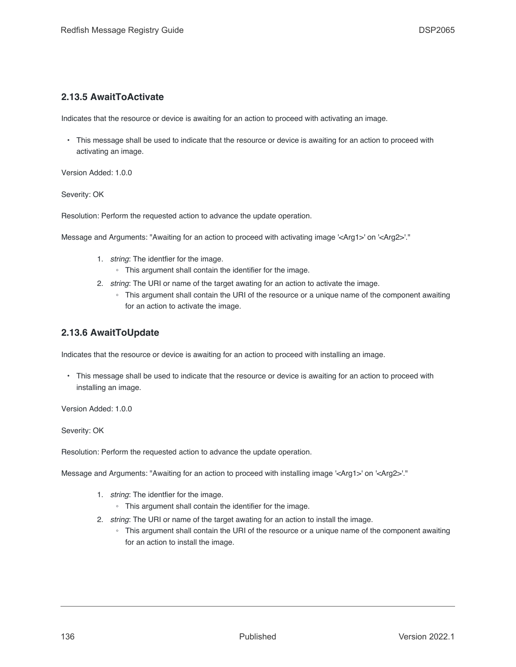#### <span id="page-135-0"></span>**2.13.5 AwaitToActivate**

Indicates that the resource or device is awaiting for an action to proceed with activating an image.

• This message shall be used to indicate that the resource or device is awaiting for an action to proceed with activating an image.

Version Added: 1.0.0

Severity: OK

Resolution: Perform the requested action to advance the update operation.

Message and Arguments: "Awaiting for an action to proceed with activating image '<Arg1>' on '<Arg2>'."

- 1. *string*: The identfier for the image.
	- This argument shall contain the identifier for the image.
- 2. *string*: The URI or name of the target awating for an action to activate the image.
	- This argument shall contain the URI of the resource or a unique name of the component awaiting for an action to activate the image.

#### <span id="page-135-1"></span>**2.13.6 AwaitToUpdate**

Indicates that the resource or device is awaiting for an action to proceed with installing an image.

• This message shall be used to indicate that the resource or device is awaiting for an action to proceed with installing an image.

Version Added: 1.0.0

Severity: OK

Resolution: Perform the requested action to advance the update operation.

Message and Arguments: "Awaiting for an action to proceed with installing image '<Arg1>' on '<Arg2>'."

- 1. *string*: The identfier for the image.
	- This argument shall contain the identifier for the image.
- 2. *string*: The URI or name of the target awating for an action to install the image.
	- This argument shall contain the URI of the resource or a unique name of the component awaiting for an action to install the image.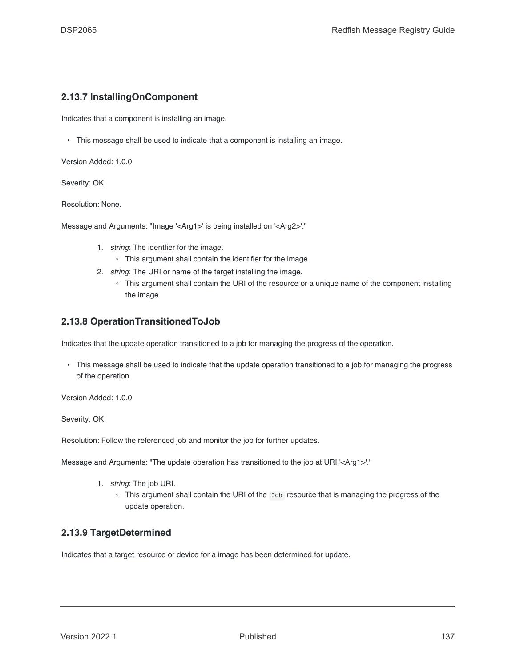#### <span id="page-136-0"></span>**2.13.7 InstallingOnComponent**

Indicates that a component is installing an image.

• This message shall be used to indicate that a component is installing an image.

Version Added: 1.0.0

Severity: OK

Resolution: None.

Message and Arguments: "Image '<Arg1>' is being installed on '<Arg2>'."

- 1. *string*: The identfier for the image.
	- This argument shall contain the identifier for the image.
- 2. *string*: The URI or name of the target installing the image.
	- This argument shall contain the URI of the resource or a unique name of the component installing the image.

#### <span id="page-136-1"></span>**2.13.8 OperationTransitionedToJob**

Indicates that the update operation transitioned to a job for managing the progress of the operation.

• This message shall be used to indicate that the update operation transitioned to a job for managing the progress of the operation.

Version Added: 1.0.0

Severity: OK

Resolution: Follow the referenced job and monitor the job for further updates.

Message and Arguments: "The update operation has transitioned to the job at URI '<Arg1>'."

- 1. *string*: The job URI.
	- This argument shall contain the URI of the Job resource that is managing the progress of the update operation.

#### <span id="page-136-2"></span>**2.13.9 TargetDetermined**

Indicates that a target resource or device for a image has been determined for update.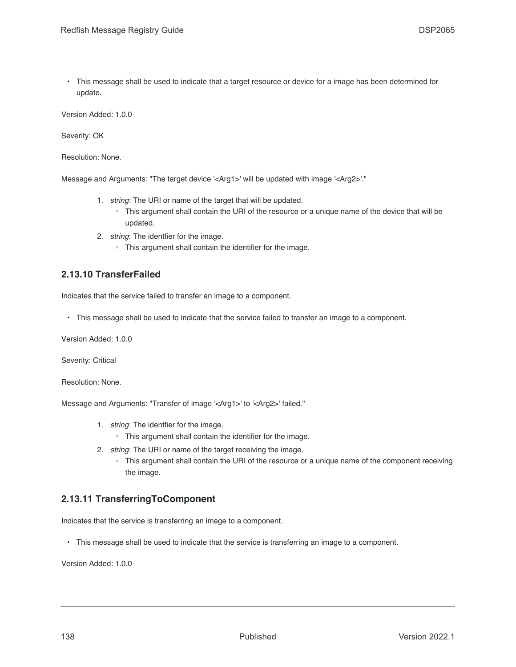• This message shall be used to indicate that a target resource or device for a image has been determined for update.

Version Added: 1.0.0

Severity: OK

Resolution: None.

Message and Arguments: "The target device '<Arg1>' will be updated with image '<Arg2>'."

- 1. *string*: The URI or name of the target that will be updated.
	- This argument shall contain the URI of the resource or a unique name of the device that will be updated.
- 2. *string*: The identfier for the image.
	- This argument shall contain the identifier for the image.

#### <span id="page-137-0"></span>**2.13.10 TransferFailed**

Indicates that the service failed to transfer an image to a component.

• This message shall be used to indicate that the service failed to transfer an image to a component.

Version Added: 1.0.0

Severity: Critical

Resolution: None.

Message and Arguments: "Transfer of image '<Arg1>' to '<Arg2>' failed."

- 1. *string*: The identfier for the image.
	- This argument shall contain the identifier for the image.
- 2. *string*: The URI or name of the target receiving the image.
	- This argument shall contain the URI of the resource or a unique name of the component receiving the image.

#### <span id="page-137-1"></span>**2.13.11 TransferringToComponent**

Indicates that the service is transferring an image to a component.

• This message shall be used to indicate that the service is transferring an image to a component.

Version Added: 1.0.0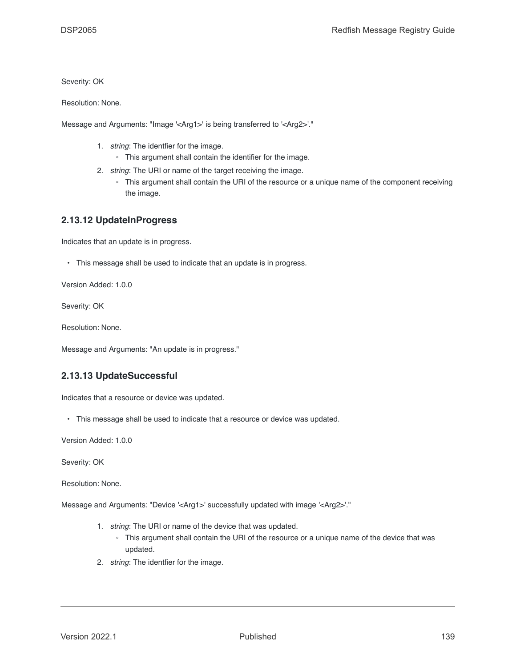Severity: OK

Resolution: None.

Message and Arguments: "Image '<Arg1>' is being transferred to '<Arg2>'."

- 1. *string*: The identfier for the image.
	- This argument shall contain the identifier for the image.
- 2. *string*: The URI or name of the target receiving the image.
	- This argument shall contain the URI of the resource or a unique name of the component receiving the image.

#### <span id="page-138-0"></span>**2.13.12 UpdateInProgress**

Indicates that an update is in progress.

• This message shall be used to indicate that an update is in progress.

Version Added: 1.0.0

Severity: OK

Resolution: None.

Message and Arguments: "An update is in progress."

#### <span id="page-138-1"></span>**2.13.13 UpdateSuccessful**

Indicates that a resource or device was updated.

• This message shall be used to indicate that a resource or device was updated.

Version Added: 1.0.0

Severity: OK

Resolution: None.

Message and Arguments: "Device '<Arg1>' successfully updated with image '<Arg2>'."

- 1. *string*: The URI or name of the device that was updated.
	- This argument shall contain the URI of the resource or a unique name of the device that was updated.
- 2. *string*: The identfier for the image.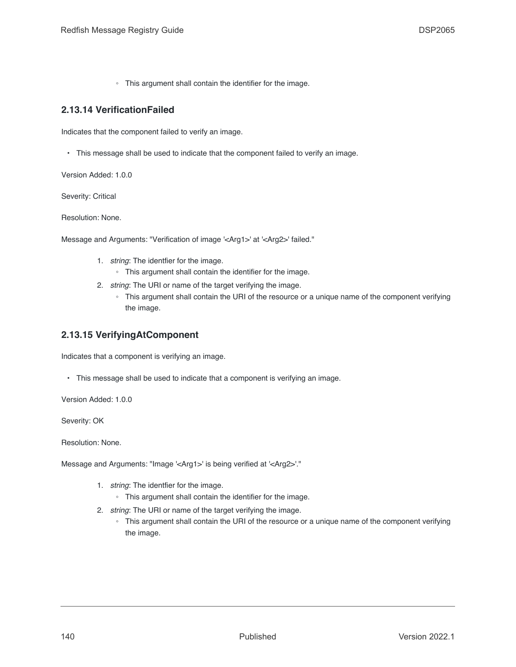◦ This argument shall contain the identifier for the image.

#### <span id="page-139-0"></span>**2.13.14 VerificationFailed**

Indicates that the component failed to verify an image.

• This message shall be used to indicate that the component failed to verify an image.

Version Added: 1.0.0

Severity: Critical

Resolution: None.

Message and Arguments: "Verification of image '<Arg1>' at '<Arg2>' failed."

- 1. *string*: The identfier for the image.
	- This argument shall contain the identifier for the image.
- 2. *string*: The URI or name of the target verifying the image.
	- This argument shall contain the URI of the resource or a unique name of the component verifying the image.

#### <span id="page-139-1"></span>**2.13.15 VerifyingAtComponent**

Indicates that a component is verifying an image.

• This message shall be used to indicate that a component is verifying an image.

Version Added: 1.0.0

Severity: OK

Resolution: None.

Message and Arguments: "Image '<Arg1>' is being verified at '<Arg2>'."

- 1. *string*: The identfier for the image.
	- This argument shall contain the identifier for the image.
- 2. *string*: The URI or name of the target verifying the image.
	- This argument shall contain the URI of the resource or a unique name of the component verifying the image.